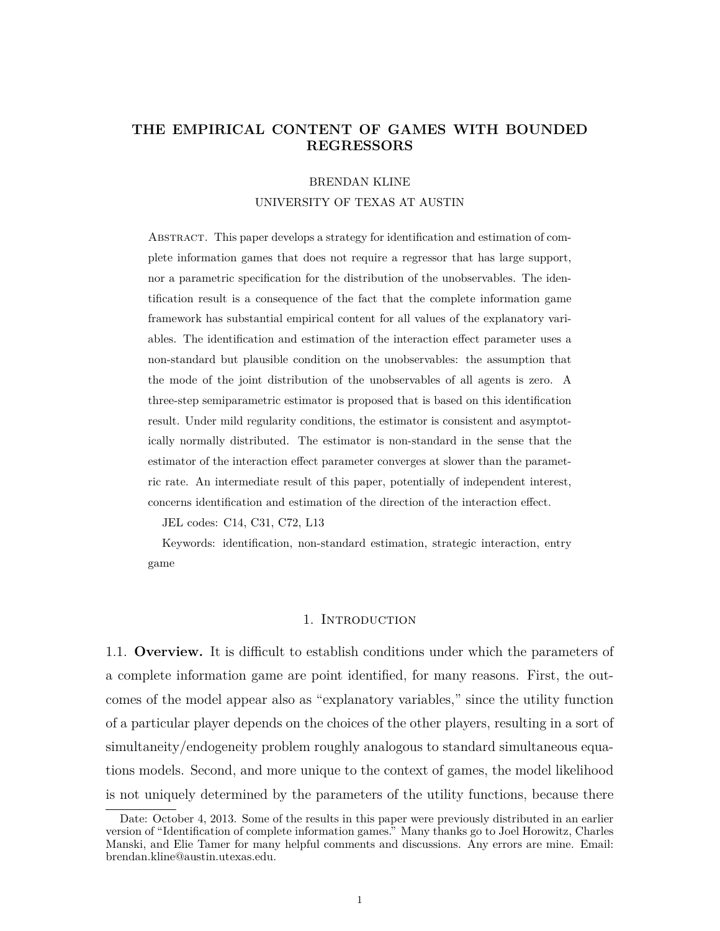# **THE EMPIRICAL CONTENT OF GAMES WITH BOUNDED REGRESSORS**

# BRENDAN KLINE UNIVERSITY OF TEXAS AT AUSTIN

Abstract. This paper develops a strategy for identification and estimation of complete information games that does not require a regressor that has large support, nor a parametric specification for the distribution of the unobservables. The identification result is a consequence of the fact that the complete information game framework has substantial empirical content for all values of the explanatory variables. The identification and estimation of the interaction effect parameter uses a non-standard but plausible condition on the unobservables: the assumption that the mode of the joint distribution of the unobservables of all agents is zero. A three-step semiparametric estimator is proposed that is based on this identification result. Under mild regularity conditions, the estimator is consistent and asymptotically normally distributed. The estimator is non-standard in the sense that the estimator of the interaction effect parameter converges at slower than the parametric rate. An intermediate result of this paper, potentially of independent interest, concerns identification and estimation of the direction of the interaction effect.

JEL codes: C14, C31, C72, L13

Keywords: identification, non-standard estimation, strategic interaction, entry game

## 1. INTRODUCTION

1.1. **Overview.** It is difficult to establish conditions under which the parameters of a complete information game are point identified, for many reasons. First, the outcomes of the model appear also as "explanatory variables," since the utility function of a particular player depends on the choices of the other players, resulting in a sort of simultaneity/endogeneity problem roughly analogous to standard simultaneous equations models. Second, and more unique to the context of games, the model likelihood is not uniquely determined by the parameters of the utility functions, because there

Date: October 4, 2013. Some of the results in this paper were previously distributed in an earlier version of "Identification of complete information games." Many thanks go to Joel Horowitz, Charles Manski, and Elie Tamer for many helpful comments and discussions. Any errors are mine. Email: brendan.kline@austin.utexas.edu.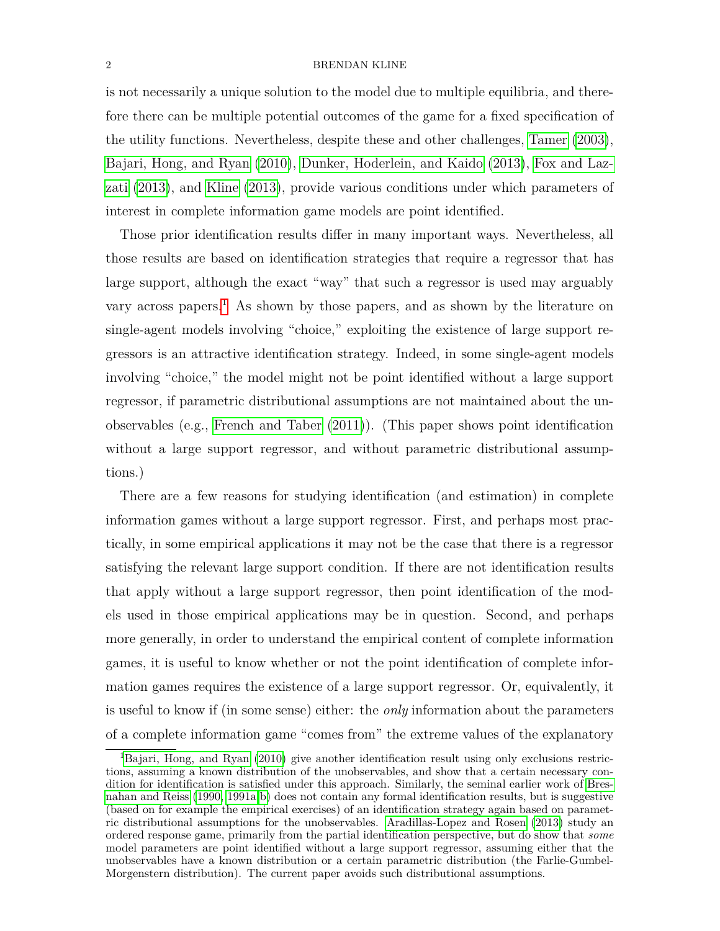is not necessarily a unique solution to the model due to multiple equilibria, and therefore there can be multiple potential outcomes of the game for a fixed specification of the utility functions. Nevertheless, despite these and other challenges, [Tamer](#page-44-0) [\(2003\)](#page-44-0), [Bajari, Hong, and Ryan](#page-43-0) [\(2010\)](#page-43-0), [Dunker, Hoderlein, and Kaido](#page-44-1) [\(2013\)](#page-44-1), [Fox and Laz](#page-44-2)[zati](#page-44-2) [\(2013\)](#page-44-2), and [Kline](#page-44-3) [\(2013\)](#page-44-3), provide various conditions under which parameters of interest in complete information game models are point identified.

Those prior identification results differ in many important ways. Nevertheless, all those results are based on identification strategies that require a regressor that has large support, although the exact "way" that such a regressor is used may arguably vary across papers.<sup>[1](#page-1-0)</sup> As shown by those papers, and as shown by the literature on single-agent models involving "choice," exploiting the existence of large support regressors is an attractive identification strategy. Indeed, in some single-agent models involving "choice," the model might not be point identified without a large support regressor, if parametric distributional assumptions are not maintained about the unobservables (e.g., [French and Taber](#page-44-4) [\(2011\)](#page-44-4)). (This paper shows point identification without a large support regressor, and without parametric distributional assumptions.)

There are a few reasons for studying identification (and estimation) in complete information games without a large support regressor. First, and perhaps most practically, in some empirical applications it may not be the case that there is a regressor satisfying the relevant large support condition. If there are not identification results that apply without a large support regressor, then point identification of the models used in those empirical applications may be in question. Second, and perhaps more generally, in order to understand the empirical content of complete information games, it is useful to know whether or not the point identification of complete information games requires the existence of a large support regressor. Or, equivalently, it is useful to know if (in some sense) either: the *only* information about the parameters of a complete information game "comes from" the extreme values of the explanatory

<span id="page-1-0"></span><sup>&</sup>lt;sup>1</sup>[Bajari, Hong, and Ryan](#page-43-0) [\(2010\)](#page-43-0) give another identification result using only exclusions restrictions, assuming a known distribution of the unobservables, and show that a certain necessary condition for identification is satisfied under this approach. Similarly, the seminal earlier work of [Bres](#page-43-1)[nahan and Reiss](#page-43-1) [\(1990,](#page-43-1) [1991a](#page-43-2)[,b\)](#page-43-3) does not contain any formal identification results, but is suggestive (based on for example the empirical exercises) of an identification strategy again based on parametric distributional assumptions for the unobservables. [Aradillas-Lopez and Rosen](#page-43-4) [\(2013\)](#page-43-4) study an ordered response game, primarily from the partial identification perspective, but do show that *some* model parameters are point identified without a large support regressor, assuming either that the unobservables have a known distribution or a certain parametric distribution (the Farlie-Gumbel-Morgenstern distribution). The current paper avoids such distributional assumptions.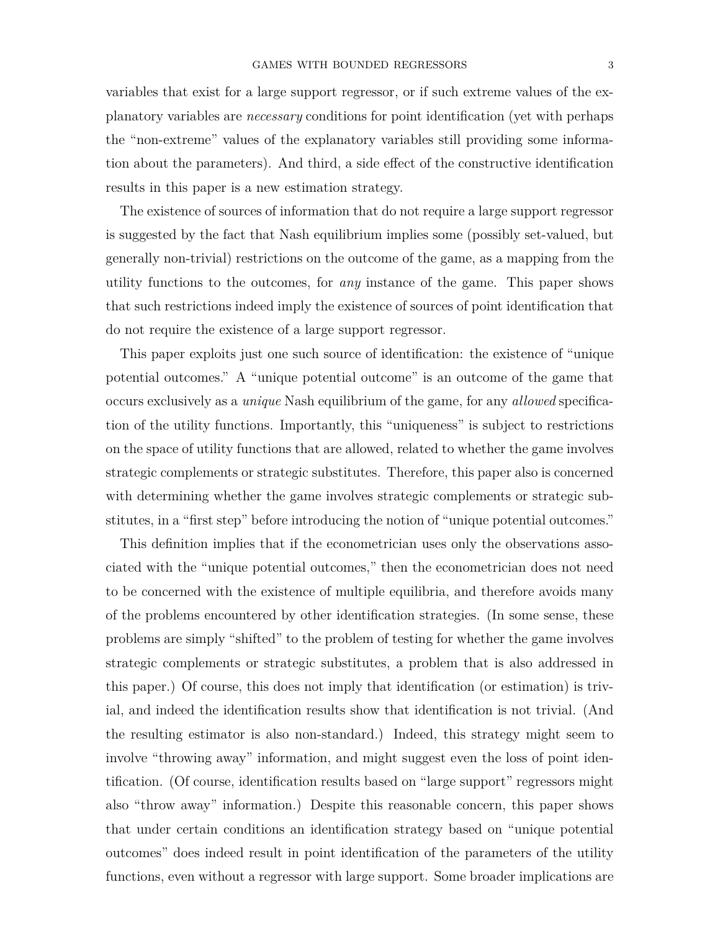variables that exist for a large support regressor, or if such extreme values of the explanatory variables are *necessary* conditions for point identification (yet with perhaps the "non-extreme" values of the explanatory variables still providing some information about the parameters). And third, a side effect of the constructive identification results in this paper is a new estimation strategy.

The existence of sources of information that do not require a large support regressor is suggested by the fact that Nash equilibrium implies some (possibly set-valued, but generally non-trivial) restrictions on the outcome of the game, as a mapping from the utility functions to the outcomes, for *any* instance of the game. This paper shows that such restrictions indeed imply the existence of sources of point identification that do not require the existence of a large support regressor.

This paper exploits just one such source of identification: the existence of "unique potential outcomes." A "unique potential outcome" is an outcome of the game that occurs exclusively as a *unique* Nash equilibrium of the game, for any *allowed* specification of the utility functions. Importantly, this "uniqueness" is subject to restrictions on the space of utility functions that are allowed, related to whether the game involves strategic complements or strategic substitutes. Therefore, this paper also is concerned with determining whether the game involves strategic complements or strategic substitutes, in a "first step" before introducing the notion of "unique potential outcomes."

This definition implies that if the econometrician uses only the observations associated with the "unique potential outcomes," then the econometrician does not need to be concerned with the existence of multiple equilibria, and therefore avoids many of the problems encountered by other identification strategies. (In some sense, these problems are simply "shifted" to the problem of testing for whether the game involves strategic complements or strategic substitutes, a problem that is also addressed in this paper.) Of course, this does not imply that identification (or estimation) is trivial, and indeed the identification results show that identification is not trivial. (And the resulting estimator is also non-standard.) Indeed, this strategy might seem to involve "throwing away" information, and might suggest even the loss of point identification. (Of course, identification results based on "large support" regressors might also "throw away" information.) Despite this reasonable concern, this paper shows that under certain conditions an identification strategy based on "unique potential outcomes" does indeed result in point identification of the parameters of the utility functions, even without a regressor with large support. Some broader implications are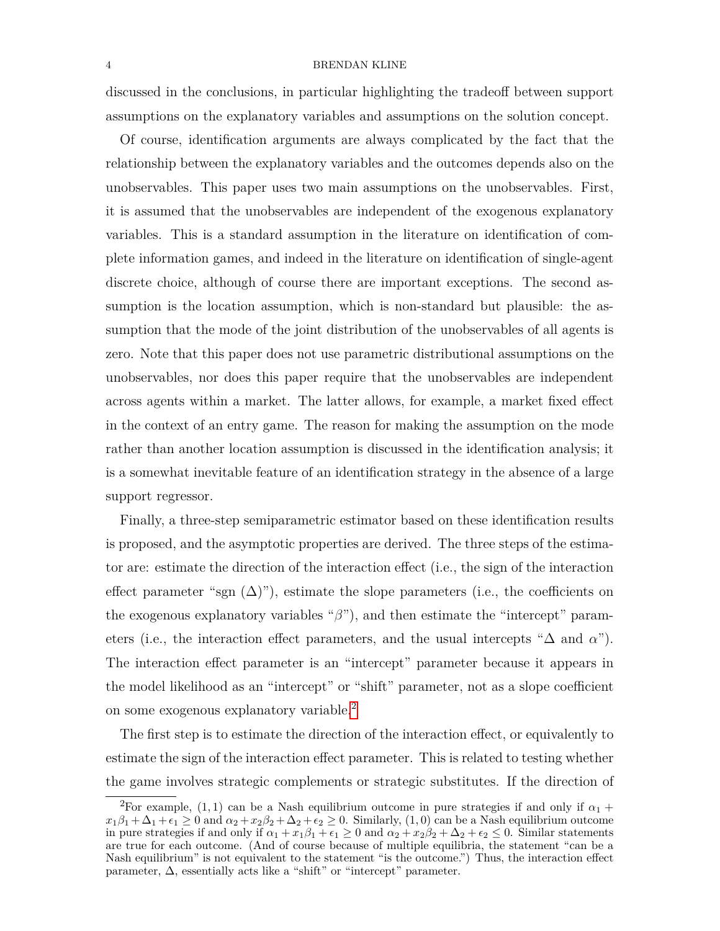discussed in the conclusions, in particular highlighting the tradeoff between support assumptions on the explanatory variables and assumptions on the solution concept.

Of course, identification arguments are always complicated by the fact that the relationship between the explanatory variables and the outcomes depends also on the unobservables. This paper uses two main assumptions on the unobservables. First, it is assumed that the unobservables are independent of the exogenous explanatory variables. This is a standard assumption in the literature on identification of complete information games, and indeed in the literature on identification of single-agent discrete choice, although of course there are important exceptions. The second assumption is the location assumption, which is non-standard but plausible: the assumption that the mode of the joint distribution of the unobservables of all agents is zero. Note that this paper does not use parametric distributional assumptions on the unobservables, nor does this paper require that the unobservables are independent across agents within a market. The latter allows, for example, a market fixed effect in the context of an entry game. The reason for making the assumption on the mode rather than another location assumption is discussed in the identification analysis; it is a somewhat inevitable feature of an identification strategy in the absence of a large support regressor.

Finally, a three-step semiparametric estimator based on these identification results is proposed, and the asymptotic properties are derived. The three steps of the estimator are: estimate the direction of the interaction effect (i.e., the sign of the interaction effect parameter "sgn  $(\Delta)$ "), estimate the slope parameters (i.e., the coefficients on the exogenous explanatory variables "*β*"), and then estimate the "intercept" parameters (i.e., the interaction effect parameters, and the usual intercepts " $\Delta$  and  $\alpha$ "). The interaction effect parameter is an "intercept" parameter because it appears in the model likelihood as an "intercept" or "shift" parameter, not as a slope coefficient on some exogenous explanatory variable.<sup>[2](#page-3-0)</sup>

The first step is to estimate the direction of the interaction effect, or equivalently to estimate the sign of the interaction effect parameter. This is related to testing whether the game involves strategic complements or strategic substitutes. If the direction of

<span id="page-3-0"></span><sup>&</sup>lt;sup>2</sup>For example, (1,1) can be a Nash equilibrium outcome in pure strategies if and only if  $\alpha_1$  +  $x_1\beta_1 + \Delta_1 + \epsilon_1 \geq 0$  and  $\alpha_2 + x_2\beta_2 + \Delta_2 + \epsilon_2 \geq 0$ . Similarly,  $(1,0)$  can be a Nash equilibrium outcome in pure strategies if and only if  $\alpha_1 + x_1\beta_1 + \epsilon_1 \geq 0$  and  $\alpha_2 + x_2\beta_2 + \Delta_2 + \epsilon_2 \leq 0$ . Similar statements are true for each outcome. (And of course because of multiple equilibria, the statement "can be a Nash equilibrium" is not equivalent to the statement "is the outcome.") Thus, the interaction effect parameter,  $\Delta$ , essentially acts like a "shift" or "intercept" parameter.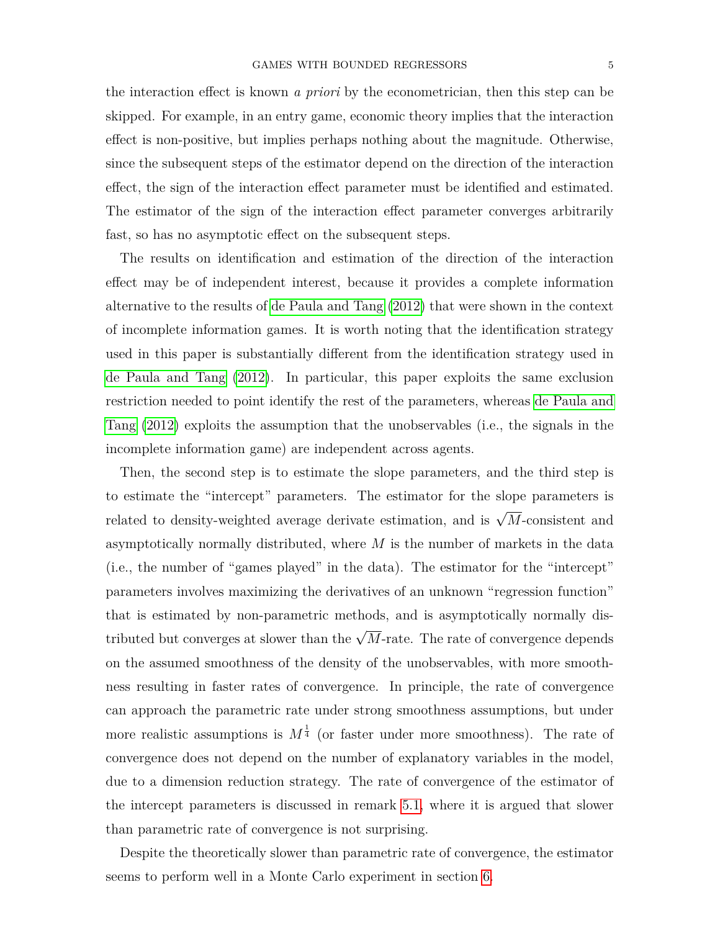the interaction effect is known *a priori* by the econometrician, then this step can be skipped. For example, in an entry game, economic theory implies that the interaction effect is non-positive, but implies perhaps nothing about the magnitude. Otherwise, since the subsequent steps of the estimator depend on the direction of the interaction effect, the sign of the interaction effect parameter must be identified and estimated. The estimator of the sign of the interaction effect parameter converges arbitrarily fast, so has no asymptotic effect on the subsequent steps.

The results on identification and estimation of the direction of the interaction effect may be of independent interest, because it provides a complete information alternative to the results of [de Paula and Tang](#page-44-5) [\(2012\)](#page-44-5) that were shown in the context of incomplete information games. It is worth noting that the identification strategy used in this paper is substantially different from the identification strategy used in [de Paula and Tang](#page-44-5) [\(2012\)](#page-44-5). In particular, this paper exploits the same exclusion restriction needed to point identify the rest of the parameters, whereas [de Paula and](#page-44-5) [Tang](#page-44-5) [\(2012\)](#page-44-5) exploits the assumption that the unobservables (i.e., the signals in the incomplete information game) are independent across agents.

Then, the second step is to estimate the slope parameters, and the third step is to estimate the "intercept" parameters. The estimator for the slope parameters is related to density-weighted average derivate estimation, and is  $\sqrt{M}$ -consistent and asymptotically normally distributed, where *M* is the number of markets in the data (i.e., the number of "games played" in the data). The estimator for the "intercept" parameters involves maximizing the derivatives of an unknown "regression function" that is estimated by non-parametric methods, and is asymptotically normally distributed but converges at slower than the  $\sqrt{M}$ -rate. The rate of convergence depends on the assumed smoothness of the density of the unobservables, with more smoothness resulting in faster rates of convergence. In principle, the rate of convergence can approach the parametric rate under strong smoothness assumptions, but under more realistic assumptions is  $M^{\frac{1}{4}}$  (or faster under more smoothness). The rate of convergence does not depend on the number of explanatory variables in the model, due to a dimension reduction strategy. The rate of convergence of the estimator of the intercept parameters is discussed in remark [5.1,](#page-28-0) where it is argued that slower than parametric rate of convergence is not surprising.

Despite the theoretically slower than parametric rate of convergence, the estimator seems to perform well in a Monte Carlo experiment in section [6.](#page-30-0)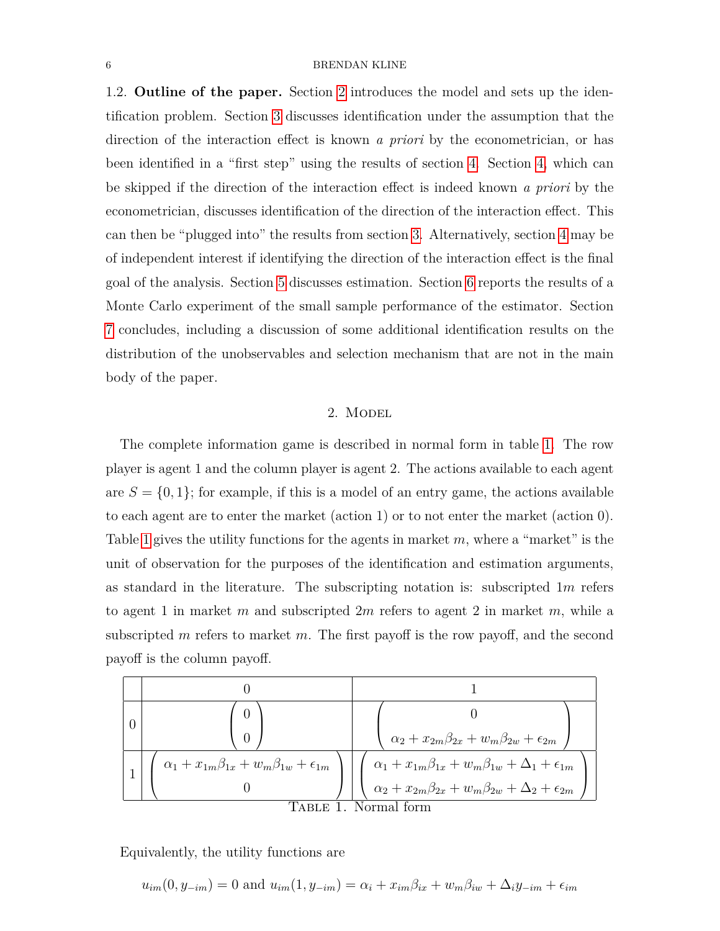1.2. **Outline of the paper.** Section [2](#page-5-0) introduces the model and sets up the identification problem. Section [3](#page-7-0) discusses identification under the assumption that the direction of the interaction effect is known *a priori* by the econometrician, or has been identified in a "first step" using the results of section [4.](#page-16-0) Section [4,](#page-16-0) which can be skipped if the direction of the interaction effect is indeed known *a priori* by the econometrician, discusses identification of the direction of the interaction effect. This can then be "plugged into" the results from section [3.](#page-7-0) Alternatively, section [4](#page-16-0) may be of independent interest if identifying the direction of the interaction effect is the final goal of the analysis. Section [5](#page-21-0) discusses estimation. Section [6](#page-30-0) reports the results of a Monte Carlo experiment of the small sample performance of the estimator. Section [7](#page-32-0) concludes, including a discussion of some additional identification results on the distribution of the unobservables and selection mechanism that are not in the main body of the paper.

#### 2. MODEL

<span id="page-5-0"></span>The complete information game is described in normal form in table [1.](#page-5-1) The row player is agent 1 and the column player is agent 2. The actions available to each agent are  $S = \{0, 1\}$ ; for example, if this is a model of an entry game, the actions available to each agent are to enter the market (action 1) or to not enter the market (action 0). Table [1](#page-5-1) gives the utility functions for the agents in market *m*, where a "market" is the unit of observation for the purposes of the identification and estimation arguments, as standard in the literature. The subscripting notation is: subscripted 1*m* refers to agent 1 in market *m* and subscripted 2*m* refers to agent 2 in market *m*, while a subscripted *m* refers to market *m*. The first payoff is the row payoff, and the second payoff is the column payoff.



Equivalently, the utility functions are

<span id="page-5-1"></span>
$$
u_{im}(0, y_{-im}) = 0
$$
 and  $u_{im}(1, y_{-im}) = \alpha_i + x_{im}\beta_{ix} + w_m\beta_{iw} + \Delta_i y_{-im} + \epsilon_{im}$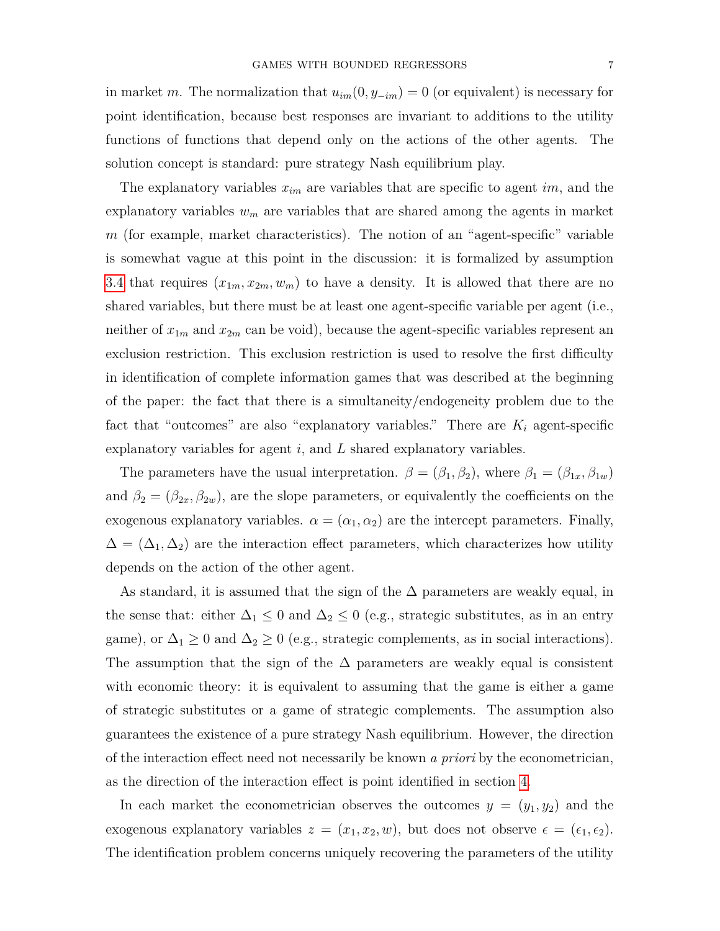in market *m*. The normalization that  $u_{im}(0, y_{-im}) = 0$  (or equivalent) is necessary for point identification, because best responses are invariant to additions to the utility functions of functions that depend only on the actions of the other agents. The solution concept is standard: pure strategy Nash equilibrium play.

The explanatory variables *xim* are variables that are specific to agent *im*, and the explanatory variables  $w_m$  are variables that are shared among the agents in market *m* (for example, market characteristics). The notion of an "agent-specific" variable is somewhat vague at this point in the discussion: it is formalized by assumption [3.4](#page-11-0) that requires  $(x_{1m}, x_{2m}, w_m)$  to have a density. It is allowed that there are no shared variables, but there must be at least one agent-specific variable per agent (i.e., neither of  $x_{1m}$  and  $x_{2m}$  can be void), because the agent-specific variables represent an exclusion restriction. This exclusion restriction is used to resolve the first difficulty in identification of complete information games that was described at the beginning of the paper: the fact that there is a simultaneity/endogeneity problem due to the fact that "outcomes" are also "explanatory variables." There are  $K_i$  agent-specific explanatory variables for agent *i*, and *L* shared explanatory variables.

The parameters have the usual interpretation.  $\beta = (\beta_1, \beta_2)$ , where  $\beta_1 = (\beta_{1x}, \beta_{1w})$ and  $\beta_2 = (\beta_{2x}, \beta_{2w})$ , are the slope parameters, or equivalently the coefficients on the exogenous explanatory variables.  $\alpha = (\alpha_1, \alpha_2)$  are the intercept parameters. Finally,  $\Delta = (\Delta_1, \Delta_2)$  are the interaction effect parameters, which characterizes how utility depends on the action of the other agent.

As standard, it is assumed that the sign of the  $\Delta$  parameters are weakly equal, in the sense that: either  $\Delta_1 \leq 0$  and  $\Delta_2 \leq 0$  (e.g., strategic substitutes, as in an entry game), or  $\Delta_1 \geq 0$  and  $\Delta_2 \geq 0$  (e.g., strategic complements, as in social interactions). The assumption that the sign of the  $\Delta$  parameters are weakly equal is consistent with economic theory: it is equivalent to assuming that the game is either a game of strategic substitutes or a game of strategic complements. The assumption also guarantees the existence of a pure strategy Nash equilibrium. However, the direction of the interaction effect need not necessarily be known *a priori* by the econometrician, as the direction of the interaction effect is point identified in section [4.](#page-16-0)

In each market the econometrician observes the outcomes  $y = (y_1, y_2)$  and the exogenous explanatory variables  $z = (x_1, x_2, w)$ , but does not observe  $\epsilon = (\epsilon_1, \epsilon_2)$ . The identification problem concerns uniquely recovering the parameters of the utility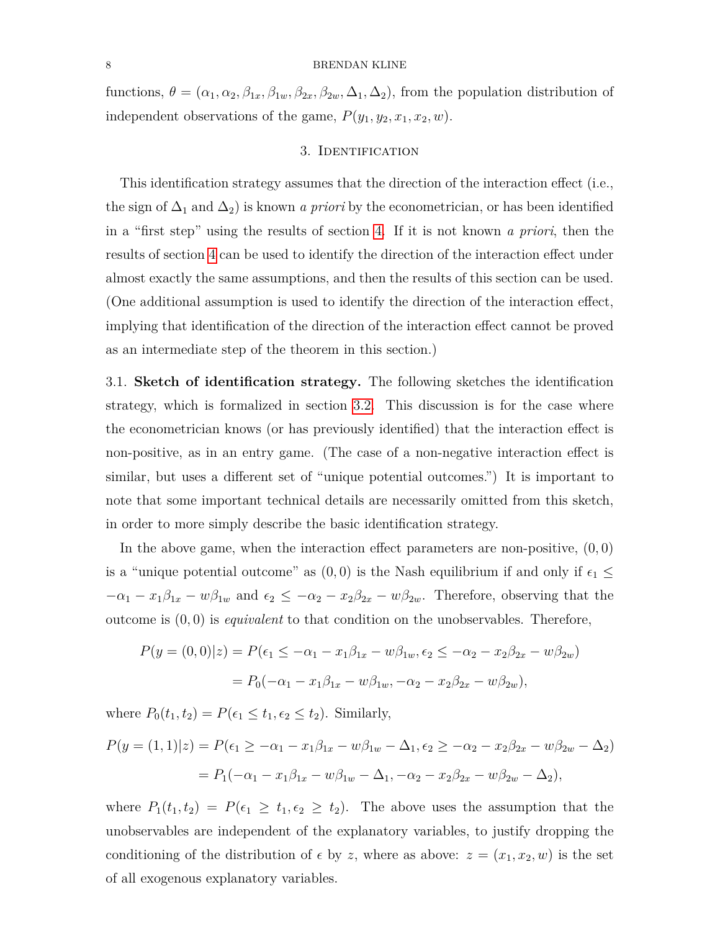functions,  $\theta = (\alpha_1, \alpha_2, \beta_{1x}, \beta_{1w}, \beta_{2x}, \beta_{2w}, \Delta_1, \Delta_2)$ , from the population distribution of independent observations of the game,  $P(y_1, y_2, x_1, x_2, w)$ .

## 3. Identification

<span id="page-7-0"></span>This identification strategy assumes that the direction of the interaction effect (i.e., the sign of  $\Delta_1$  and  $\Delta_2$ ) is known *a priori* by the econometrician, or has been identified in a "first step" using the results of section [4.](#page-16-0) If it is not known *a priori*, then the results of section [4](#page-16-0) can be used to identify the direction of the interaction effect under almost exactly the same assumptions, and then the results of this section can be used. (One additional assumption is used to identify the direction of the interaction effect, implying that identification of the direction of the interaction effect cannot be proved as an intermediate step of the theorem in this section.)

<span id="page-7-1"></span>3.1. **Sketch of identification strategy.** The following sketches the identification strategy, which is formalized in section [3.2.](#page-9-0) This discussion is for the case where the econometrician knows (or has previously identified) that the interaction effect is non-positive, as in an entry game. (The case of a non-negative interaction effect is similar, but uses a different set of "unique potential outcomes.") It is important to note that some important technical details are necessarily omitted from this sketch, in order to more simply describe the basic identification strategy.

In the above game, when the interaction effect parameters are non-positive, (0*,* 0) is a "unique potential outcome" as  $(0,0)$  is the Nash equilibrium if and only if  $\epsilon_1 \leq$  $-\alpha_1 - x_1\beta_{1x} - w\beta_{1w}$  and  $\epsilon_2 \le -\alpha_2 - x_2\beta_{2x} - w\beta_{2w}$ . Therefore, observing that the outcome is (0*,* 0) is *equivalent* to that condition on the unobservables. Therefore,

$$
P(y = (0,0)|z) = P(\epsilon_1 \le -\alpha_1 - x_1\beta_{1x} - w\beta_{1w}, \epsilon_2 \le -\alpha_2 - x_2\beta_{2x} - w\beta_{2w})
$$
  
=  $P_0(-\alpha_1 - x_1\beta_{1x} - w\beta_{1w}, -\alpha_2 - x_2\beta_{2x} - w\beta_{2w}),$ 

where  $P_0(t_1, t_2) = P(\epsilon_1 \le t_1, \epsilon_2 \le t_2)$ . Similarly,

$$
P(y = (1, 1)|z) = P(\epsilon_1 \ge -\alpha_1 - x_1\beta_{1x} - w\beta_{1w} - \Delta_{1}, \epsilon_2 \ge -\alpha_2 - x_2\beta_{2x} - w\beta_{2w} - \Delta_{2})
$$
  
=  $P_1(-\alpha_1 - x_1\beta_{1x} - w\beta_{1w} - \Delta_{1}, -\alpha_2 - x_2\beta_{2x} - w\beta_{2w} - \Delta_{2}),$ 

where  $P_1(t_1, t_2) = P(\epsilon_1 \geq t_1, \epsilon_2 \geq t_2)$ . The above uses the assumption that the unobservables are independent of the explanatory variables, to justify dropping the conditioning of the distribution of  $\epsilon$  by *z*, where as above:  $z = (x_1, x_2, w)$  is the set of all exogenous explanatory variables.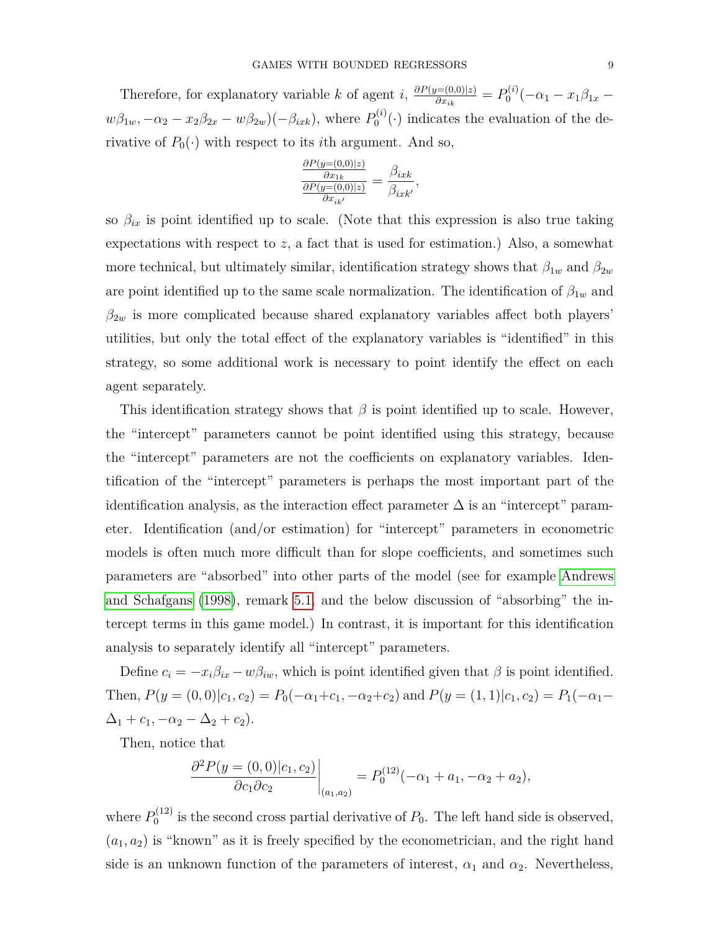Therefore, for explanatory variable *k* of agent *i*,  $\frac{\partial P(y=(0,0)|z)}{\partial x}$  $\frac{\partial P_i(x_0)}{\partial x_{ik}} = P_0^{(i)}$  $\frac{\partial^{(i)}}{\partial}(-\alpha_1 - x_1\beta_{1x}$  $w\beta_{1w}$ *,*  $-\alpha_2 - x_2\beta_{2x} - w\beta_{2w}$  $\left(-\beta_{ixk}\right)$ *,* where  $P_0^{(i)}$  $0^{(i)}(.)$  indicates the evaluation of the derivative of  $P_0(\cdot)$  with respect to its *i*th argument. And so,

$$
\frac{\frac{\partial P(y=(0,0)|z)}{\partial x_{1k}}}{\frac{\partial P(y=(0,0)|z)}{\partial x_{ik'}}} = \frac{\beta_{ixk}}{\beta_{ixk'}},
$$

so  $\beta_{ix}$  is point identified up to scale. (Note that this expression is also true taking expectations with respect to *z*, a fact that is used for estimation.) Also, a somewhat more technical, but ultimately similar, identification strategy shows that  $\beta_{1w}$  and  $\beta_{2w}$ are point identified up to the same scale normalization. The identification of  $\beta_{1w}$  and  $\beta_{2w}$  is more complicated because shared explanatory variables affect both players' utilities, but only the total effect of the explanatory variables is "identified" in this strategy, so some additional work is necessary to point identify the effect on each agent separately.

This identification strategy shows that  $\beta$  is point identified up to scale. However, the "intercept" parameters cannot be point identified using this strategy, because the "intercept" parameters are not the coefficients on explanatory variables. Identification of the "intercept" parameters is perhaps the most important part of the identification analysis, as the interaction effect parameter  $\Delta$  is an "intercept" parameter. Identification (and/or estimation) for "intercept" parameters in econometric models is often much more difficult than for slope coefficients, and sometimes such parameters are "absorbed" into other parts of the model (see for example [Andrews](#page-43-5) [and Schafgans](#page-43-5) [\(1998\)](#page-43-5), remark [5.1,](#page-28-0) and the below discussion of "absorbing" the intercept terms in this game model.) In contrast, it is important for this identification analysis to separately identify all "intercept" parameters.

Define  $c_i = -x_i\beta_{ix} - w\beta_{iw}$ , which is point identified given that  $\beta$  is point identified. Then,  $P(y = (0,0)|c_1, c_2) = P_0(-\alpha_1+c_1, -\alpha_2+c_2)$  and  $P(y = (1,1)|c_1, c_2) = P_1(-\alpha_1+c_2)$  $\Delta_1 + c_1, -\alpha_2 - \Delta_2 + c_2$ .

Then, notice that

$$
\left. \frac{\partial^2 P(y = (0,0)|c_1, c_2)}{\partial c_1 \partial c_2} \right|_{(a_1, a_2)} = P_0^{(12)}(-\alpha_1 + a_1, -\alpha_2 + a_2),
$$

where  $P_0^{(12)}$  $Q_0^{(12)}$  is the second cross partial derivative of  $P_0$ . The left hand side is observed,  $(a_1, a_2)$  is "known" as it is freely specified by the econometrician, and the right hand side is an unknown function of the parameters of interest,  $\alpha_1$  and  $\alpha_2$ . Nevertheless,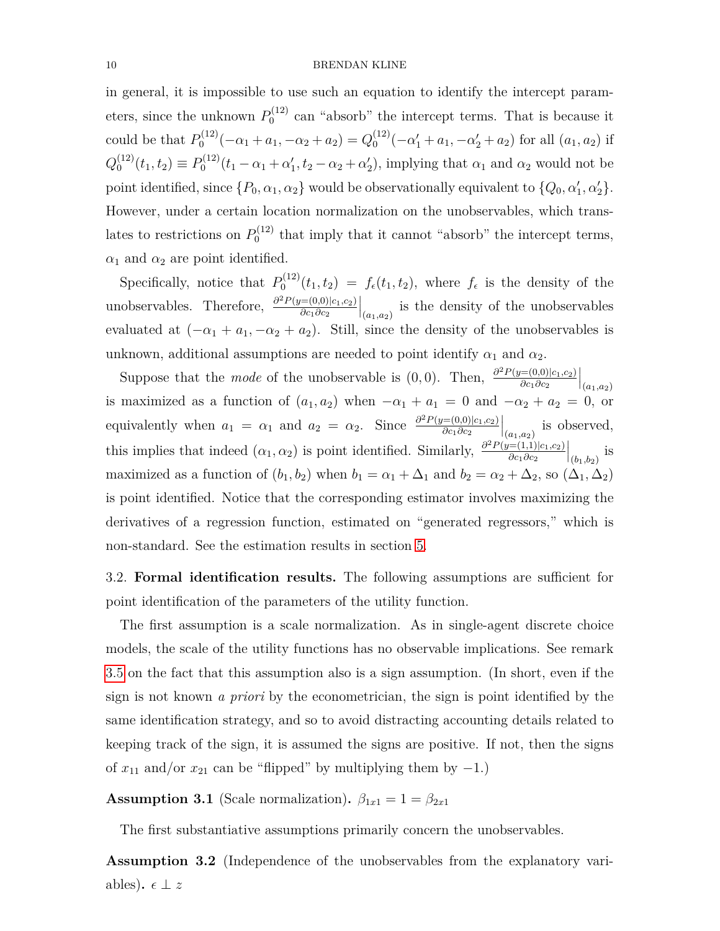in general, it is impossible to use such an equation to identify the intercept parameters, since the unknown  $P_0^{(12)}$  $_{0}^{(12)}$  can "absorb" the intercept terms. That is because it could be that  $P_0^{(12)}$  $Q_0^{(12)}(-\alpha_1 + a_1, -\alpha_2 + a_2) = Q_0^{(12)}$  $\int_0^{(12)} (-\alpha'_1 + a_1, -\alpha'_2 + a_2)$  for all  $(a_1, a_2)$  if  $Q_0^{(12)}$  $b_0^{(12)}(t_1, t_2) \equiv P_0^{(12)}$  $\alpha_0^{(12)}(t_1 - \alpha_1 + \alpha_1', t_2 - \alpha_2 + \alpha_2'),$  implying that  $\alpha_1$  and  $\alpha_2$  would not be point identified, since  $\{P_0, \alpha_1, \alpha_2\}$  would be observationally equivalent to  $\{Q_0, \alpha'_1, \alpha'_2\}$ . However, under a certain location normalization on the unobservables, which translates to restrictions on  $P_0^{(12)}$  $\int_0^{1/2}$  that imply that it cannot "absorb" the intercept terms,  $\alpha_1$  and  $\alpha_2$  are point identified.

Specifically, notice that  $P_0^{(12)}$  $f_0^{(12)}(t_1, t_2) = f_{\epsilon}(t_1, t_2)$ , where  $f_{\epsilon}$  is the density of the unobservables. Therefore,  $\frac{\partial^2 P(y=(0,0)|c_1,c_2)}{\partial c_1 \partial c_2}$ *∂c*1*∂c*<sup>2</sup>  $\Big|_{(a_1,a_2)}$  is the density of the unobservables evaluated at  $(-\alpha_1 + a_1, -\alpha_2 + a_2)$ . Still, since the density of the unobservables is unknown, additional assumptions are needed to point identify  $\alpha_1$  and  $\alpha_2$ .

Suppose that the *mode* of the unobservable is  $(0,0)$ . Then,  $\frac{\partial^2 P(y=(0,0)|c_1,c_2)}{\partial c_1 \partial c_2}$ *∂c*1*∂c*<sup>2</sup>  $|_{(a_1,a_2)}$ is maximized as a function of  $(a_1, a_2)$  when  $-\alpha_1 + a_1 = 0$  and  $-\alpha_2 + a_2 = 0$ , or equivalently when  $a_1 = \alpha_1$  and  $a_2 = \alpha_2$ . Since  $\frac{\partial^2 P(y=(0,0)|c_1,c_2)}{\partial c_1 \partial c_2}$ *∂c*1*∂c*<sup>2</sup>  $\Big|_{(a_1,a_2)}$  is observed, this implies that indeed  $(\alpha_1, \alpha_2)$  is point identified. Similarly,  $\frac{\partial^2 P(y=(1,1)|c_1,c_2)}{\partial c_1 \partial c_2}$ *∂c*1*∂c*<sup>2</sup>  $\Big|_{(b_1,b_2)}$  is maximized as a function of  $(b_1, b_2)$  when  $b_1 = \alpha_1 + \Delta_1$  and  $b_2 = \alpha_2 + \Delta_2$ , so  $(\Delta_1, \Delta_2)$ is point identified. Notice that the corresponding estimator involves maximizing the derivatives of a regression function, estimated on "generated regressors," which is non-standard. See the estimation results in section [5.](#page-21-0)

<span id="page-9-0"></span>3.2. **Formal identification results.** The following assumptions are sufficient for point identification of the parameters of the utility function.

The first assumption is a scale normalization. As in single-agent discrete choice models, the scale of the utility functions has no observable implications. See remark [3.5](#page-15-0) on the fact that this assumption also is a sign assumption. (In short, even if the sign is not known *a priori* by the econometrician, the sign is point identified by the same identification strategy, and so to avoid distracting accounting details related to keeping track of the sign, it is assumed the signs are positive. If not, then the signs of  $x_{11}$  and/or  $x_{21}$  can be "flipped" by multiplying them by  $-1$ .)

<span id="page-9-2"></span>**Assumption 3.1** (Scale normalization).  $\beta_{1x1} = 1 = \beta_{2x1}$ 

The first substantiative assumptions primarily concern the unobservables.

<span id="page-9-1"></span>**Assumption 3.2** (Independence of the unobservables from the explanatory variables).  $\epsilon \perp z$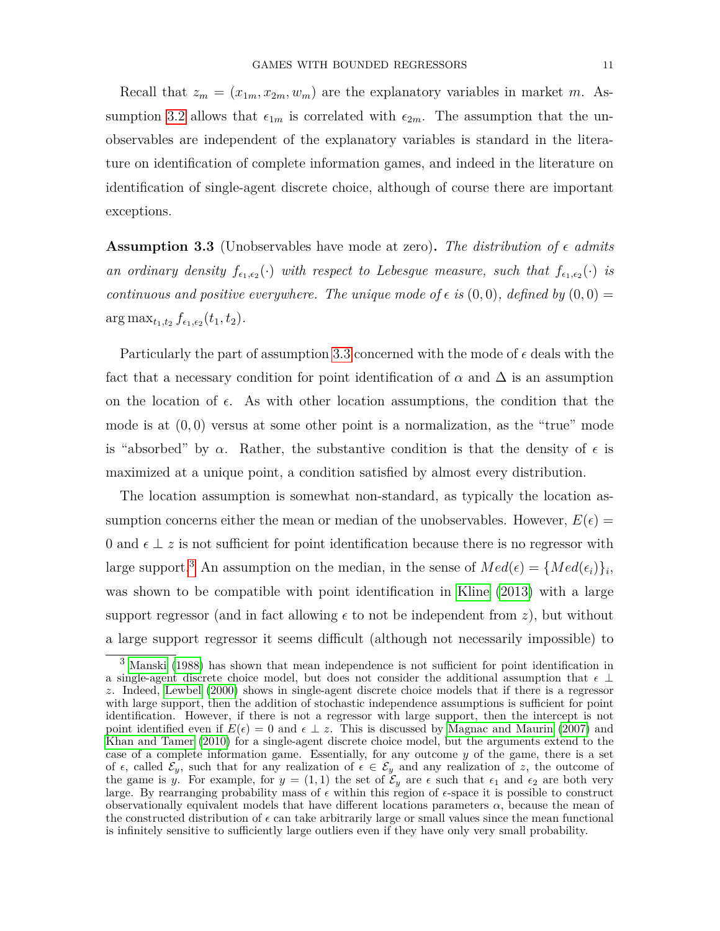Recall that  $z_m = (x_{1m}, x_{2m}, w_m)$  are the explanatory variables in market *m*. As-sumption [3.2](#page-9-1) allows that  $\epsilon_{1m}$  is correlated with  $\epsilon_{2m}$ . The assumption that the unobservables are independent of the explanatory variables is standard in the literature on identification of complete information games, and indeed in the literature on identification of single-agent discrete choice, although of course there are important exceptions.

<span id="page-10-0"></span>**Assumption 3.3** (Unobservables have mode at zero). The distribution of  $\epsilon$  admits an ordinary density  $f_{\epsilon_1,\epsilon_2}(\cdot)$  with respect to Lebesgue measure, such that  $f_{\epsilon_1,\epsilon_2}(\cdot)$  is *continuous and positive everywhere. The unique mode of*  $\epsilon$  *is*  $(0,0)$ *, defined by*  $(0,0)$  =  $\arg \max_{t_1, t_2} f_{\epsilon_1, \epsilon_2}(t_1, t_2)$ .

Particularly the part of assumption [3.3](#page-10-0) concerned with the mode of  $\epsilon$  deals with the fact that a necessary condition for point identification of  $\alpha$  and  $\Delta$  is an assumption on the location of  $\epsilon$ . As with other location assumptions, the condition that the mode is at (0*,* 0) versus at some other point is a normalization, as the "true" mode is "absorbed" by  $\alpha$ . Rather, the substantive condition is that the density of  $\epsilon$  is maximized at a unique point, a condition satisfied by almost every distribution.

The location assumption is somewhat non-standard, as typically the location assumption concerns either the mean or median of the unobservables. However,  $E(\epsilon)$  = 0 and  $\epsilon \perp z$  is not sufficient for point identification because there is no regressor with large support.<sup>[3](#page-10-1)</sup> An assumption on the median, in the sense of  $Med(\epsilon) = \{Med(\epsilon_i)\}_i$ , was shown to be compatible with point identification in [Kline](#page-44-3) [\(2013\)](#page-44-3) with a large support regressor (and in fact allowing  $\epsilon$  to not be independent from *z*), but without a large support regressor it seems difficult (although not necessarily impossible) to

<span id="page-10-1"></span><sup>3</sup> [Manski](#page-44-6) [\(1988\)](#page-44-6) has shown that mean independence is not sufficient for point identification in a single-agent discrete choice model, but does not consider the additional assumption that  $\epsilon \perp$ *z*. Indeed, [Lewbel](#page-44-7) [\(2000\)](#page-44-7) shows in single-agent discrete choice models that if there is a regressor with large support, then the addition of stochastic independence assumptions is sufficient for point identification. However, if there is not a regressor with large support, then the intercept is not point identified even if  $E(\epsilon) = 0$  and  $\epsilon \perp z$ . This is discussed by [Magnac and Maurin](#page-44-8) [\(2007\)](#page-44-8) and [Khan and Tamer](#page-44-9) [\(2010\)](#page-44-9) for a single-agent discrete choice model, but the arguments extend to the case of a complete information game. Essentially, for any outcome *y* of the game, there is a set of  $\epsilon$ , called  $\mathcal{E}_y$ , such that for any realization of  $\epsilon \in \mathcal{E}_y$  and any realization of *z*, the outcome of the game is *y*. For example, for  $y = (1,1)$  the set of  $\mathcal{E}_y$  are  $\epsilon$  such that  $\epsilon_1$  and  $\epsilon_2$  are both very large. By rearranging probability mass of  $\epsilon$  within this region of  $\epsilon$ -space it is possible to construct observationally equivalent models that have different locations parameters  $\alpha$ , because the mean of the constructed distribution of  $\epsilon$  can take arbitrarily large or small values since the mean functional is infinitely sensitive to sufficiently large outliers even if they have only very small probability.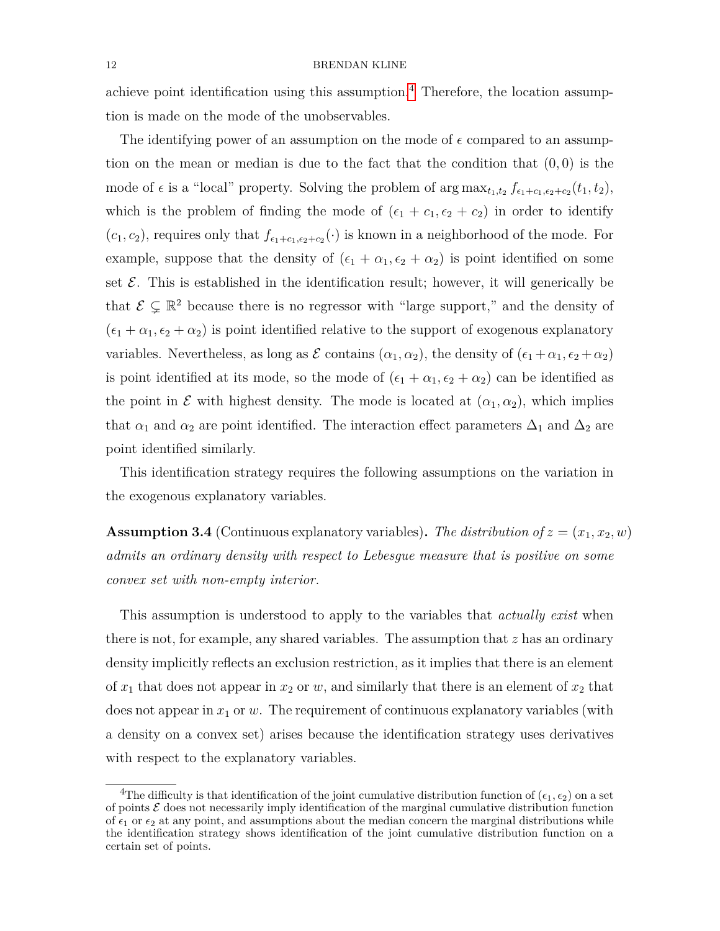achieve point identification using this assumption.<sup>[4](#page-11-1)</sup> Therefore, the location assumption is made on the mode of the unobservables.

The identifying power of an assumption on the mode of  $\epsilon$  compared to an assumption on the mean or median is due to the fact that the condition that (0*,* 0) is the mode of  $\epsilon$  is a "local" property. Solving the problem of  $\arg \max_{t_1, t_2} f_{\epsilon_1+c_1, \epsilon_2+c_2}(t_1, t_2)$ , which is the problem of finding the mode of  $(\epsilon_1 + c_1, \epsilon_2 + c_2)$  in order to identify  $(c_1, c_2)$ , requires only that  $f_{\epsilon_1+c_1,\epsilon_2+c_2}(\cdot)$  is known in a neighborhood of the mode. For example, suppose that the density of  $(\epsilon_1 + \alpha_1, \epsilon_2 + \alpha_2)$  is point identified on some set  $\mathcal E$ . This is established in the identification result; however, it will generically be that  $\mathcal{E} \subsetneq \mathbb{R}^2$  because there is no regressor with "large support," and the density of  $(\epsilon_1 + \alpha_1, \epsilon_2 + \alpha_2)$  is point identified relative to the support of exogenous explanatory variables. Nevertheless, as long as  $\mathcal E$  contains  $(\alpha_1, \alpha_2)$ , the density of  $(\epsilon_1 + \alpha_1, \epsilon_2 + \alpha_2)$ is point identified at its mode, so the mode of  $(\epsilon_1 + \alpha_1, \epsilon_2 + \alpha_2)$  can be identified as the point in  $\mathcal E$  with highest density. The mode is located at  $(\alpha_1, \alpha_2)$ , which implies that  $\alpha_1$  and  $\alpha_2$  are point identified. The interaction effect parameters  $\Delta_1$  and  $\Delta_2$  are point identified similarly.

This identification strategy requires the following assumptions on the variation in the exogenous explanatory variables.

<span id="page-11-0"></span>**Assumption 3.4** (Continuous explanatory variables). The distribution of  $z = (x_1, x_2, w)$ *admits an ordinary density with respect to Lebesgue measure that is positive on some convex set with non-empty interior.*

This assumption is understood to apply to the variables that *actually exist* when there is not, for example, any shared variables. The assumption that *z* has an ordinary density implicitly reflects an exclusion restriction, as it implies that there is an element of  $x_1$  that does not appear in  $x_2$  or  $w$ , and similarly that there is an element of  $x_2$  that does not appear in *x*<sup>1</sup> or *w*. The requirement of continuous explanatory variables (with a density on a convex set) arises because the identification strategy uses derivatives with respect to the explanatory variables.

<span id="page-11-1"></span><sup>&</sup>lt;sup>4</sup>The difficulty is that identification of the joint cumulative distribution function of  $(\epsilon_1, \epsilon_2)$  on a set of points  $\mathcal E$  does not necessarily imply identification of the marginal cumulative distribution function of  $\epsilon_1$  or  $\epsilon_2$  at any point, and assumptions about the median concern the marginal distributions while the identification strategy shows identification of the joint cumulative distribution function on a certain set of points.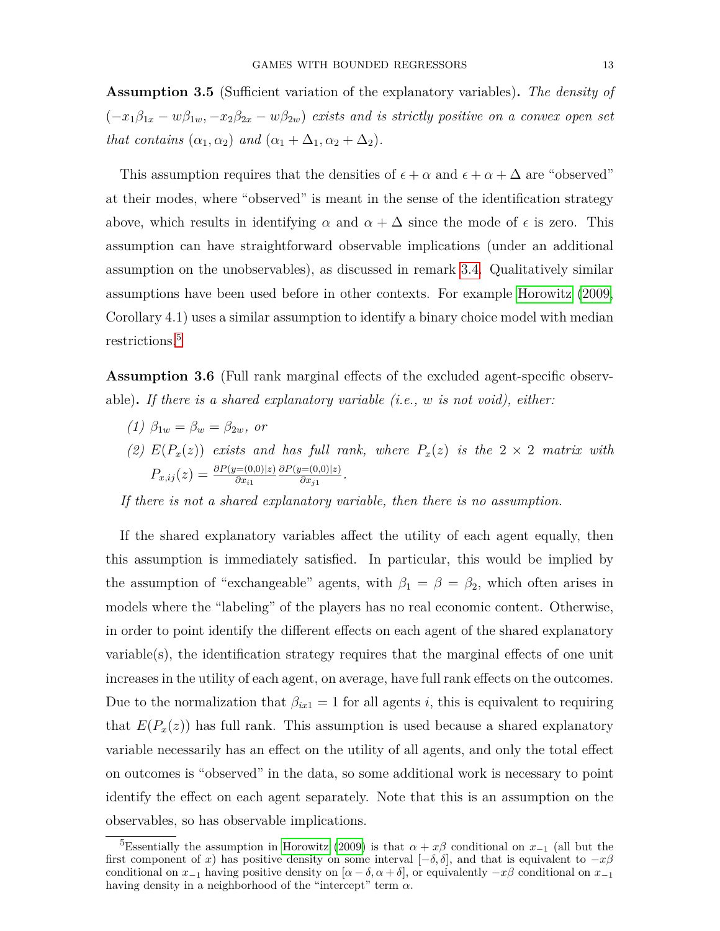<span id="page-12-1"></span>**Assumption 3.5** (Sufficient variation of the explanatory variables)**.** *The density of*  $(-x_1\beta_{1x} - w\beta_{1w}, -x_2\beta_{2x} - w\beta_{2w})$  *exists and is strictly positive on a convex open set that contains*  $(\alpha_1, \alpha_2)$  *and*  $(\alpha_1 + \Delta_1, \alpha_2 + \Delta_2)$ *.* 

This assumption requires that the densities of  $\epsilon + \alpha$  and  $\epsilon + \alpha + \Delta$  are "observed" at their modes, where "observed" is meant in the sense of the identification strategy above, which results in identifying  $\alpha$  and  $\alpha + \Delta$  since the mode of  $\epsilon$  is zero. This assumption can have straightforward observable implications (under an additional assumption on the unobservables), as discussed in remark [3.4.](#page-14-0) Qualitatively similar assumptions have been used before in other contexts. For example [Horowitz](#page-44-10) [\(2009,](#page-44-10) Corollary 4.1) uses a similar assumption to identify a binary choice model with median restrictions.<sup>[5](#page-12-0)</sup>

<span id="page-12-2"></span>**Assumption 3.6** (Full rank marginal effects of the excluded agent-specific observable)**.** *If there is a shared explanatory variable (i.e., w is not void), either:*

- *(1)*  $\beta_{1w} = \beta_w = \beta_{2w}$ *, or*
- (2)  $E(P_x(z))$  *exists and has full rank, where*  $P_x(z)$  *is the*  $2 \times 2$  *matrix with*  $P_{x,ij}(z) = \frac{\partial P(y=(0,0)|z)}{\partial x_{i1}}$ *∂P*(*y*=(0*,*0)|*z*)  $\frac{\partial f(x,y)}{\partial x_j}$ .

*If there is not a shared explanatory variable, then there is no assumption.*

If the shared explanatory variables affect the utility of each agent equally, then this assumption is immediately satisfied. In particular, this would be implied by the assumption of "exchangeable" agents, with  $\beta_1 = \beta = \beta_2$ , which often arises in models where the "labeling" of the players has no real economic content. Otherwise, in order to point identify the different effects on each agent of the shared explanatory variable(s), the identification strategy requires that the marginal effects of one unit increases in the utility of each agent, on average, have full rank effects on the outcomes. Due to the normalization that  $\beta_{ix1} = 1$  for all agents *i*, this is equivalent to requiring that  $E(P_x(z))$  has full rank. This assumption is used because a shared explanatory variable necessarily has an effect on the utility of all agents, and only the total effect on outcomes is "observed" in the data, so some additional work is necessary to point identify the effect on each agent separately. Note that this is an assumption on the observables, so has observable implications.

<span id="page-12-0"></span><sup>&</sup>lt;sup>5</sup>Essentially the assumption in [Horowitz](#page-44-10) [\(2009\)](#page-44-10) is that  $\alpha + x\beta$  conditional on  $x_{-1}$  (all but the first component of *x*) has positive density on some interval  $[-\delta, \delta]$ , and that is equivalent to  $-x\beta$ conditional on  $x_{-1}$  having positive density on  $[\alpha - \delta, \alpha + \delta]$ , or equivalently  $-x\beta$  conditional on  $x_{-1}$ having density in a neighborhood of the "intercept" term *α*.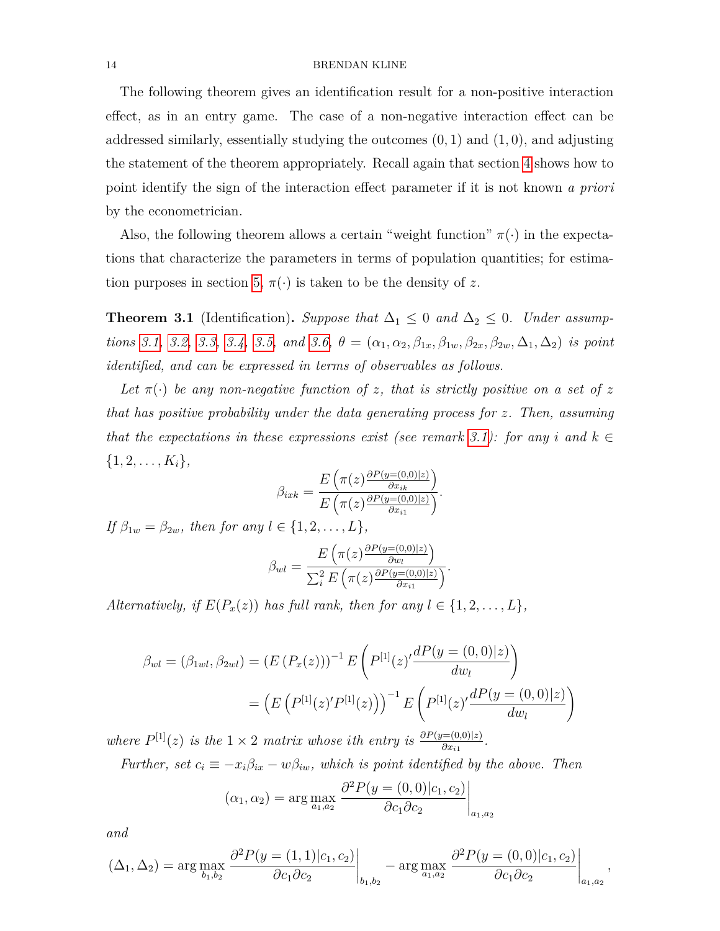The following theorem gives an identification result for a non-positive interaction effect, as in an entry game. The case of a non-negative interaction effect can be addressed similarly, essentially studying the outcomes (0*,* 1) and (1*,* 0), and adjusting the statement of the theorem appropriately. Recall again that section [4](#page-16-0) shows how to point identify the sign of the interaction effect parameter if it is not known *a priori* by the econometrician.

Also, the following theorem allows a certain "weight function"  $\pi(\cdot)$  in the expectations that characterize the parameters in terms of population quantities; for estima-tion purposes in section [5,](#page-21-0)  $\pi(\cdot)$  is taken to be the density of z.

<span id="page-13-0"></span>**Theorem 3.1** (Identification). Suppose that  $\Delta_1 \leq 0$  and  $\Delta_2 \leq 0$ . Under assump-tions [3.1,](#page-9-2) [3.2,](#page-9-1) [3.3,](#page-10-0) [3.4,](#page-11-0) [3.5,](#page-12-1) and [3.6,](#page-12-2)  $\theta = (\alpha_1, \alpha_2, \beta_{1x}, \beta_{1y}, \beta_{2x}, \beta_{2y}, \Delta_1, \Delta_2)$  is point *identified, and can be expressed in terms of observables as follows.*

Let  $\pi(\cdot)$  be any non-negative function of *z*, that is strictly positive on a set of *z that has positive probability under the data generating process for z. Then, assuming that the expectations in these expressions exist (see remark [3.1\)](#page-14-1): for any i and*  $k \in$  $\{1, 2, \ldots, K_i\},\$ 

$$
\beta_{ixk} = \frac{E\left(\pi(z)\frac{\partial P(y=(0,0)|z)}{\partial x_{ik}}\right)}{E\left(\pi(z)\frac{\partial P(y=(0,0)|z)}{\partial x_{i1}}\right)}.
$$

*If*  $\beta_{1w} = \beta_{2w}$ *, then for any*  $l \in \{1, 2, ..., L\}$ *,* 

$$
\beta_{wl} = \frac{E\left(\pi(z)\frac{\partial P(y=(0,0)|z)}{\partial w_l}\right)}{\sum_i^2 E\left(\pi(z)\frac{\partial P(y=(0,0)|z)}{\partial x_{i1}}\right)}.
$$

*Alternatively, if*  $E(P_x(z))$  *has full rank, then for any*  $l \in \{1, 2, \ldots, L\}$ *,* 

$$
\beta_{wl} = (\beta_{1wl}, \beta_{2wl}) = (E(P_x(z)))^{-1} E\left(P^{[1]}(z)'\frac{dP(y = (0,0)|z)}{dw_l}\right)
$$

$$
= \left(E\left(P^{[1]}(z)'P^{[1]}(z)\right)\right)^{-1} E\left(P^{[1]}(z)'\frac{dP(y = (0,0)|z)}{dw_l}\right)
$$

*where*  $P^{[1]}(z)$  *is the*  $1 \times 2$  *matrix whose ith entry is*  $\frac{\partial P(y=(0,0)|z)}{\partial x_{i1}}$ .

*Further, set*  $c_i \equiv -x_i\beta_{ix} - w\beta_{iw}$ *, which is point identified by the above. Then* 

$$
(\alpha_1, \alpha_2) = \arg \max_{a_1, a_2} \left. \frac{\partial^2 P(y = (0, 0)|c_1, c_2)}{\partial c_1 \partial c_2} \right|_{a_1, a_2}
$$

*and*

$$
(\Delta_1, \Delta_2) = \arg \max_{b_1, b_2} \left. \frac{\partial^2 P(y = (1, 1)|c_1, c_2)}{\partial c_1 \partial c_2} \right|_{b_1, b_2} - \arg \max_{a_1, a_2} \left. \frac{\partial^2 P(y = (0, 0)|c_1, c_2)}{\partial c_1 \partial c_2} \right|_{a_1, a_2},
$$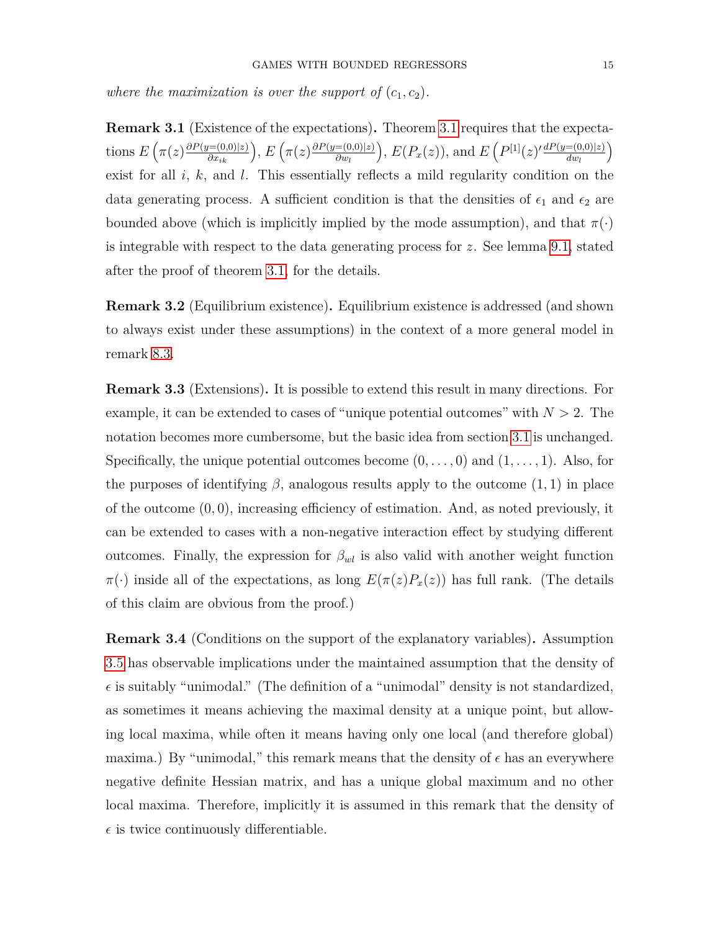*where the maximization is over the support of*  $(c_1, c_2)$ *.* 

<span id="page-14-1"></span>**Remark 3.1** (Existence of the expectations)**.** Theorem [3.1](#page-13-0) requires that the expecta- $\pi$  ions  $E\left(\pi(z)\frac{\partial P(y=(0,0)|z)}{\partial x_{ik}}\right), E\left(\pi(z)\frac{\partial P(y=(0,0)|z)}{\partial w_l}\right)$ *∂w<sup>l</sup>*  $\int$ ,  $E(P_x(z))$ , and  $E(P^{[1]}(z)'\frac{dP(y=(0,0)|z)}{dw}$ *dw<sup>l</sup>*  $\setminus$ exist for all *i*, *k*, and *l*. This essentially reflects a mild regularity condition on the data generating process. A sufficient condition is that the densities of  $\epsilon_1$  and  $\epsilon_2$  are bounded above (which is implicitly implied by the mode assumption), and that  $\pi(\cdot)$ is integrable with respect to the data generating process for *z*. See lemma [9.1,](#page-39-0) stated after the proof of theorem [3.1,](#page-13-0) for the details.

**Remark 3.2** (Equilibrium existence)**.** Equilibrium existence is addressed (and shown to always exist under these assumptions) in the context of a more general model in remark [8.3.](#page-36-0)

**Remark 3.3** (Extensions)**.** It is possible to extend this result in many directions. For example, it can be extended to cases of "unique potential outcomes" with  $N > 2$ . The notation becomes more cumbersome, but the basic idea from section [3.1](#page-7-1) is unchanged. Specifically, the unique potential outcomes become (0*, . . . ,* 0) and (1*, . . . ,* 1). Also, for the purposes of identifying  $\beta$ , analogous results apply to the outcome  $(1, 1)$  in place of the outcome (0*,* 0), increasing efficiency of estimation. And, as noted previously, it can be extended to cases with a non-negative interaction effect by studying different outcomes. Finally, the expression for  $\beta_{wl}$  is also valid with another weight function  $\pi(\cdot)$  inside all of the expectations, as long  $E(\pi(z)P_x(z))$  has full rank. (The details of this claim are obvious from the proof.)

<span id="page-14-0"></span>**Remark 3.4** (Conditions on the support of the explanatory variables)**.** Assumption [3.5](#page-12-1) has observable implications under the maintained assumption that the density of  $\epsilon$  is suitably "unimodal." (The definition of a "unimodal" density is not standardized, as sometimes it means achieving the maximal density at a unique point, but allowing local maxima, while often it means having only one local (and therefore global) maxima.) By "unimodal," this remark means that the density of  $\epsilon$  has an everywhere negative definite Hessian matrix, and has a unique global maximum and no other local maxima. Therefore, implicitly it is assumed in this remark that the density of  $\epsilon$  is twice continuously differentiable.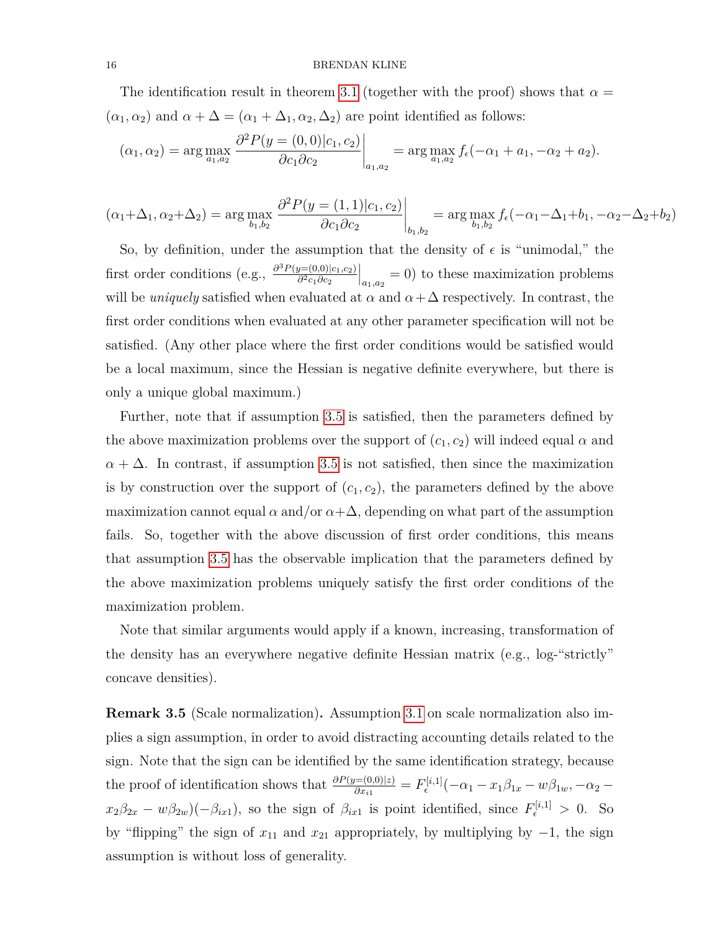The identification result in theorem [3.1](#page-13-0) (together with the proof) shows that  $\alpha =$  $(\alpha_1, \alpha_2)$  and  $\alpha + \Delta = (\alpha_1 + \Delta_1, \alpha_2, \Delta_2)$  are point identified as follows:

$$
(\alpha_1, \alpha_2) = \arg \max_{a_1, a_2} \left. \frac{\partial^2 P(y = (0, 0)|c_1, c_2)}{\partial c_1 \partial c_2} \right|_{a_1, a_2} = \arg \max_{a_1, a_2} f_{\epsilon}(-\alpha_1 + a_1, -\alpha_2 + a_2).
$$

$$
(\alpha_1 + \Delta_1, \alpha_2 + \Delta_2) = \arg \max_{b_1, b_2} \left. \frac{\partial^2 P(y = (1, 1)|c_1, c_2)}{\partial c_1 \partial c_2} \right|_{b_1, b_2} = \arg \max_{b_1, b_2} f_{\epsilon}(-\alpha_1 - \Delta_1 + b_1, -\alpha_2 - \Delta_2 + b_2)
$$

So, by definition, under the assumption that the density of  $\epsilon$  is "unimodal," the first order conditions (e.g.,  $\frac{\partial^3 P(y=(0,0)|c_1,c_2)}{\partial^2 c_1 \partial c_2}$ *∂* <sup>2</sup>*c*1*∂c*<sup>2</sup>  $\Big|_{a_1, a_2} = 0$  to these maximization problems will be *uniquely* satisfied when evaluated at  $\alpha$  and  $\alpha + \Delta$  respectively. In contrast, the first order conditions when evaluated at any other parameter specification will not be satisfied. (Any other place where the first order conditions would be satisfied would be a local maximum, since the Hessian is negative definite everywhere, but there is only a unique global maximum.)

Further, note that if assumption [3.5](#page-12-1) is satisfied, then the parameters defined by the above maximization problems over the support of  $(c_1, c_2)$  will indeed equal  $\alpha$  and  $\alpha + \Delta$ . In contrast, if assumption [3.5](#page-12-1) is not satisfied, then since the maximization is by construction over the support of  $(c_1, c_2)$ , the parameters defined by the above maximization cannot equal  $\alpha$  and/or  $\alpha + \Delta$ , depending on what part of the assumption fails. So, together with the above discussion of first order conditions, this means that assumption [3.5](#page-12-1) has the observable implication that the parameters defined by the above maximization problems uniquely satisfy the first order conditions of the maximization problem.

Note that similar arguments would apply if a known, increasing, transformation of the density has an everywhere negative definite Hessian matrix (e.g., log-"strictly" concave densities).

<span id="page-15-0"></span>**Remark 3.5** (Scale normalization)**.** Assumption [3.1](#page-9-2) on scale normalization also implies a sign assumption, in order to avoid distracting accounting details related to the sign. Note that the sign can be identified by the same identification strategy, because the proof of identification shows that  $\frac{\partial P(y=(0,0)|z)}{\partial x_{i1}} = F_{\epsilon}^{[i,1]}(-\alpha_1 - x_1\beta_{1x} - w\beta_{1w}, -\alpha_2 - w\beta_{2x} - w\beta_{2x})$  $x_2\beta_{2x} - w\beta_{2w}$ )(− $\beta_{ix1}$ ), so the sign of  $\beta_{ix1}$  is point identified, since  $F_{\epsilon}^{[i,1]} > 0$ . So by "flipping" the sign of  $x_{11}$  and  $x_{21}$  appropriately, by multiplying by  $-1$ , the sign assumption is without loss of generality.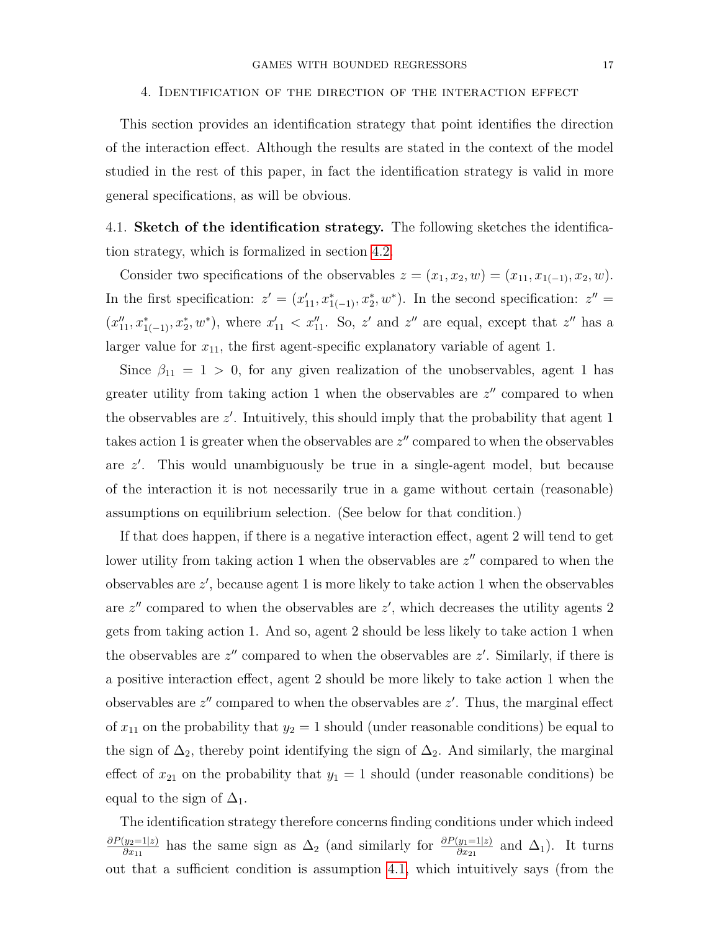#### 4. Identification of the direction of the interaction effect

<span id="page-16-0"></span>This section provides an identification strategy that point identifies the direction of the interaction effect. Although the results are stated in the context of the model studied in the rest of this paper, in fact the identification strategy is valid in more general specifications, as will be obvious.

4.1. **Sketch of the identification strategy.** The following sketches the identification strategy, which is formalized in section [4.2.](#page-17-0)

Consider two specifications of the observables  $z = (x_1, x_2, w) = (x_{11}, x_{1(-1)}, x_2, w)$ . In the first specification:  $z' = (x'_{11}, x^*_{1(-1)}, x^*_{2}, w^*)$ . In the second specification:  $z'' =$  $(x''_{11}, x''_{1(-1)}, x''_2, w^*)$ , where  $x'_{11} < x''_{11}$ . So,  $z'$  and  $z''$  are equal, except that  $z''$  has a larger value for  $x_{11}$ , the first agent-specific explanatory variable of agent 1.

Since  $\beta_{11} = 1 > 0$ , for any given realization of the unobservables, agent 1 has greater utility from taking action 1 when the observables are  $z''$  compared to when the observables are  $z'$ . Intuitively, this should imply that the probability that agent 1 takes action 1 is greater when the observables are  $z''$  compared to when the observables are *z'*. This would unambiguously be true in a single-agent model, but because of the interaction it is not necessarily true in a game without certain (reasonable) assumptions on equilibrium selection. (See below for that condition.)

If that does happen, if there is a negative interaction effect, agent 2 will tend to get lower utility from taking action 1 when the observables are  $z''$  compared to when the observables are  $z'$ , because agent 1 is more likely to take action 1 when the observables are  $z''$  compared to when the observables are  $z'$ , which decreases the utility agents 2 gets from taking action 1. And so, agent 2 should be less likely to take action 1 when the observables are  $z''$  compared to when the observables are  $z'$ . Similarly, if there is a positive interaction effect, agent 2 should be more likely to take action 1 when the observables are  $z''$  compared to when the observables are  $z'$ . Thus, the marginal effect of  $x_{11}$  on the probability that  $y_2 = 1$  should (under reasonable conditions) be equal to the sign of  $\Delta_2$ , thereby point identifying the sign of  $\Delta_2$ . And similarly, the marginal effect of  $x_{21}$  on the probability that  $y_1 = 1$  should (under reasonable conditions) be equal to the sign of  $\Delta_1$ .

The identification strategy therefore concerns finding conditions under which indeed *∂P*(*y*2=1|*z*)  $\frac{\partial y_2=1|z|}{\partial x_{11}}$  has the same sign as  $\Delta_2$  (and similarly for  $\frac{\partial P(y_1=1|z)}{\partial x_{21}}$  and  $\Delta_1$ ). It turns out that a sufficient condition is assumption [4.1,](#page-17-1) which intuitively says (from the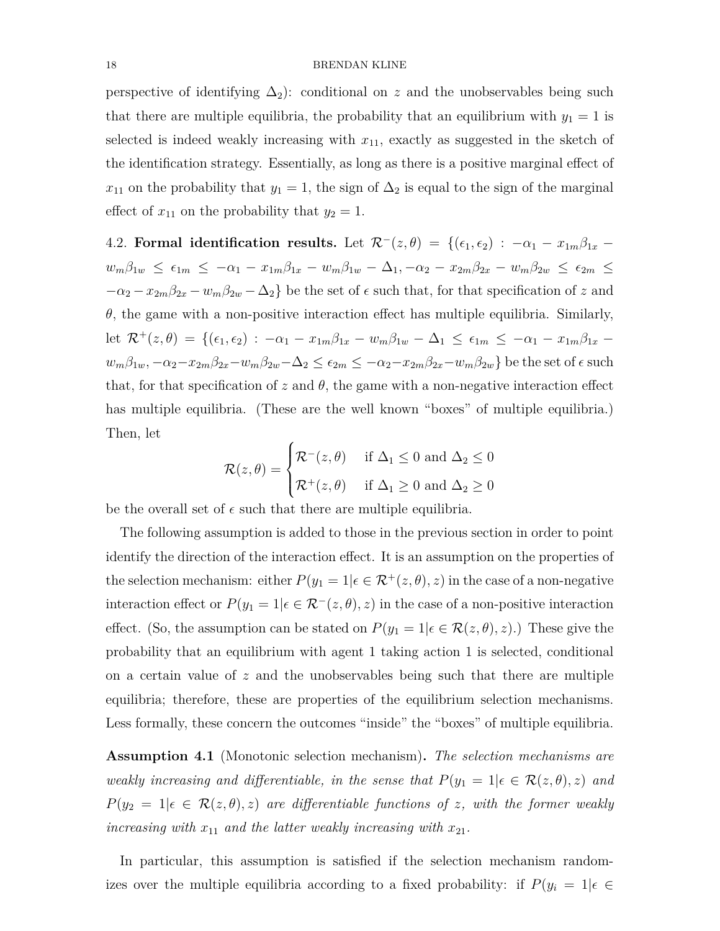perspective of identifying  $\Delta_2$ : conditional on *z* and the unobservables being such that there are multiple equilibria, the probability that an equilibrium with  $y_1 = 1$  is selected is indeed weakly increasing with  $x_{11}$ , exactly as suggested in the sketch of the identification strategy. Essentially, as long as there is a positive marginal effect of  $x_{11}$  on the probability that  $y_1 = 1$ , the sign of  $\Delta_2$  is equal to the sign of the marginal effect of  $x_{11}$  on the probability that  $y_2 = 1$ .

<span id="page-17-0"></span>4.2. **Formal identification results.** Let  $\mathcal{R}^{-}(z, \theta) = \{(\epsilon_1, \epsilon_2) : -\alpha_1 - x_{1m}\beta_{1x} - \alpha_2\}$  $w_m\beta_{1w} \ \leq \ \epsilon_{1m} \ \leq \ -\alpha_1 \ - \ x_{1m}\beta_{1x} \ - \ w_m\beta_{1w} \ - \ \Delta_1, \ -\alpha_2 \ - \ x_{2m}\beta_{2x} \ - \ w_m\beta_{2w} \ \leq \ \epsilon_{2m} \ \leq$  $-\alpha_2 - x_{2m}\beta_{2x} - w_m\beta_{2w} - \Delta_2$  be the set of  $\epsilon$  such that, for that specification of *z* and *θ*, the game with a non-positive interaction effect has multiple equilibria. Similarly, let  $\mathcal{R}^+(z, \theta) = \{(\epsilon_1, \epsilon_2) : -\alpha_1 - x_{1m}\beta_{1x} - w_m\beta_{1w} - \Delta_1 \leq \epsilon_{1m} \leq -\alpha_1 - x_{1m}\beta_{1x} - \Delta_1 \leq \epsilon_{2m} \leq -\alpha_1 - x_{1m}\beta_{1x} - \Delta_1 \leq \epsilon_{2m} \leq -\alpha_1 - x_{1m}\beta_{1x} - \Delta_1 \leq \epsilon_{2m} \leq -\alpha_1 - x_{1m}\beta_{1x} - \Delta_1 \leq \epsilon_{2m} \leq -\alpha_1 - x_{1m}\beta_{1x$  $w_m\beta_{1w},-\alpha_2-x_{2m}\beta_{2x}-w_m\beta_{2w}-\Delta_2\leq\epsilon_{2m}\leq -\alpha_2-x_{2m}\beta_{2x}-w_m\beta_{2w}\}\;\text{be the set of}\; \epsilon\;\text{such}$ that, for that specification of  $z$  and  $\theta$ , the game with a non-negative interaction effect has multiple equilibria. (These are the well known "boxes" of multiple equilibria.) Then, let  $\overline{ }$ 

$$
\mathcal{R}(z,\theta) = \begin{cases} \mathcal{R}^-(z,\theta) & \text{if } \Delta_1 \le 0 \text{ and } \Delta_2 \le 0 \\ \mathcal{R}^+(z,\theta) & \text{if } \Delta_1 \ge 0 \text{ and } \Delta_2 \ge 0 \end{cases}
$$

be the overall set of  $\epsilon$  such that there are multiple equilibria.

The following assumption is added to those in the previous section in order to point identify the direction of the interaction effect. It is an assumption on the properties of the selection mechanism: either  $P(y_1 = 1 | \epsilon \in \mathcal{R}^+(z, \theta), z)$  in the case of a non-negative interaction effect or  $P(y_1 = 1 | \epsilon \in \mathcal{R}^-(z, \theta), z)$  in the case of a non-positive interaction effect. (So, the assumption can be stated on  $P(y_1 = 1 | \epsilon \in \mathcal{R}(z, \theta), z)$ .) These give the probability that an equilibrium with agent 1 taking action 1 is selected, conditional on a certain value of *z* and the unobservables being such that there are multiple equilibria; therefore, these are properties of the equilibrium selection mechanisms. Less formally, these concern the outcomes "inside" the "boxes" of multiple equilibria.

<span id="page-17-1"></span>**Assumption 4.1** (Monotonic selection mechanism)**.** *The selection mechanisms are weakly increasing and differentiable, in the sense that*  $P(y_1 = 1 | \epsilon \in \mathcal{R}(z, \theta), z)$  *and*  $P(y_2 = 1 | \epsilon \in \mathcal{R}(z, \theta), z)$  *are differentiable functions of z, with the former weakly increasing with*  $x_{11}$  *and the latter weakly increasing with*  $x_{21}$ *.* 

In particular, this assumption is satisfied if the selection mechanism randomizes over the multiple equilibria according to a fixed probability: if  $P(y_i = 1 | \epsilon \in$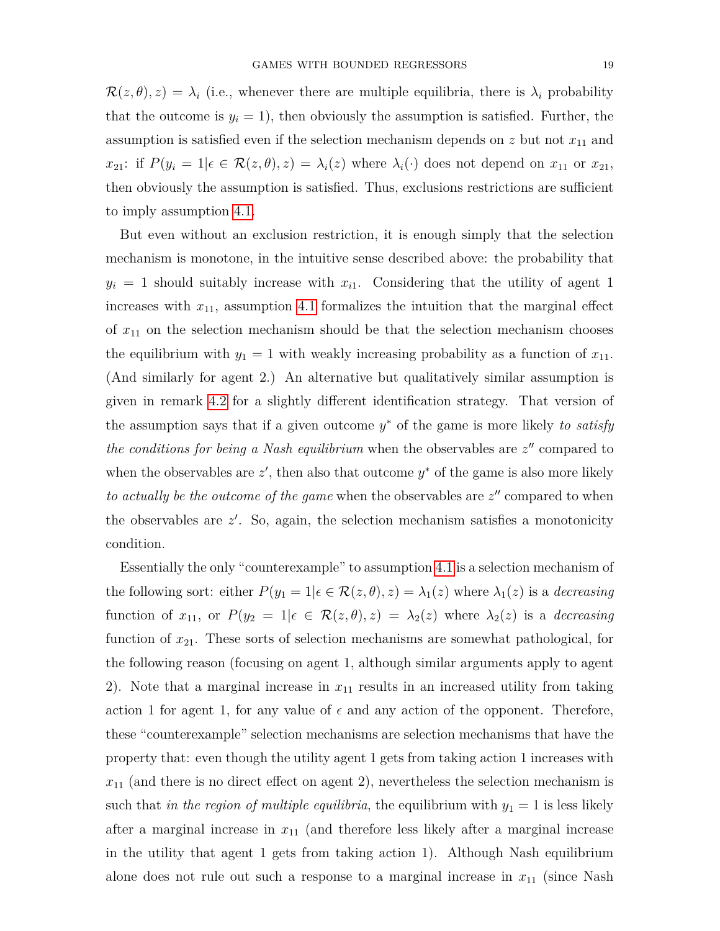$\mathcal{R}(z,\theta), z) = \lambda_i$  (i.e., whenever there are multiple equilibria, there is  $\lambda_i$  probability that the outcome is  $y_i = 1$ , then obviously the assumption is satisfied. Further, the assumption is satisfied even if the selection mechanism depends on  $z$  but not  $x_{11}$  and *x*<sub>21</sub>: if  $P(y_i = 1 | \epsilon \in \mathcal{R}(z, \theta), z) = \lambda_i(z)$  where  $\lambda_i(\cdot)$  does not depend on  $x_{11}$  or  $x_{21}$ , then obviously the assumption is satisfied. Thus, exclusions restrictions are sufficient to imply assumption [4.1.](#page-17-1)

But even without an exclusion restriction, it is enough simply that the selection mechanism is monotone, in the intuitive sense described above: the probability that  $y_i = 1$  should suitably increase with  $x_{i1}$ . Considering that the utility of agent 1 increases with  $x_{11}$ , assumption [4.1](#page-17-1) formalizes the intuition that the marginal effect of  $x_{11}$  on the selection mechanism should be that the selection mechanism chooses the equilibrium with  $y_1 = 1$  with weakly increasing probability as a function of  $x_{11}$ . (And similarly for agent 2.) An alternative but qualitatively similar assumption is given in remark [4.2](#page-19-0) for a slightly different identification strategy. That version of the assumption says that if a given outcome *y* <sup>∗</sup> of the game is more likely *to satisfy the conditions for being a Nash equilibrium* when the observables are  $z''$  compared to when the observables are  $z'$ , then also that outcome  $y^*$  of the game is also more likely *to actually be the outcome of the game* when the observables are  $z''$  compared to when the observables are  $z'$ . So, again, the selection mechanism satisfies a monotonicity condition.

Essentially the only "counterexample" to assumption [4.1](#page-17-1) is a selection mechanism of the following sort: either  $P(y_1 = 1 | \epsilon \in \mathcal{R}(z, \theta), z) = \lambda_1(z)$  where  $\lambda_1(z)$  is a *decreasing* function of  $x_{11}$ , or  $P(y_2 = 1 | \epsilon \in \mathcal{R}(z, \theta), z) = \lambda_2(z)$  where  $\lambda_2(z)$  is a *decreasing* function of *x*21. These sorts of selection mechanisms are somewhat pathological, for the following reason (focusing on agent 1, although similar arguments apply to agent 2). Note that a marginal increase in *x*<sup>11</sup> results in an increased utility from taking action 1 for agent 1, for any value of  $\epsilon$  and any action of the opponent. Therefore, these "counterexample" selection mechanisms are selection mechanisms that have the property that: even though the utility agent 1 gets from taking action 1 increases with  $x_{11}$  (and there is no direct effect on agent 2), nevertheless the selection mechanism is such that *in the region of multiple equilibria*, the equilibrium with  $y_1 = 1$  is less likely after a marginal increase in *x*<sup>11</sup> (and therefore less likely after a marginal increase in the utility that agent 1 gets from taking action 1). Although Nash equilibrium alone does not rule out such a response to a marginal increase in  $x_{11}$  (since Nash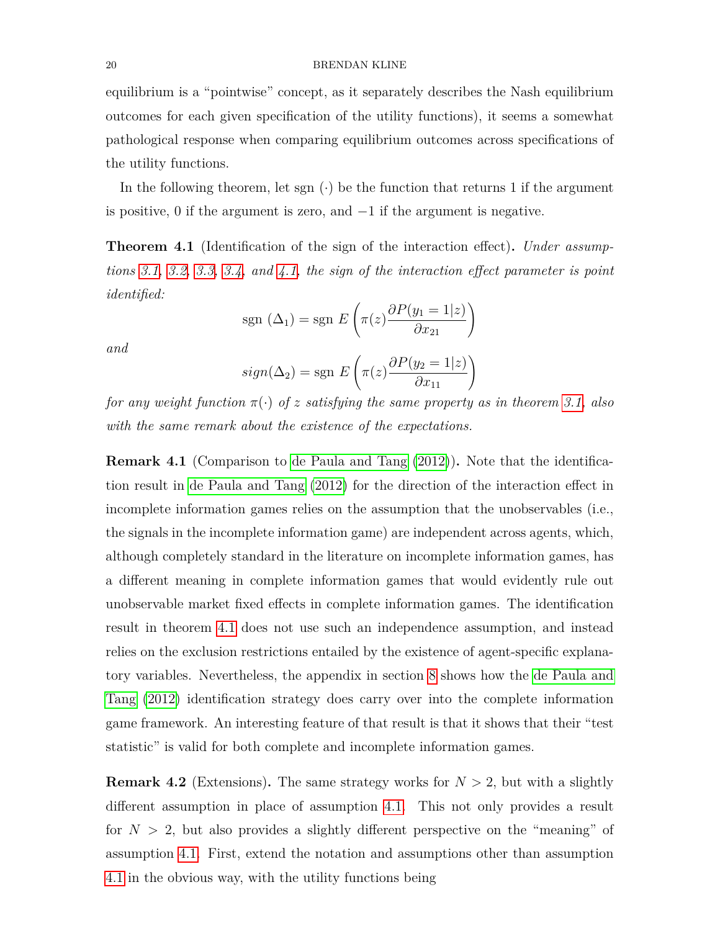equilibrium is a "pointwise" concept, as it separately describes the Nash equilibrium outcomes for each given specification of the utility functions), it seems a somewhat pathological response when comparing equilibrium outcomes across specifications of the utility functions.

In the following theorem, let sgn  $(\cdot)$  be the function that returns 1 if the argument is positive, 0 if the argument is zero, and −1 if the argument is negative.

<span id="page-19-1"></span>**Theorem 4.1** (Identification of the sign of the interaction effect)**.** *Under assumptions [3.1,](#page-9-2) [3.2,](#page-9-1) [3.3,](#page-10-0) [3.4,](#page-11-0) and [4.1,](#page-17-1) the sign of the interaction effect parameter is point identified:*

$$
sgn (\Delta_1) = sgn E \left( \pi(z) \frac{\partial P(y_1 = 1|z)}{\partial x_{21}} \right)
$$

*and*

$$
sign(\Delta_2) = sgn \ E\left(\pi(z) \frac{\partial P(y_2 = 1|z)}{\partial x_{11}}\right)
$$

*for any weight function π*(·) *of z satisfying the same property as in theorem [3.1,](#page-13-0) also with the same remark about the existence of the expectations.*

**Remark 4.1** (Comparison to [de Paula and Tang](#page-44-5) [\(2012\)](#page-44-5))**.** Note that the identification result in [de Paula and Tang](#page-44-5) [\(2012\)](#page-44-5) for the direction of the interaction effect in incomplete information games relies on the assumption that the unobservables (i.e., the signals in the incomplete information game) are independent across agents, which, although completely standard in the literature on incomplete information games, has a different meaning in complete information games that would evidently rule out unobservable market fixed effects in complete information games. The identification result in theorem [4.1](#page-19-1) does not use such an independence assumption, and instead relies on the exclusion restrictions entailed by the existence of agent-specific explanatory variables. Nevertheless, the appendix in section [8](#page-34-0) shows how the [de Paula and](#page-44-5) [Tang](#page-44-5) [\(2012\)](#page-44-5) identification strategy does carry over into the complete information game framework. An interesting feature of that result is that it shows that their "test statistic" is valid for both complete and incomplete information games.

<span id="page-19-0"></span>**Remark 4.2** (Extensions). The same strategy works for  $N > 2$ , but with a slightly different assumption in place of assumption [4.1.](#page-17-1) This not only provides a result for  $N > 2$ , but also provides a slightly different perspective on the "meaning" of assumption [4.1.](#page-17-1) First, extend the notation and assumptions other than assumption [4.1](#page-17-1) in the obvious way, with the utility functions being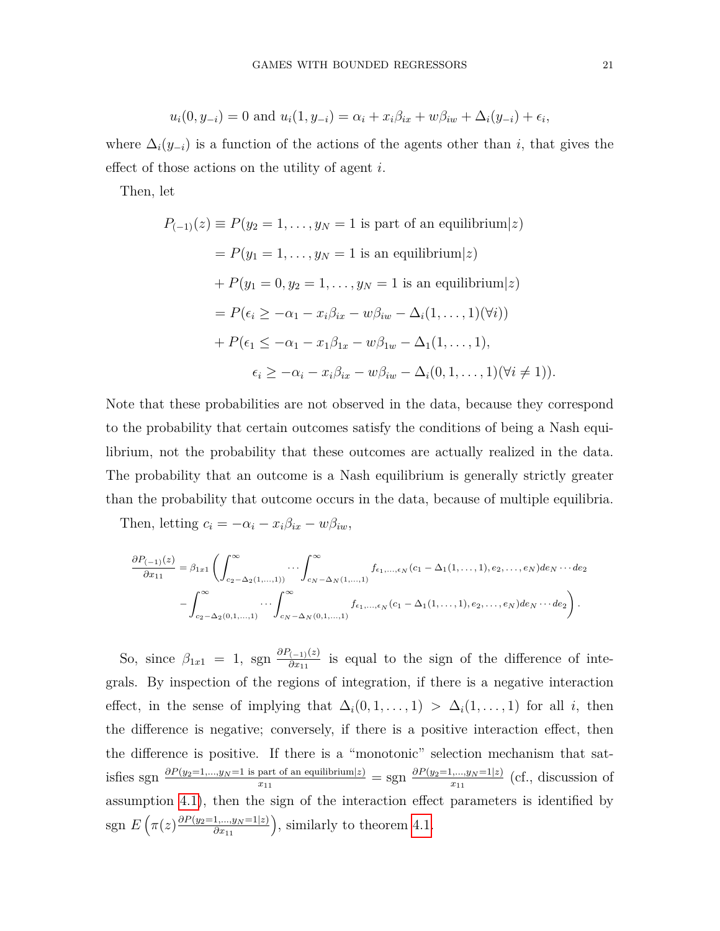$$
u_i(0, y_{-i}) = 0
$$
 and  $u_i(1, y_{-i}) = \alpha_i + x_i \beta_{ix} + w \beta_{iw} + \Delta_i(y_{-i}) + \epsilon_i$ ,

where  $\Delta_i(y_{-i})$  is a function of the actions of the agents other than *i*, that gives the effect of those actions on the utility of agent *i*.

Then, let

$$
P_{(-1)}(z) \equiv P(y_2 = 1, ..., y_N = 1 \text{ is part of an equilibrium}|z)
$$
  
=  $P(y_1 = 1, ..., y_N = 1 \text{ is an equilibrium}|z)$   
+  $P(y_1 = 0, y_2 = 1, ..., y_N = 1 \text{ is an equilibrium}|z)$   
=  $P(\epsilon_i \ge -\alpha_1 - x_i \beta_{ix} - w \beta_{iw} - \Delta_i(1, ..., 1)(\forall i))$   
+  $P(\epsilon_1 \le -\alpha_1 - x_1 \beta_{1x} - w \beta_{1w} - \Delta_1(1, ..., 1),$   
 $\epsilon_i \ge -\alpha_i - x_i \beta_{ix} - w \beta_{iw} - \Delta_i(0, 1, ..., 1)(\forall i \ne 1)).$ 

Note that these probabilities are not observed in the data, because they correspond to the probability that certain outcomes satisfy the conditions of being a Nash equilibrium, not the probability that these outcomes are actually realized in the data. The probability that an outcome is a Nash equilibrium is generally strictly greater than the probability that outcome occurs in the data, because of multiple equilibria.

Then, letting  $c_i = -\alpha_i - x_i \beta_{ix} - w \beta_{iw}$ ,

$$
\frac{\partial P_{(-1)}(z)}{\partial x_{11}} = \beta_{1x1} \left( \int_{c_2 - \Delta_2(1,...,1)}^{\infty} \cdots \int_{c_N - \Delta_N(1,...,1)}^{\infty} f_{\epsilon_1,...,\epsilon_N}(c_1 - \Delta_1(1,...,1), e_2,...,e_N) de_N \cdots de_2 \right. \\
\left. - \int_{c_2 - \Delta_2(0,1,...,1)}^{\infty} \cdots \int_{c_N - \Delta_N(0,1,...,1)}^{\infty} f_{\epsilon_1,...,\epsilon_N}(c_1 - \Delta_1(1,...,1), e_2,...,e_N) de_N \cdots de_2 \right).
$$

So, since  $\beta_{1x1} = 1$ , sgn  $\frac{\partial P_{(-1)}(z)}{\partial x_{11}}$  $\frac{(-1)^{(z)}}{\partial x_{11}}$  is equal to the sign of the difference of integrals. By inspection of the regions of integration, if there is a negative interaction effect, in the sense of implying that  $\Delta_i(0,1,\ldots,1) > \Delta_i(1,\ldots,1)$  for all *i*, then the difference is negative; conversely, if there is a positive interaction effect, then the difference is positive. If there is a "monotonic" selection mechanism that satisfies sgn  $\frac{\partial P(y_2=1,...,y_N=1 \text{ is part of an equilibrium}|z)}{x_{11}} = \text{sgn} \frac{\partial P(y_2=1,...,y_N=1|z)}{x_{11}}$  $\frac{m_1,...,y_N=1|z|}{x_{11}}$  (cf., discussion of assumption [4.1\)](#page-17-1), then the sign of the interaction effect parameters is identified by  $\text{sgn } E\left(\pi(z)\frac{\partial P(y_2=1,...,y_N=1|z)}{\partial x_{11}}\right), \text{ similarly to theorem 4.1.}$  $\text{sgn } E\left(\pi(z)\frac{\partial P(y_2=1,...,y_N=1|z)}{\partial x_{11}}\right), \text{ similarly to theorem 4.1.}$  $\text{sgn } E\left(\pi(z)\frac{\partial P(y_2=1,...,y_N=1|z)}{\partial x_{11}}\right), \text{ similarly to theorem 4.1.}$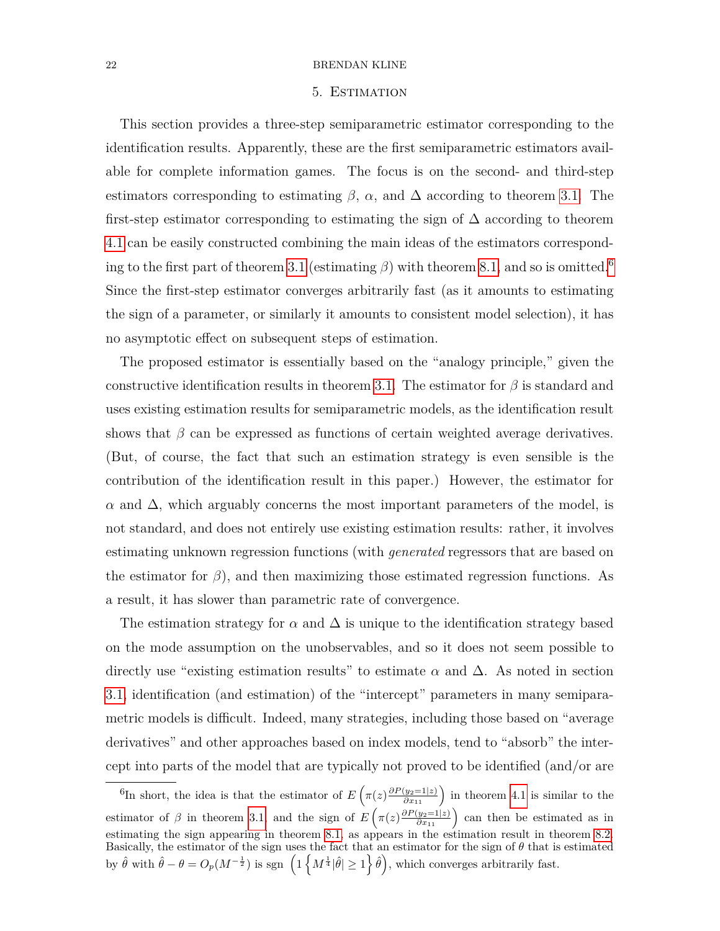#### 5. Estimation

<span id="page-21-0"></span>This section provides a three-step semiparametric estimator corresponding to the identification results. Apparently, these are the first semiparametric estimators available for complete information games. The focus is on the second- and third-step estimators corresponding to estimating  $\beta$ ,  $\alpha$ , and  $\Delta$  according to theorem [3.1.](#page-13-0) The first-step estimator corresponding to estimating the sign of  $\Delta$  according to theorem [4.1](#page-19-1) can be easily constructed combining the main ideas of the estimators correspond-ing to the first part of theorem [3.1](#page-13-0) (estimating  $\beta$ ) with theorem [8.1,](#page-35-0) and so is omitted.<sup>[6](#page-21-1)</sup> Since the first-step estimator converges arbitrarily fast (as it amounts to estimating the sign of a parameter, or similarly it amounts to consistent model selection), it has no asymptotic effect on subsequent steps of estimation.

The proposed estimator is essentially based on the "analogy principle," given the constructive identification results in theorem [3.1.](#page-13-0) The estimator for  $\beta$  is standard and uses existing estimation results for semiparametric models, as the identification result shows that  $\beta$  can be expressed as functions of certain weighted average derivatives. (But, of course, the fact that such an estimation strategy is even sensible is the contribution of the identification result in this paper.) However, the estimator for  $\alpha$  and  $\Delta$ , which arguably concerns the most important parameters of the model, is not standard, and does not entirely use existing estimation results: rather, it involves estimating unknown regression functions (with *generated* regressors that are based on the estimator for  $\beta$ ), and then maximizing those estimated regression functions. As a result, it has slower than parametric rate of convergence.

The estimation strategy for  $\alpha$  and  $\Delta$  is unique to the identification strategy based on the mode assumption on the unobservables, and so it does not seem possible to directly use "existing estimation results" to estimate  $\alpha$  and  $\Delta$ . As noted in section [3.1,](#page-7-1) identification (and estimation) of the "intercept" parameters in many semiparametric models is difficult. Indeed, many strategies, including those based on "average derivatives" and other approaches based on index models, tend to "absorb" the intercept into parts of the model that are typically not proved to be identified (and/or are

<span id="page-21-1"></span><sup>&</sup>lt;sup>6</sup>In short, the idea is that the estimator of  $E\left(\pi(z)\frac{\partial P(y_2=1|z)}{\partial x_{11}}\right)$  in theorem [4.1](#page-19-1) is similar to the estimator of  $\beta$  in theorem [3.1,](#page-13-0) and the sign of  $E\left(\pi(z)\frac{\partial P(y_2=1|z)}{\partial x_{11}}\right)$  can then be estimated as in estimating the sign appearing in theorem [8.1,](#page-35-0) as appears in the estimation result in theorem [8.2.](#page-37-0) Basically, the estimator of the sign uses the fact that an estimator for the sign of *θ* that is estimated by  $\hat{\theta}$  with  $\hat{\theta} - \theta = O_p(M^{-\frac{1}{2}})$  is sgn  $\left( \frac{1}{M^{\frac{1}{4}} |\hat{\theta}| \geq 1}{\hat{\theta}} \right)$ , which converges arbitrarily fast.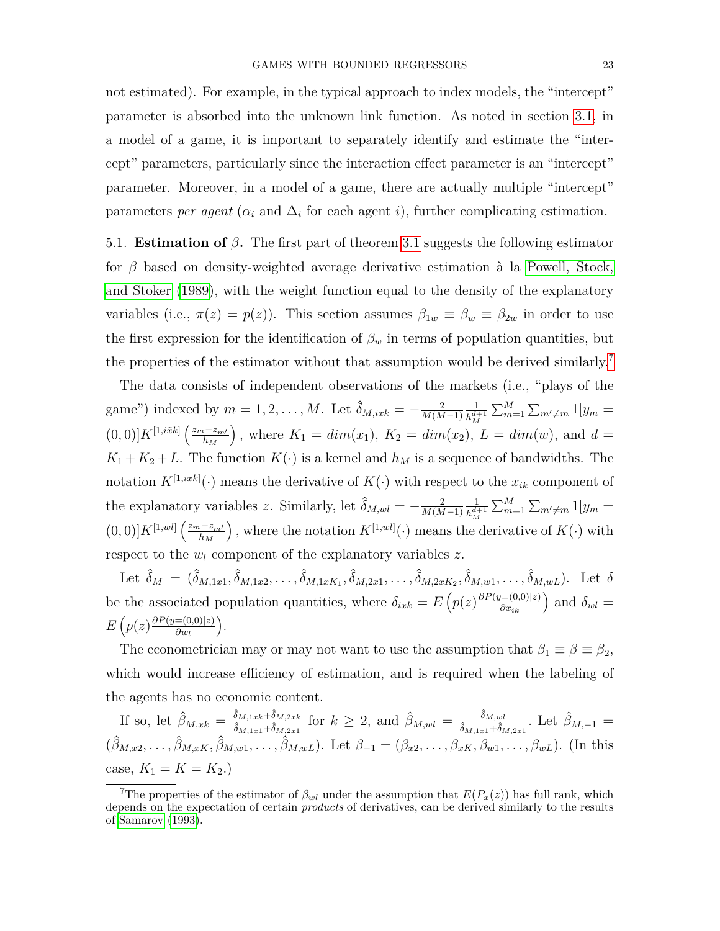not estimated). For example, in the typical approach to index models, the "intercept" parameter is absorbed into the unknown link function. As noted in section [3.1,](#page-7-1) in a model of a game, it is important to separately identify and estimate the "intercept" parameters, particularly since the interaction effect parameter is an "intercept" parameter. Moreover, in a model of a game, there are actually multiple "intercept" parameters *per agent* ( $\alpha_i$  and  $\Delta_i$  for each agent *i*), further complicating estimation.

5.1. **Estimation of** *β***.** The first part of theorem [3.1](#page-13-0) suggests the following estimator for *β* based on density-weighted average derivative estimation à la [Powell, Stock,](#page-44-11) [and Stoker](#page-44-11) [\(1989\)](#page-44-11), with the weight function equal to the density of the explanatory variables (i.e.,  $\pi(z) = p(z)$ ). This section assumes  $\beta_{1w} \equiv \beta_w \equiv \beta_{2w}$  in order to use the first expression for the identification of  $\beta_w$  in terms of population quantities, but the properties of the estimator without that assumption would be derived similarly.<sup>[7](#page-22-0)</sup>

The data consists of independent observations of the markets (i.e., "plays of the game") indexed by  $m = 1, 2, \ldots, M$ . Let  $\hat{\delta}_{M, i x k} = -\frac{2}{M(M)}$ *M*(*M*−1) 1  $h^{d+1}_M$  $\sum_{m=1}^{M} \sum_{m' \neq m} 1[y_m] =$  $(0,0)$ ]  $K^{[1,i\tilde{x}k]}$   $\left(\frac{z_m-z_{m'}}{h} \right)$ *h<sup>M</sup> )*, where  $K_1 = dim(x_1)$ ,  $K_2 = dim(x_2)$ ,  $L = dim(w)$ , and  $d =$  $K_1 + K_2 + L$ . The function  $K(\cdot)$  is a kernel and  $h_M$  is a sequence of bandwidths. The notation  $K^{[1,ixk]}(\cdot)$  means the derivative of  $K(\cdot)$  with respect to the  $x_{ik}$  component of the explanatory variables *z*. Similarly, let  $\hat{\delta}_{M,wl} = -\frac{2}{M(M)}$ *M*(*M*−1) 1  $h_M^{d+1}$  $\sum_{m=1}^{M} \sum_{m' \neq m} 1[y_m] =$  $(0,0)$ ] $K^{[1,wl]}$   $\left(\frac{z_m-z_{m'}}{h} \right)$ *h<sup>M</sup>* ), where the notation  $K^{[1,wl]}(\cdot)$  means the derivative of  $K(\cdot)$  with respect to the *w<sup>l</sup>* component of the explanatory variables *z*.

Let  $\hat{\delta}_M = (\hat{\delta}_{M,1x1}, \hat{\delta}_{M,1x2}, \dots, \hat{\delta}_{M,1xK_1}, \hat{\delta}_{M,2x1}, \dots, \hat{\delta}_{M,2xK_2}, \hat{\delta}_{M,w1}, \dots, \hat{\delta}_{M,wL}).$  Let  $\delta$ be the associated population quantities, where  $\delta_{ixk} = E\left(p(z)\frac{\partial P(y=(0,0)|z)}{\partial x_{ik}}\right)$  and  $\delta_{wl} =$  $E\left(p(z)\frac{\partial P(y=(0,0)|z)}{\partial w} \right)$ *∂w<sup>l</sup>* .

The econometrician may or may not want to use the assumption that  $\beta_1 \equiv \beta \equiv \beta_2$ , which would increase efficiency of estimation, and is required when the labeling of the agents has no economic content.

If so, let  $\hat{\beta}_{M,xk} = \frac{\hat{\delta}_{M,1xk} + \hat{\delta}_{M,2xk}}{\hat{\delta}_{M,xk} + \hat{\delta}_{M,xk}}$  $\frac{\hat{\delta}_{M,1xk} + \hat{\delta}_{M,2xk}}{\hat{\delta}_{M,1x1} + \hat{\delta}_{M,2x1}}$  for  $k \geq 2$ , and  $\hat{\beta}_{M,wl} = \frac{\hat{\delta}_{M,wl}}{\hat{\delta}_{M,1x1} + \hat{\delta}_{M,2x1}}$  $\frac{\delta_{M,wl}}{\delta_{M,1x1}+\delta_{M,2x1}}$ . Let  $\hat{\beta}_{M,-1}$  =  $(\hat{\beta}_{M,x2},\ldots,\hat{\beta}_{M,xK},\hat{\beta}_{M,w1},\ldots,\hat{\beta}_{M,wL})$ . Let  $\beta_{-1}=(\beta_{x2},\ldots,\beta_{xK},\beta_{w1},\ldots,\beta_{wL})$ . (In this case,  $K_1 = K = K_2.$ 

<span id="page-22-0"></span><sup>&</sup>lt;sup>7</sup>The properties of the estimator of  $\beta_{wl}$  under the assumption that  $E(P_x(z))$  has full rank, which depends on the expectation of certain *products* of derivatives, can be derived similarly to the results of [Samarov](#page-44-12) [\(1993\)](#page-44-12).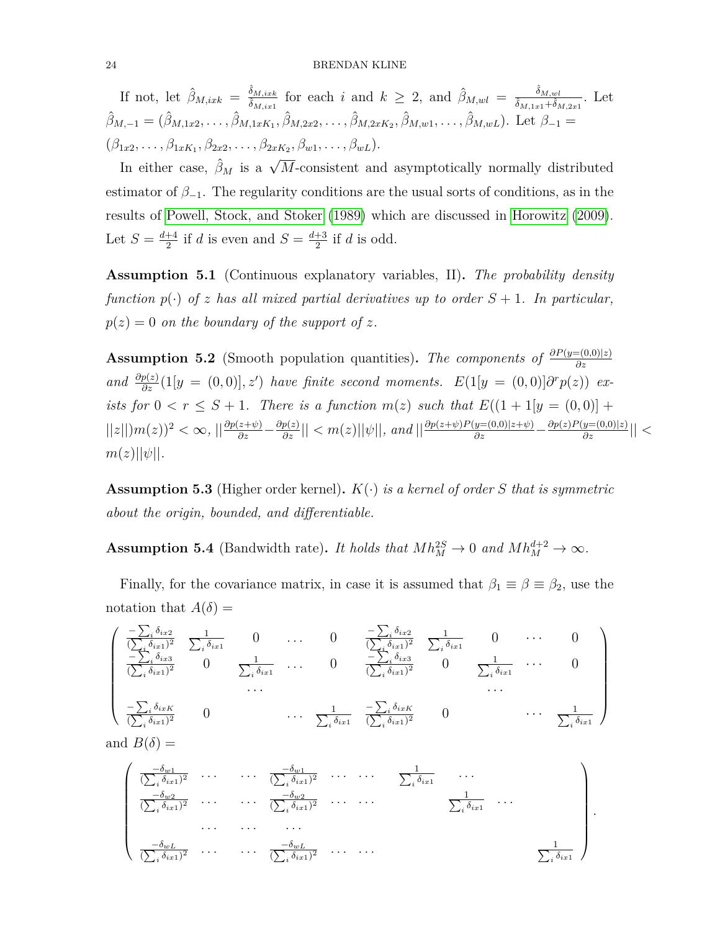If not, let  $\hat{\beta}_{M,ixk} = \frac{\hat{\delta}_{M,ixk}}{\hat{\delta}_{M,ixk}}$  $\frac{\hat{\delta}_{M,ixk}}{\hat{\delta}_{M,ix1}}$  for each *i* and  $k \geq 2$ , and  $\hat{\beta}_{M,wl} = \frac{\hat{\delta}_{M,wl}}{\hat{\delta}_{M,1x1} + \hat{\delta}_{N}}$  $\frac{\delta_{M,wl}}{\delta_{M,1x1}+\delta_{M,2x1}}$ . Let  $\hat{\beta}_{M,-1} = (\hat{\beta}_{M,1x2}, \dots, \hat{\beta}_{M,1xK_1}, \hat{\beta}_{M,2x2}, \dots, \hat{\beta}_{M,2xK_2}, \hat{\beta}_{M,w1}, \dots, \hat{\beta}_{M,wL}).$  Let  $\beta_{-1} =$  $(\beta_{1x2}, \ldots, \beta_{1xK_1}, \beta_{2x2}, \ldots, \beta_{2xK_2}, \beta_{w1}, \ldots, \beta_{wL}).$ 

In either case,  $\hat{\beta}_M$  is a  $\sqrt{M}$ -consistent and asymptotically normally distributed estimator of  $\beta_{-1}$ . The regularity conditions are the usual sorts of conditions, as in the results of [Powell, Stock, and Stoker](#page-44-11) [\(1989\)](#page-44-11) which are discussed in [Horowitz](#page-44-10) [\(2009\)](#page-44-10). Let  $S = \frac{d+4}{2}$  $\frac{+4}{2}$  if *d* is even and  $S = \frac{d+3}{2}$  $\frac{+3}{2}$  if *d* is odd.

<span id="page-23-0"></span>**Assumption 5.1** (Continuous explanatory variables, II)**.** *The probability density function*  $p(\cdot)$  *of z has all mixed partial derivatives up to order*  $S + 1$ *. In particular,*  $p(z) = 0$  *on the boundary of the support of z*.

<span id="page-23-1"></span>**Assumption 5.2** (Smooth population quantities). *The components of*  $\frac{\partial P(y=(0,0)|z)}{\partial z}$ *and*  $\frac{\partial p(z)}{\partial z}$  (1[*y* = (0*,* 0)]*, z*<sup>*'*</sup>) *have finite second moments.*  $E(1[y = (0,0)]\partial^r p(z))$  *exists for*  $0 < r \leq S + 1$ *. There is a function*  $m(z)$  *such that*  $E((1 + 1[y = (0,0)] +$  $||z||m(z)|^2 < \infty$ ,  $||\frac{\partial p(z+\psi)}{\partial z} - \frac{\partial p(z)}{\partial z}|| < m(z)||\psi||$ , and  $||\frac{\partial p(z+\psi)P(y=(0,0)|z+\psi)}{\partial z} - \frac{\partial p(z)P(y=(0,0)|z)}{\partial z}|| <$  $m(z)||\psi||$ .

<span id="page-23-2"></span>**Assumption 5.3** (Higher order kernel)**.** *K*(·) *is a kernel of order S that is symmetric about the origin, bounded, and differentiable.*

<span id="page-23-3"></span>**Assumption 5.4** (Bandwidth rate). *It holds that*  $Mh_M^{2S} \to 0$  *and*  $Mh_M^{d+2} \to \infty$ .

Finally, for the covariance matrix, in case it is assumed that  $\beta_1 \equiv \beta \equiv \beta_2$ , use the notation that  $A(\delta) =$ 

$$
\begin{pmatrix}\n\frac{-\sum_{i}\delta_{ix2}}{(\sum_{i}\delta_{ix1})^{2}} & \sum_{i}\delta_{ix1} & 0 & \dots & 0 & \frac{-\sum_{i}\delta_{ix2}}{(\sum_{i}\delta_{ix1})^{2}} & \frac{1}{\sum_{i}\delta_{ix1}} & 0 & \dots & 0 \\
\frac{-\sum_{i}\delta_{ix3}}{(\sum_{i}\delta_{ix1})^{2}} & 0 & \sum_{i}\delta_{ix1} & \dots & 0 & \frac{-\sum_{i}\delta_{ix3}}{(\sum_{i}\delta_{ix1})^{2}} & 0 & \frac{1}{\sum_{i}\delta_{ix1}} & \dots & 0 \\
\vdots & \vdots & \vdots & \ddots & \vdots & \vdots \\
\frac{-\sum_{i}\delta_{ixK}}{(\sum_{i}\delta_{ix1})^{2}} & 0 & \dots & \frac{1}{\sum_{i}\delta_{ix1}} & \frac{-\sum_{i}\delta_{ixK}}{(\sum_{i}\delta_{ix1})^{2}} & 0 & \dots & \frac{1}{\sum_{i}\delta_{ix1}}\n\end{pmatrix}
$$

and  $B(\delta) =$ 

$$
\begin{pmatrix}\n\frac{-\delta_{w1}}{(\sum_{i}\delta_{ix1})^2} & \cdots & \cdots & \frac{-\delta_{w1}}{(\sum_{i}\delta_{ix1})^2} & \cdots & \cdots & \frac{1}{\sum_{i}\delta_{ix1}} & \cdots \\
\frac{-\delta_{w2}}{(\sum_{i}\delta_{ix1})^2} & \cdots & \cdots & \frac{-\delta_{w2}}{(\sum_{i}\delta_{ix1})^2} & \cdots & \cdots & \frac{1}{\sum_{i}\delta_{ix1}} & \cdots \\
\cdots & \cdots & \cdots & \cdots & \frac{-\delta_{wL}}{(\sum_{i}\delta_{ix1})^2} & \cdots & \cdots & \frac{-\delta_{wL}}{(\sum_{i}\delta_{ix1})^2} & \cdots & \cdots & \frac{1}{\sum_{i}\delta_{ix1}}\n\end{pmatrix}.
$$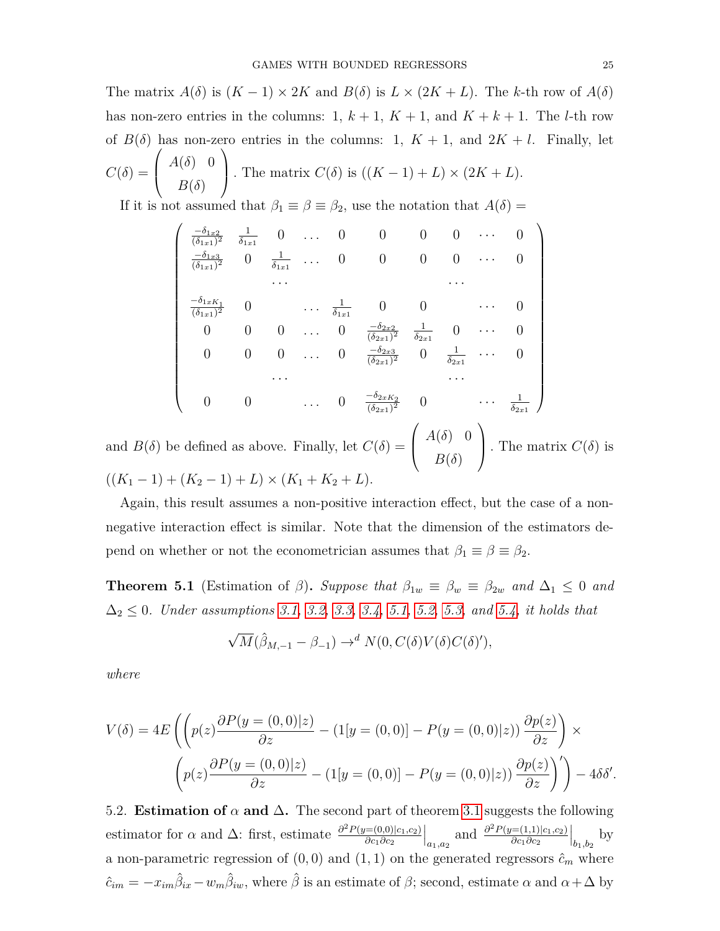The matrix  $A(\delta)$  is  $(K-1) \times 2K$  and  $B(\delta)$  is  $L \times (2K+L)$ . The *k*-th row of  $A(\delta)$ has non-zero entries in the columns:  $1, k+1, K+1$ , and  $K+k+1$ . The *l*-th row of  $B(\delta)$  has non-zero entries in the columns: 1,  $K + 1$ , and  $2K + l$ . Finally, let  $C(\delta) =$  $\sqrt{ }$  $\overline{ }$  $A(\delta)$  0 *B*(*δ*)  $\setminus$ *.* The matrix  $C(\delta)$  is  $((K-1) + L) \times (2K + L)$ .

If it is not assumed that  $\beta_1 \equiv \beta \equiv \beta_2$ , use the notation that  $A(\delta)$  =

$$
\begin{pmatrix}\n\frac{-\delta_{1x2}}{(\delta_{1x1})^2} & \frac{1}{\delta_{1x1}} & 0 & \dots & 0 & 0 & 0 & 0 & \dots & 0 \\
\frac{-\delta_{1x3}}{(\delta_{1x1})^2} & 0 & \frac{1}{\delta_{1x1}} & \dots & 0 & 0 & 0 & 0 & \dots & 0 \\
\vdots & \vdots & \vdots & \vdots & \vdots & \ddots & \vdots & \vdots & \vdots \\
\frac{-\delta_{1xK_1}}{(\delta_{1x1})^2} & 0 & \dots & \frac{1}{\delta_{1x1}} & 0 & 0 & \dots & 0 \\
0 & 0 & 0 & \dots & 0 & \frac{-\delta_{2x2}}{(\delta_{2x1})^2} & \frac{1}{\delta_{2x1}} & 0 & \dots & 0 \\
0 & 0 & 0 & \dots & 0 & \frac{-\delta_{2x3}}{(\delta_{2x1})^2} & 0 & \frac{1}{\delta_{2x1}} & \dots & 0 \\
\vdots & \vdots & \vdots & \vdots & \vdots & \vdots & \vdots & \vdots \\
0 & 0 & \dots & 0 & \frac{-\delta_{2xK_2}}{(\delta_{2x1})^2} & 0 & \dots & \frac{1}{\delta_{2x1}}\n\end{pmatrix}
$$

and  $B(\delta)$  be defined as above. Finally, let  $C(\delta) = \begin{bmatrix} 1 & 0 \\ 0 & 1 \end{bmatrix}$  $B(\delta)$  . The matrix  $C(\delta)$  is  $((K_1 - 1) + (K_2 - 1) + L) \times (K_1 + K_2 + L).$ 

Again, this result assumes a non-positive interaction effect, but the case of a nonnegative interaction effect is similar. Note that the dimension of the estimators depend on whether or not the econometrician assumes that  $\beta_1 \equiv \beta \equiv \beta_2$ .

<span id="page-24-0"></span>**Theorem 5.1** (Estimation of *β*). Suppose that  $\beta_{1w} \equiv \beta_w \equiv \beta_{2w}$  and  $\Delta_1 \leq 0$  and ∆<sup>2</sup> ≤ 0*. Under assumptions [3.1,](#page-9-2) [3.2,](#page-9-1) [3.3,](#page-10-0) [3.4,](#page-11-0) [5.1,](#page-23-0) [5.2,](#page-23-1) [5.3,](#page-23-2) and [5.4,](#page-23-3) it holds that*

$$
\sqrt{M}(\hat{\beta}_{M,-1} - \beta_{-1}) \to^d N(0, C(\delta)V(\delta)C(\delta)'),
$$

*where*

$$
V(\delta) = 4E\left(\left(p(z)\frac{\partial P(y=(0,0)|z)}{\partial z} - (1[y=(0,0)] - P(y=(0,0)|z))\frac{\partial p(z)}{\partial z}\right) \times \left(p(z)\frac{\partial P(y=(0,0)|z)}{\partial z} - (1[y=(0,0)] - P(y=(0,0)|z))\frac{\partial p(z)}{\partial z}\right)\right) - 4\delta\delta'.
$$

5.2. **Estimation of**  $\alpha$  and  $\Delta$ . The second part of theorem [3.1](#page-13-0) suggests the following estimator for  $\alpha$  and  $\Delta$ : first, estimate  $\frac{\partial^2 P(y=(0,0)|c_1,c_2)}{\partial c_1 \partial c_2}$ *∂c*1*∂c*<sup>2</sup>  $\Big|_{a_1, a_2}$  and  $\frac{\partial^2 P(y=(1,1)|c_1, c_2)}{\partial c_1 \partial c_2}$ *∂c*1*∂c*<sup>2</sup>  $\Big|_{b_1,b_2}$  by a non-parametric regression of  $(0,0)$  and  $(1,1)$  on the generated regressors  $\hat{c}_m$  where  $\hat{c}_{im} = -x_{im}\hat{\beta}_{ix} - w_m\hat{\beta}_{iw}$ , where  $\hat{\beta}$  is an estimate of  $\beta$ ; second, estimate  $\alpha$  and  $\alpha + \Delta$  by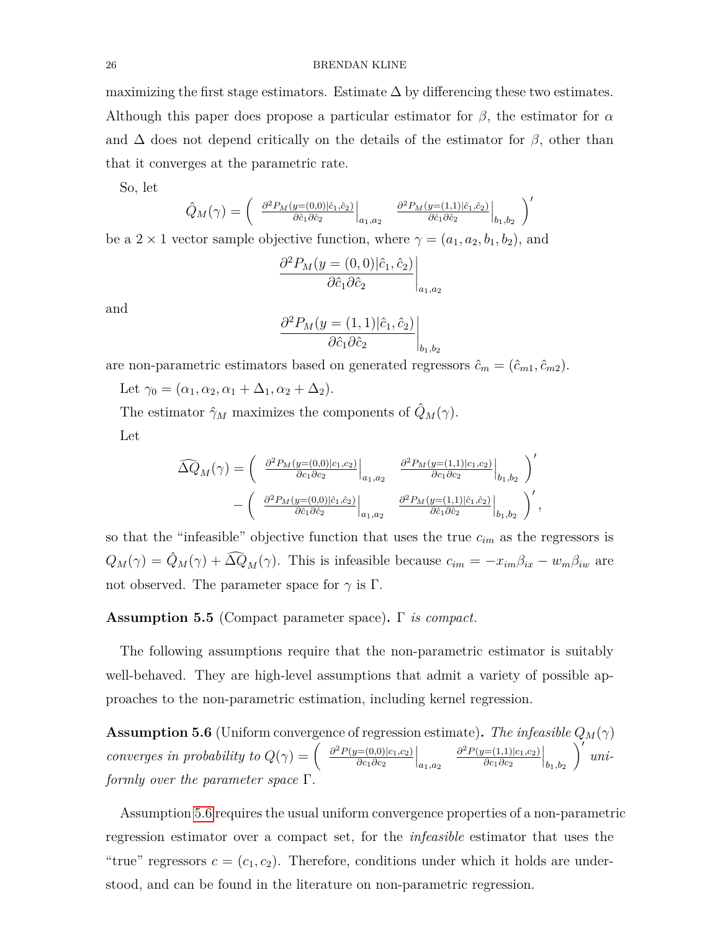maximizing the first stage estimators. Estimate  $\Delta$  by differencing these two estimates. Although this paper does propose a particular estimator for *β*, the estimator for *α* and  $\Delta$  does not depend critically on the details of the estimator for  $\beta$ , other than that it converges at the parametric rate.

So, let

$$
\hat{Q}_M(\gamma) = \begin{pmatrix} \left. \frac{\partial^2 P_M(y=(0,0)|\hat{c}_1,\hat{c}_2)}{\partial \hat{c}_1 \partial \hat{c}_2} \right|_{a_1,a_2} & \left. \frac{\partial^2 P_M(y=(1,1)|\hat{c}_1,\hat{c}_2)}{\partial \hat{c}_1 \partial \hat{c}_2} \right|_{b_1,b_2} \end{pmatrix}'
$$

be a 2 × 1 vector sample objective function, where  $\gamma = (a_1, a_2, b_1, b_2)$ , and

$$
\left. \frac{\partial^2 P_M(y = (0,0)|\hat{c}_1, \hat{c}_2)}{\partial \hat{c}_1 \partial \hat{c}_2} \right|_{a_1, a_2}
$$

and

$$
\left. \frac{\partial^2 P_M(y = (1,1)|\hat{c}_1, \hat{c}_2)}{\partial \hat{c}_1 \partial \hat{c}_2} \right|_{b_1, b_2}
$$

are non-parametric estimators based on generated regressors  $\hat{c}_m = (\hat{c}_{m1}, \hat{c}_{m2})$ .

Let  $\gamma_0 = (\alpha_1, \alpha_2, \alpha_1 + \Delta_1, \alpha_2 + \Delta_2).$ 

The estimator  $\hat{\gamma}_M$  maximizes the components of  $\hat{Q}_M(\gamma)$ . Let

$$
\widehat{\Delta Q}_{M}(\gamma) = \begin{pmatrix} \left. \frac{\partial^2 P_M(y=(0,0)|c_1,c_2)}{\partial c_1 \partial c_2} \right|_{a_1,a_2} & \left. \frac{\partial^2 P_M(y=(1,1)|c_1,c_2)}{\partial c_1 \partial c_2} \right|_{b_1,b_2} \\ - \left. \left( \left. \frac{\partial^2 P_M(y=(0,0)|\hat{c}_1,\hat{c}_2)}{\partial \hat{c}_1 \partial \hat{c}_2} \right|_{a_1,a_2} & \left. \frac{\partial^2 P_M(y=(1,1)|\hat{c}_1,\hat{c}_2)}{\partial \hat{c}_1 \partial \hat{c}_2} \right|_{b_1,b_2} \right)', \end{pmatrix}
$$

so that the "infeasible" objective function that uses the true *cim* as the regressors is  $Q_M(\gamma) = \hat{Q}_M(\gamma) + \widehat{\Delta Q}_M(\gamma)$ . This is infeasible because  $c_{im} = -x_{im}\beta_{ix} - w_m\beta_{iw}$  are not observed. The parameter space for  $\gamma$  is  $\Gamma$ .

<span id="page-25-1"></span>**Assumption 5.5** (Compact parameter space)**.** Γ *is compact.*

The following assumptions require that the non-parametric estimator is suitably well-behaved. They are high-level assumptions that admit a variety of possible approaches to the non-parametric estimation, including kernel regression.

<span id="page-25-0"></span>**Assumption 5.6** (Uniform convergence of regression estimate). The infeasible  $Q_M(\gamma)$ *converges in probability to*  $Q(\gamma) = \begin{pmatrix} \frac{\partial^2 P(y=(0,0)|c_1,c_2)}{\partial c_1 \partial c_2}$ *∂c*1*∂c*<sup>2</sup>  $\Big|_{a_1,a_2}$ *∂* <sup>2</sup>*P*(*y*=(1*,*1)|*c*1*,c*2) *∂c*1*∂c*<sup>2</sup>  $\Big|_{b_1,b_2}$  $\int'$  uni*formly over the parameter space* Γ*.*

Assumption [5.6](#page-25-0) requires the usual uniform convergence properties of a non-parametric regression estimator over a compact set, for the *infeasible* estimator that uses the "true" regressors  $c = (c_1, c_2)$ . Therefore, conditions under which it holds are understood, and can be found in the literature on non-parametric regression.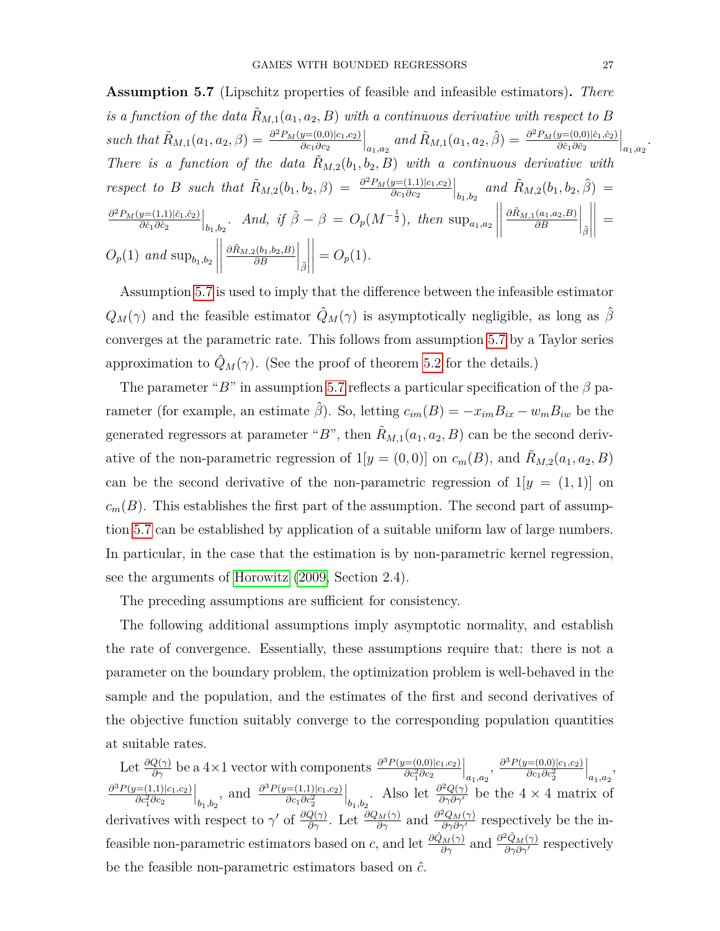<span id="page-26-0"></span>**Assumption 5.7** (Lipschitz properties of feasible and infeasible estimators)**.** *There is a function of the data*  $R_{M,1}(a_1, a_2, B)$  with a continuous derivative with respect to *B such that*  $\tilde{R}_{M,1}(a_1, a_2, \beta) = \frac{\partial^2 P_M(y=(0,0)|c_1,c_2)}{\partial c_1 \partial c_2}$ *∂c*1*∂c*<sup>2</sup>  $\int_{a_1, a_2}$  and  $\tilde{R}_{M,1}(a_1, a_2, \hat{\beta}) = \frac{\partial^2 P_M(y=(0,0)|\hat{c}_1, \hat{c}_2)}{\partial \hat{c}_1 \partial \hat{c}_2}$ *∂c*ˆ1*∂c*ˆ<sup>2</sup>  $\Big|_{a_1,a_2}$ . *There is a function of the data*  $\ddot{R}_{M,2}(b_1, b_2, B)$  with a continuous derivative with *respect to B such that*  $\tilde{R}_{M,2}(b_1, b_2, \beta) = \frac{\partial^2 P_M(y=(1,1)|c_1,c_2)}{\partial c_1 \partial c_2}$ *∂c*1*∂c*<sup>2</sup>  $\Big|_{b_1,b_2}$  and  $\tilde{R}_{M,2}(b_1,b_2,\hat{\beta}) =$ *∂*<sup>2</sup>*P<sub>M</sub>*(*y*=(1,1)| $\hat{c}_1$ *,* $\hat{c}_2$ ) *∂c*ˆ1*∂c*ˆ<sup>2</sup>  $\Big|_{b_1, b_2}$ *. And, if*  $\tilde{\beta} - \beta = O_p(M^{-\frac{1}{2}})$ *, then* sup<sub>a<sub>1*,a*2</sub></sub>  $\begin{array}{c} \hline \end{array}$   $\partial$ *R*<sup>*M*</sup>,1(*a*<sub>1</sub>*,a*<sub>2</sub>*,B*) *∂B*  $\Big|_{\tilde{\beta}}$  $\begin{array}{c} \hline \end{array}$  =  $O_p(1)$  *and*  $\sup_{b_1,b_2}$  $\begin{array}{c} \begin{array}{c} \begin{array}{c} \begin{array}{c} \end{array}\\ \end{array} \end{array} \end{array}$  $\begin{array}{c} \begin{array}{c} \begin{array}{c} \begin{array}{c} \end{array}\\ \end{array} \end{array} \end{array}$  $\partial$ *R*<sup>*M*</sup><sub>*,*2</sub>(*b*<sub>1</sub>*,b*<sub>2</sub>*,B*) *∂B*  $\Big|_{\tilde{\beta}}$   $= O_p(1)$ .

Assumption [5.7](#page-26-0) is used to imply that the difference between the infeasible estimator  $Q_M(\gamma)$  and the feasible estimator  $\hat{Q}_M(\gamma)$  is asymptotically negligible, as long as  $\hat{\beta}$ converges at the parametric rate. This follows from assumption [5.7](#page-26-0) by a Taylor series approximation to  $\hat{Q}_M(\gamma)$ . (See the proof of theorem [5.2](#page-27-0) for the details.)

The parameter " $B$ " in assumption [5.7](#page-26-0) reflects a particular specification of the  $\beta$  parameter (for example, an estimate  $\hat{\beta}$ ). So, letting  $c_{im}(B) = -x_{im}B_{ix} - w_m B_{iw}$  be the generated regressors at parameter " $B$ ", then  $\tilde{R}_{M,1}(a_1, a_2, B)$  can be the second derivative of the non-parametric regression of  $1[y = (0,0)]$  on  $c_m(B)$ , and  $\tilde{R}_{M,2}(a_1, a_2, B)$ can be the second derivative of the non-parametric regression of  $1[y = (1, 1)]$  on  $c_m(B)$ . This establishes the first part of the assumption. The second part of assumption [5.7](#page-26-0) can be established by application of a suitable uniform law of large numbers. In particular, in the case that the estimation is by non-parametric kernel regression, see the arguments of [Horowitz](#page-44-10) [\(2009,](#page-44-10) Section 2.4).

The preceding assumptions are sufficient for consistency.

The following additional assumptions imply asymptotic normality, and establish the rate of convergence. Essentially, these assumptions require that: there is not a parameter on the boundary problem, the optimization problem is well-behaved in the sample and the population, and the estimates of the first and second derivatives of the objective function suitably converge to the corresponding population quantities at suitable rates.

Let  $\frac{\partial Q(\gamma)}{\partial \gamma}$  be a 4×1 vector with components  $\frac{\partial^3 P(y=(0,0)|c_1,c_2)}{\partial c_1^2 \partial c_2}$  $\partial c_1^2 \partial c_2$  $\Big|_{a_1, a_2}, \frac{\partial^3 P(y=(0,0)|c_1, c_2)}{\partial c_1 \partial c_2^2}$ *∂c*1*∂c*<sup>2</sup> 2  $\Big|_{a_1,a_2},$ *∂* <sup>3</sup>*P*(*y*=(1*,*1)|*c*1*,c*2) *∂c*<sup>2</sup>∂c<sub>2</sub>  $\Big|_{b_1, b_2}$ , and  $\frac{\partial^3 P(y=(1,1)|c_1, c_2)}{\partial c_1 \partial c_2^2}$ *∂c*1*∂c*<sup>2</sup> 2  $\Big|_{b_1, b_2}$ . Also let  $\frac{\partial^2 Q(\gamma)}{\partial \gamma \partial \gamma'}$  be the 4 × 4 matrix of derivatives with respect to  $\gamma'$  of  $\frac{\partial Q(\gamma)}{\partial \gamma}$ . Let  $\frac{\partial Q_M(\gamma)}{\partial \gamma}$  and  $\frac{\partial^2 Q_M(\gamma)}{\partial \gamma \partial \gamma'}$  respectively be the infeasible non-parametric estimators based on *c*, and let  $\frac{\partial \hat{Q}_M(\gamma)}{\partial \gamma}$  and  $\frac{\partial^2 \hat{Q}_M(\gamma)}{\partial \gamma \partial \gamma'}$  respectively be the feasible non-parametric estimators based on *c*ˆ.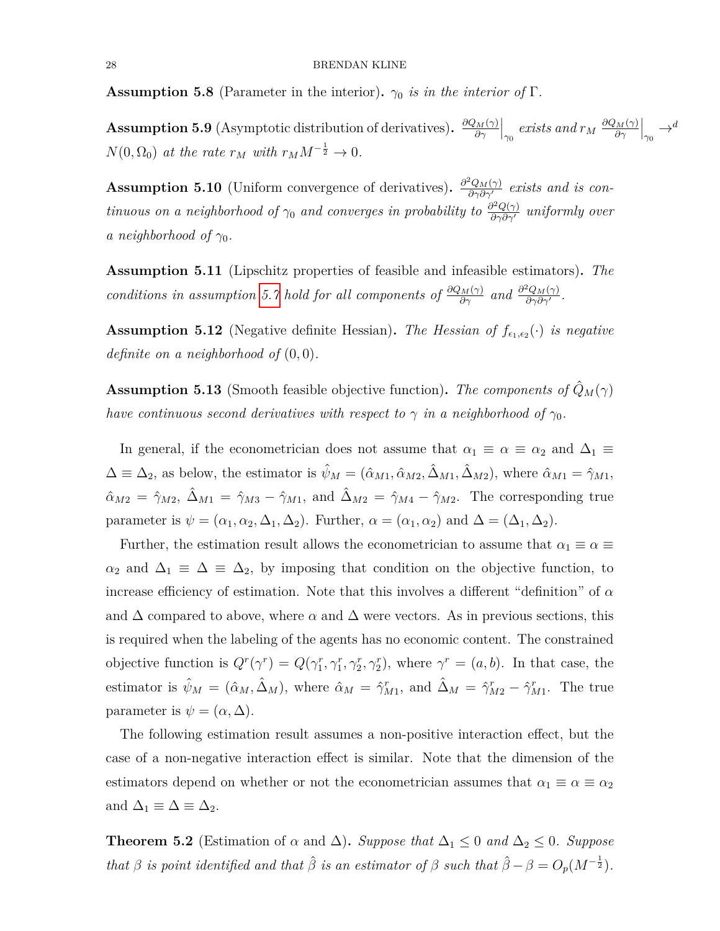<span id="page-27-1"></span>**Assumption 5.8** (Parameter in the interior).  $\gamma_0$  *is in the interior of* Γ*.* 

<span id="page-27-2"></span>**Assumption 5.9** (Asymptotic distribution of derivatives).  $\frac{\partial Q_M(\gamma)}{\partial \gamma}$ *∂γ*  $\Big|_{\gamma_0}$  *exists and*  $r_M \frac{\partial Q_M(\gamma)}{\partial \gamma}$ *∂γ*  $\Big|_{\gamma_0} \to d$  $N(0, \Omega_0)$  *at the rate*  $r_M$  *with*  $r_M M^{-\frac{1}{2}} \to 0$ *.* 

<span id="page-27-3"></span>**Assumption 5.10** (Uniform convergence of derivatives).  $\frac{\partial^2 Q_M(\gamma)}{\partial \gamma \partial \gamma'}$  *exists and is continuous on a neighborhood of*  $\gamma_0$  *and converges in probability to*  $\frac{\partial^2 Q(\gamma)}{\partial \gamma \partial \gamma'}$  *uniformly over a neighborhood of*  $\gamma_0$ *.* 

<span id="page-27-4"></span>**Assumption 5.11** (Lipschitz properties of feasible and infeasible estimators)**.** *The conditions in assumption* [5.7](#page-26-0) *hold for all components of*  $\frac{\partial Q_M(\gamma)}{\partial \gamma}$  *and*  $\frac{\partial^2 Q_M(\gamma)}{\partial \gamma \partial \gamma'}$ °<u>U<sub>M(γ)</sub></u><br>∂γ∂γ′ ·

<span id="page-27-5"></span>**Assumption 5.12** (Negative definite Hessian). The Hessian of  $f_{\epsilon_1,\epsilon_2}(\cdot)$  is negative *definite on a neighborhood of* (0*,* 0)*.*

<span id="page-27-6"></span>**Assumption 5.13** (Smooth feasible objective function). The components of  $\hat{Q}_M(\gamma)$ *have continuous second derivatives with respect to*  $\gamma$  *in a neighborhood of*  $\gamma_0$ *.* 

In general, if the econometrician does not assume that  $\alpha_1 \equiv \alpha \equiv \alpha_2$  and  $\Delta_1 \equiv$  $\Delta \equiv \Delta_2$ , as below, the estimator is  $\hat{\psi}_M = (\hat{\alpha}_{M1}, \hat{\alpha}_{M2}, \hat{\Delta}_{M1}, \hat{\Delta}_{M2})$ , where  $\hat{\alpha}_{M1} = \hat{\gamma}_{M1}$ ,  $\hat{\alpha}_{M2} = \hat{\gamma}_{M2}, \ \hat{\Delta}_{M1} = \hat{\gamma}_{M3} - \hat{\gamma}_{M1}, \text{ and } \hat{\Delta}_{M2} = \hat{\gamma}_{M4} - \hat{\gamma}_{M2}.$  The corresponding true parameter is  $\psi = (\alpha_1, \alpha_2, \Delta_1, \Delta_2)$ . Further,  $\alpha = (\alpha_1, \alpha_2)$  and  $\Delta = (\Delta_1, \Delta_2)$ .

Further, the estimation result allows the econometrician to assume that  $\alpha_1 \equiv \alpha \equiv$  $\alpha_2$  and  $\Delta_1 \equiv \Delta \equiv \Delta_2$ , by imposing that condition on the objective function, to increase efficiency of estimation. Note that this involves a different "definition" of *α* and  $\Delta$  compared to above, where  $\alpha$  and  $\Delta$  were vectors. As in previous sections, this is required when the labeling of the agents has no economic content. The constrained objective function is  $Q^r(\gamma^r) = Q(\gamma_1^r, \gamma_1^r, \gamma_2^r, \gamma_2^r)$ , where  $\gamma^r = (a, b)$ . In that case, the estimator is  $\hat{\psi}_M = (\hat{\alpha}_M, \hat{\Delta}_M)$ , where  $\hat{\alpha}_M = \hat{\gamma}_{M1}^r$ , and  $\hat{\Delta}_M = \hat{\gamma}_{M2}^r - \hat{\gamma}_{M1}^r$ . The true parameter is  $\psi = (\alpha, \Delta)$ .

The following estimation result assumes a non-positive interaction effect, but the case of a non-negative interaction effect is similar. Note that the dimension of the estimators depend on whether or not the econometrician assumes that  $\alpha_1 \equiv \alpha \equiv \alpha_2$ and  $\Delta_1 \equiv \Delta \equiv \Delta_2$ .

<span id="page-27-0"></span>**Theorem 5.2** (Estimation of  $\alpha$  and  $\Delta$ ). *Suppose that*  $\Delta_1 \leq 0$  *and*  $\Delta_2 \leq 0$ *. Suppose that*  $\beta$  *is point identified and that*  $\hat{\beta}$  *is an estimator of*  $\beta$  *such that*  $\hat{\beta} - \beta = O_p(M^{-\frac{1}{2}})$ *.*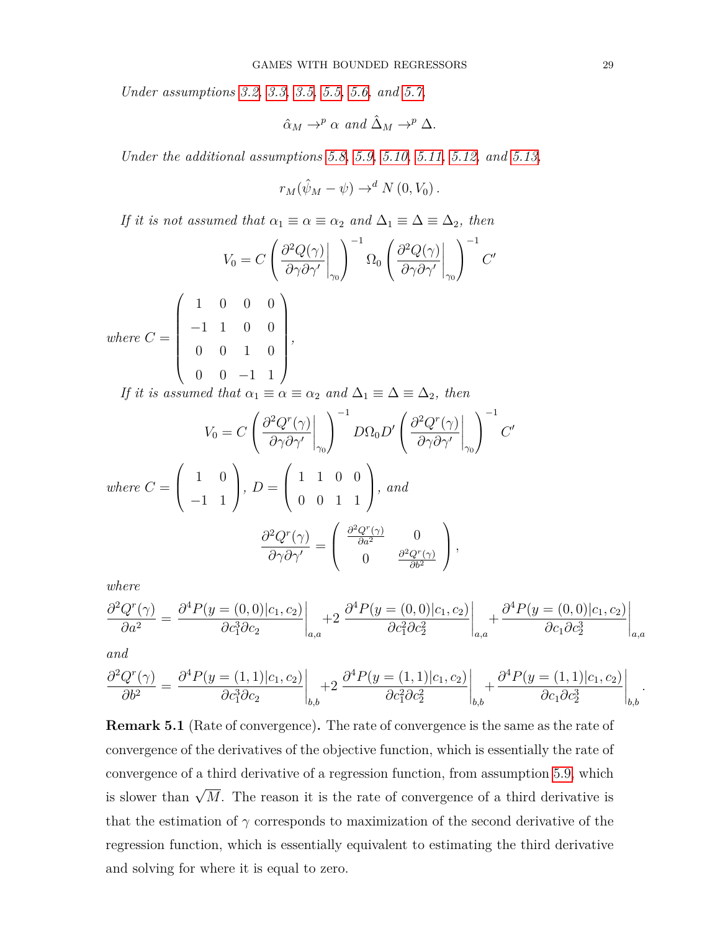*Under assumptions [3.2,](#page-9-1) [3.3,](#page-10-0) [3.5,](#page-12-1) [5.5,](#page-25-1) [5.6,](#page-25-0) and [5.7,](#page-26-0)*

$$
\hat{\alpha}_M \to^p \alpha \text{ and } \hat{\Delta}_M \to^p \Delta.
$$

*Under the additional assumptions [5.8,](#page-27-1) [5.9,](#page-27-2) [5.10,](#page-27-3) [5.11,](#page-27-4) [5.12,](#page-27-5) and [5.13,](#page-27-6)*

$$
r_M(\hat{\psi}_M - \psi) \to^d N(0, V_0).
$$

*If it is not assumed that*  $\alpha_1 \equiv \alpha \equiv \alpha_2$  *and*  $\Delta_1 \equiv \Delta \equiv \Delta_2$ *, then* 

$$
V_0 = C \left( \frac{\partial^2 Q(\gamma)}{\partial \gamma \partial \gamma'} \bigg|_{\gamma_0} \right)^{-1} \Omega_0 \left( \frac{\partial^2 Q(\gamma)}{\partial \gamma \partial \gamma'} \bigg|_{\gamma_0} \right)^{-1} C'
$$
  
where  $C = \begin{pmatrix} 1 & 0 & 0 & 0 \\ -1 & 1 & 0 & 0 \\ 0 & 0 & 1 & 0 \\ 0 & 0 & -1 & 1 \end{pmatrix}$ ,  
If it is assumed that  $\alpha_1 \equiv \alpha \equiv \alpha_2$  and  $\Delta_1 \equiv \Delta \equiv \Delta_2$ , then

$$
V_0 = C \left( \frac{\partial^2 Q^r(\gamma)}{\partial \gamma \partial \gamma'} \bigg|_{\gamma_0} \right)^{-1} D\Omega_0 D' \left( \frac{\partial^2 Q^r(\gamma)}{\partial \gamma \partial \gamma'} \bigg|_{\gamma_0} \right)^{-1} C'
$$
  
where  $C = \begin{pmatrix} 1 & 0 \\ -1 & 1 \end{pmatrix}$ ,  $D = \begin{pmatrix} 1 & 1 & 0 & 0 \\ 0 & 0 & 1 & 1 \end{pmatrix}$ , and  

$$
\frac{\partial^2 Q^r(\gamma)}{\partial \gamma \partial \gamma'} = \begin{pmatrix} \frac{\partial^2 Q^r(\gamma)}{\partial a^2} & 0 \\ 0 & \frac{\partial^2 Q^r(\gamma)}{\partial b^2} \end{pmatrix}
$$
,

*where*

$$
\frac{\partial^2 Q^r(\gamma)}{\partial a^2} = \left. \frac{\partial^4 P(y = (0,0)|c_1, c_2)}{\partial c_1^3 \partial c_2} \right|_{a,a} + 2 \left. \frac{\partial^4 P(y = (0,0)|c_1, c_2)}{\partial c_1^2 \partial c_2^2} \right|_{a,a} + \left. \frac{\partial^4 P(y = (0,0)|c_1, c_2)}{\partial c_1 \partial c_2^3} \right|_{a,a}
$$

*and*

$$
\frac{\partial^2 Q^r(\gamma)}{\partial b^2} = \left. \frac{\partial^4 P(y = (1,1)|c_1, c_2)}{\partial c_1^3 \partial c_2} \right|_{b,b} + 2 \left. \frac{\partial^4 P(y = (1,1)|c_1, c_2)}{\partial c_1^2 \partial c_2^2} \right|_{b,b} + \left. \frac{\partial^4 P(y = (1,1)|c_1, c_2)}{\partial c_1 \partial c_2^3} \right|_{b,b}.
$$

<span id="page-28-0"></span>**Remark 5.1** (Rate of convergence)**.** The rate of convergence is the same as the rate of convergence of the derivatives of the objective function, which is essentially the rate of convergence of a third derivative of a regression function, from assumption [5.9,](#page-27-2) which is slower than  $\sqrt{M}$ . The reason it is the rate of convergence of a third derivative is that the estimation of  $\gamma$  corresponds to maximization of the second derivative of the regression function, which is essentially equivalent to estimating the third derivative and solving for where it is equal to zero.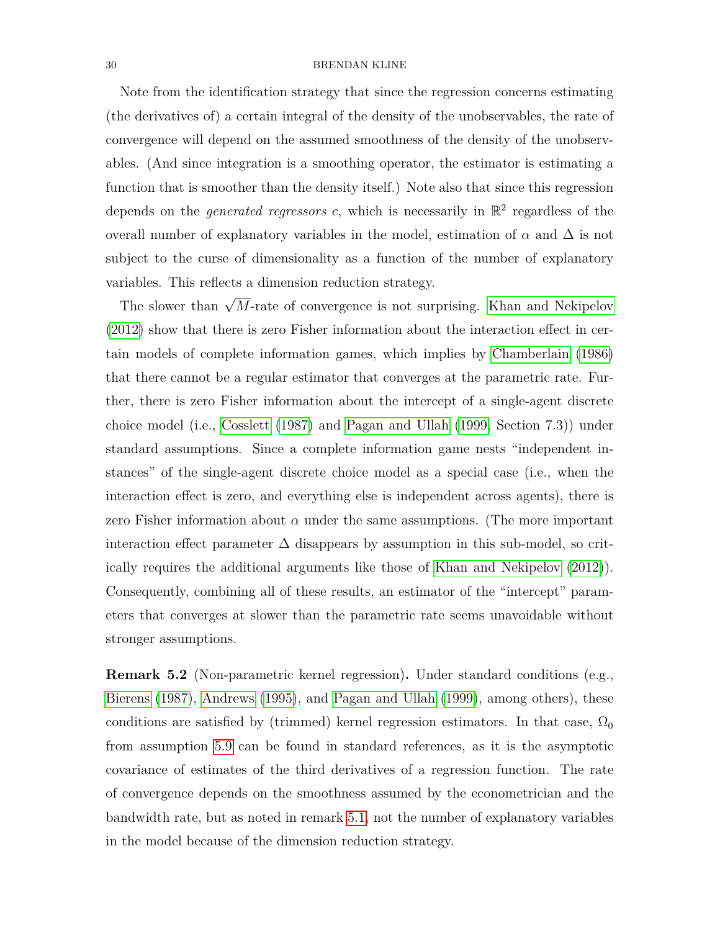Note from the identification strategy that since the regression concerns estimating (the derivatives of) a certain integral of the density of the unobservables, the rate of convergence will depend on the assumed smoothness of the density of the unobservables. (And since integration is a smoothing operator, the estimator is estimating a function that is smoother than the density itself.) Note also that since this regression depends on the *generated regressors*  $c$ , which is necessarily in  $\mathbb{R}^2$  regardless of the overall number of explanatory variables in the model, estimation of  $\alpha$  and  $\Delta$  is not subject to the curse of dimensionality as a function of the number of explanatory variables. This reflects a dimension reduction strategy.

The slower than  $\sqrt{M}$ -rate of convergence is not surprising. [Khan and Nekipelov](#page-44-13) [\(2012\)](#page-44-13) show that there is zero Fisher information about the interaction effect in certain models of complete information games, which implies by [Chamberlain](#page-44-14) [\(1986\)](#page-44-14) that there cannot be a regular estimator that converges at the parametric rate. Further, there is zero Fisher information about the intercept of a single-agent discrete choice model (i.e., [Cosslett](#page-44-15) [\(1987\)](#page-44-15) and [Pagan and Ullah](#page-44-16) [\(1999,](#page-44-16) Section 7.3)) under standard assumptions. Since a complete information game nests "independent instances" of the single-agent discrete choice model as a special case (i.e., when the interaction effect is zero, and everything else is independent across agents), there is zero Fisher information about  $\alpha$  under the same assumptions. (The more important interaction effect parameter  $\Delta$  disappears by assumption in this sub-model, so critically requires the additional arguments like those of [Khan and Nekipelov](#page-44-13) [\(2012\)](#page-44-13)). Consequently, combining all of these results, an estimator of the "intercept" parameters that converges at slower than the parametric rate seems unavoidable without stronger assumptions.

**Remark 5.2** (Non-parametric kernel regression)**.** Under standard conditions (e.g., [Bierens](#page-43-6) [\(1987\)](#page-43-6), [Andrews](#page-43-7) [\(1995\)](#page-43-7), and [Pagan and Ullah](#page-44-16) [\(1999\)](#page-44-16), among others), these conditions are satisfied by (trimmed) kernel regression estimators. In that case,  $\Omega_0$ from assumption [5.9](#page-27-2) can be found in standard references, as it is the asymptotic covariance of estimates of the third derivatives of a regression function. The rate of convergence depends on the smoothness assumed by the econometrician and the bandwidth rate, but as noted in remark [5.1,](#page-28-0) not the number of explanatory variables in the model because of the dimension reduction strategy.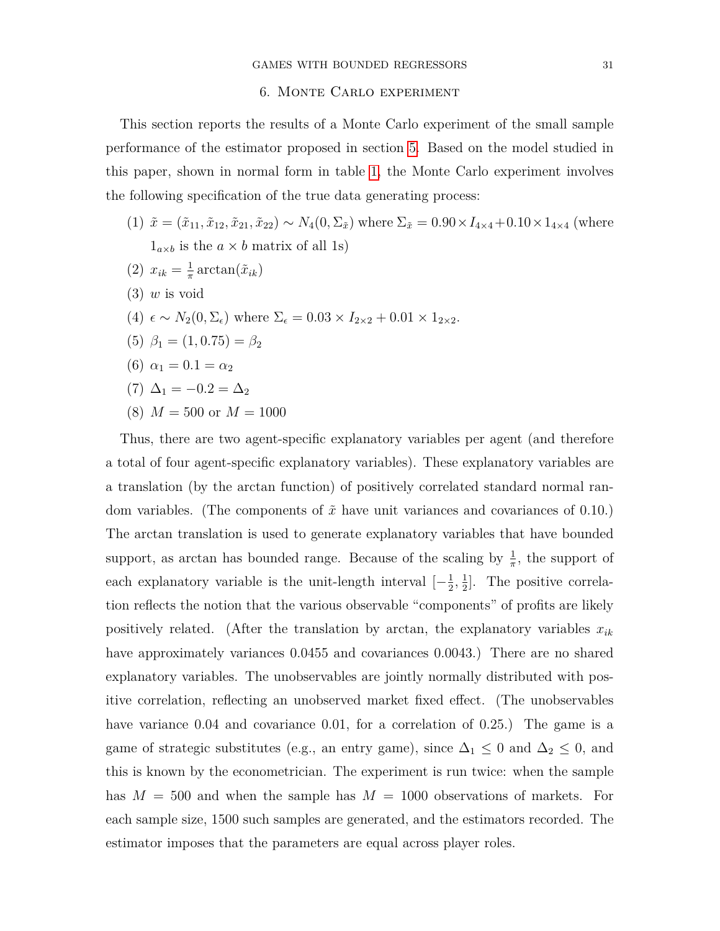#### 6. Monte Carlo experiment

<span id="page-30-0"></span>This section reports the results of a Monte Carlo experiment of the small sample performance of the estimator proposed in section [5.](#page-21-0) Based on the model studied in this paper, shown in normal form in table [1,](#page-5-1) the Monte Carlo experiment involves the following specification of the true data generating process:

- (1)  $\tilde{x} = (\tilde{x}_{11}, \tilde{x}_{12}, \tilde{x}_{21}, \tilde{x}_{22}) \sim N_4(0, \Sigma_{\tilde{x}})$  where  $\Sigma_{\tilde{x}} = 0.90 \times I_{4 \times 4} + 0.10 \times 1_{4 \times 4}$  (where  $1_{a\times b}$  is the  $a \times b$  matrix of all 1s)
- $(2)$   $x_{ik} = \frac{1}{\pi}$  $\frac{1}{\pi} \arctan(\tilde{x}_{ik})$
- (3) *w* is void
- (4)  $\epsilon \sim N_2(0, \Sigma_{\epsilon})$  where  $\Sigma_{\epsilon} = 0.03 \times I_{2 \times 2} + 0.01 \times 1_{2 \times 2}$ .
- (5)  $\beta_1 = (1, 0.75) = \beta_2$
- (6)  $\alpha_1 = 0.1 = \alpha_2$
- (7)  $\Delta_1 = -0.2 = \Delta_2$
- $(8)$   $M = 500$  or  $M = 1000$

Thus, there are two agent-specific explanatory variables per agent (and therefore a total of four agent-specific explanatory variables). These explanatory variables are a translation (by the arctan function) of positively correlated standard normal random variables. (The components of *x*˜ have unit variances and covariances of 0*.*10.) The arctan translation is used to generate explanatory variables that have bounded support, as arctan has bounded range. Because of the scaling by  $\frac{1}{\pi}$ , the support of each explanatory variable is the unit-length interval  $\left[-\frac{1}{2}\right]$  $\frac{1}{2}, \frac{1}{2}$  $\frac{1}{2}$ . The positive correlation reflects the notion that the various observable "components" of profits are likely positively related. (After the translation by arctan, the explanatory variables *xik* have approximately variances 0*.*0455 and covariances 0*.*0043.) There are no shared explanatory variables. The unobservables are jointly normally distributed with positive correlation, reflecting an unobserved market fixed effect. (The unobservables have variance 0*.*04 and covariance 0*.*01, for a correlation of 0*.*25.) The game is a game of strategic substitutes (e.g., an entry game), since  $\Delta_1 \leq 0$  and  $\Delta_2 \leq 0$ , and this is known by the econometrician. The experiment is run twice: when the sample has  $M = 500$  and when the sample has  $M = 1000$  observations of markets. For each sample size, 1500 such samples are generated, and the estimators recorded. The estimator imposes that the parameters are equal across player roles.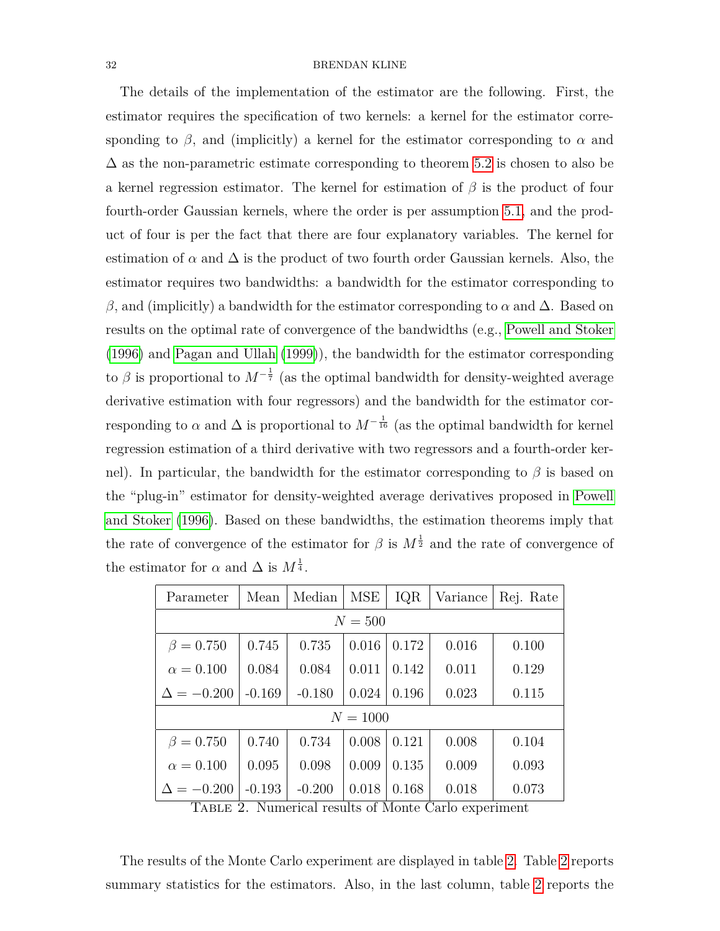The details of the implementation of the estimator are the following. First, the estimator requires the specification of two kernels: a kernel for the estimator corresponding to  $\beta$ , and (implicitly) a kernel for the estimator corresponding to  $\alpha$  and  $\Delta$  as the non-parametric estimate corresponding to theorem [5.2](#page-27-0) is chosen to also be a kernel regression estimator. The kernel for estimation of *β* is the product of four fourth-order Gaussian kernels, where the order is per assumption [5.1,](#page-24-0) and the product of four is per the fact that there are four explanatory variables. The kernel for estimation of  $\alpha$  and  $\Delta$  is the product of two fourth order Gaussian kernels. Also, the estimator requires two bandwidths: a bandwidth for the estimator corresponding to *β*, and (implicitly) a bandwidth for the estimator corresponding to *α* and ∆. Based on results on the optimal rate of convergence of the bandwidths (e.g., [Powell and Stoker](#page-44-17) [\(1996\)](#page-44-17) and [Pagan and Ullah](#page-44-16) [\(1999\)](#page-44-16)), the bandwidth for the estimator corresponding to  $\beta$  is proportional to  $M^{-\frac{1}{7}}$  (as the optimal bandwidth for density-weighted average derivative estimation with four regressors) and the bandwidth for the estimator corresponding to  $\alpha$  and  $\Delta$  is proportional to  $M^{-\frac{1}{16}}$  (as the optimal bandwidth for kernel regression estimation of a third derivative with two regressors and a fourth-order kernel). In particular, the bandwidth for the estimator corresponding to *β* is based on the "plug-in" estimator for density-weighted average derivatives proposed in [Powell](#page-44-17) [and Stoker](#page-44-17) [\(1996\)](#page-44-17). Based on these bandwidths, the estimation theorems imply that the rate of convergence of the estimator for  $\beta$  is  $M^{\frac{1}{2}}$  and the rate of convergence of the estimator for  $\alpha$  and  $\Delta$  is  $M^{\frac{1}{4}}$ .

| Parameter         | Mean     | Median   | MSE   | IQR   | Variance | Rej. Rate |  |  |
|-------------------|----------|----------|-------|-------|----------|-----------|--|--|
| $N = 500$         |          |          |       |       |          |           |  |  |
| $\beta = 0.750$   | 0.745    | 0.735    | 0.016 | 0.172 | 0.016    | 0.100     |  |  |
| $\alpha = 0.100$  | 0.084    | 0.084    | 0.011 | 0.142 | 0.011    | 0.129     |  |  |
| $\Delta = -0.200$ | $-0.169$ | $-0.180$ | 0.024 | 0.196 | 0.023    | 0.115     |  |  |
| $N = 1000$        |          |          |       |       |          |           |  |  |
| $\beta = 0.750$   | 0.740    | 0.734    | 0.008 | 0.121 | 0.008    | 0.104     |  |  |
| $\alpha = 0.100$  | 0.095    | 0.098    | 0.009 | 0.135 | 0.009    | 0.093     |  |  |
| $\Delta = -0.200$ | $-0.193$ | $-0.200$ | 0.018 | 0.168 | 0.018    | 0.073     |  |  |

<span id="page-31-0"></span>Table 2. Numerical results of Monte Carlo experiment

The results of the Monte Carlo experiment are displayed in table [2.](#page-31-0) Table [2](#page-31-0) reports summary statistics for the estimators. Also, in the last column, table [2](#page-31-0) reports the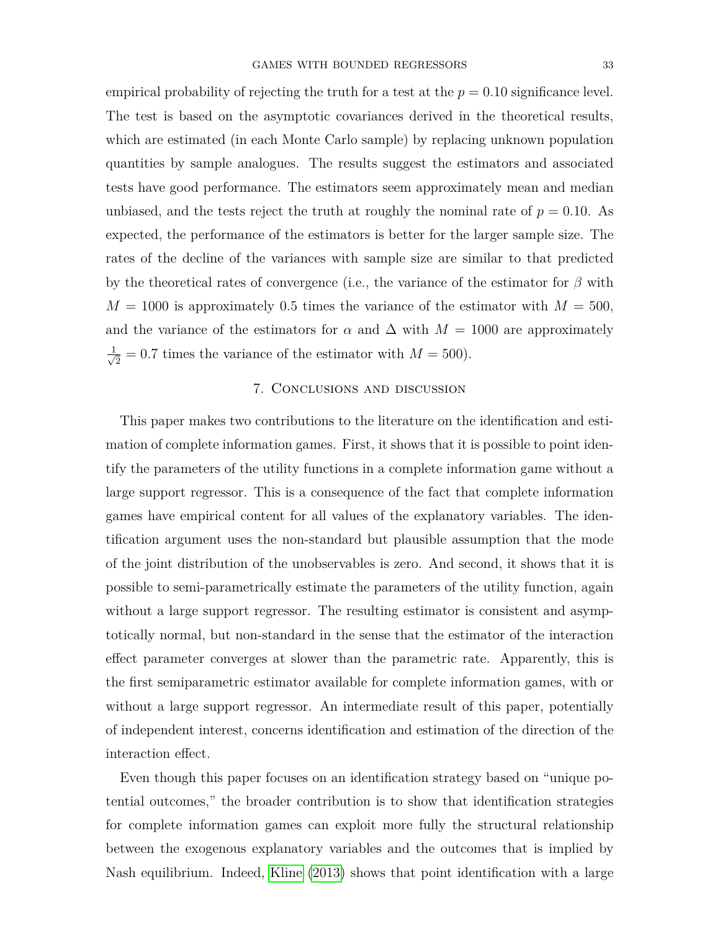empirical probability of rejecting the truth for a test at the  $p = 0.10$  significance level. The test is based on the asymptotic covariances derived in the theoretical results, which are estimated (in each Monte Carlo sample) by replacing unknown population quantities by sample analogues. The results suggest the estimators and associated tests have good performance. The estimators seem approximately mean and median unbiased, and the tests reject the truth at roughly the nominal rate of  $p = 0.10$ . As expected, the performance of the estimators is better for the larger sample size. The rates of the decline of the variances with sample size are similar to that predicted by the theoretical rates of convergence (i.e., the variance of the estimator for *β* with  $M = 1000$  is approximately 0.5 times the variance of the estimator with  $M = 500$ , and the variance of the estimators for  $\alpha$  and  $\Delta$  with  $M = 1000$  are approximately  $\frac{1}{\sqrt{2}}$  $\overline{2} = 0.7$  times the variance of the estimator with  $M = 500$ .

## 7. Conclusions and discussion

<span id="page-32-0"></span>This paper makes two contributions to the literature on the identification and estimation of complete information games. First, it shows that it is possible to point identify the parameters of the utility functions in a complete information game without a large support regressor. This is a consequence of the fact that complete information games have empirical content for all values of the explanatory variables. The identification argument uses the non-standard but plausible assumption that the mode of the joint distribution of the unobservables is zero. And second, it shows that it is possible to semi-parametrically estimate the parameters of the utility function, again without a large support regressor. The resulting estimator is consistent and asymptotically normal, but non-standard in the sense that the estimator of the interaction effect parameter converges at slower than the parametric rate. Apparently, this is the first semiparametric estimator available for complete information games, with or without a large support regressor. An intermediate result of this paper, potentially of independent interest, concerns identification and estimation of the direction of the interaction effect.

Even though this paper focuses on an identification strategy based on "unique potential outcomes," the broader contribution is to show that identification strategies for complete information games can exploit more fully the structural relationship between the exogenous explanatory variables and the outcomes that is implied by Nash equilibrium. Indeed, [Kline](#page-44-3) [\(2013\)](#page-44-3) shows that point identification with a large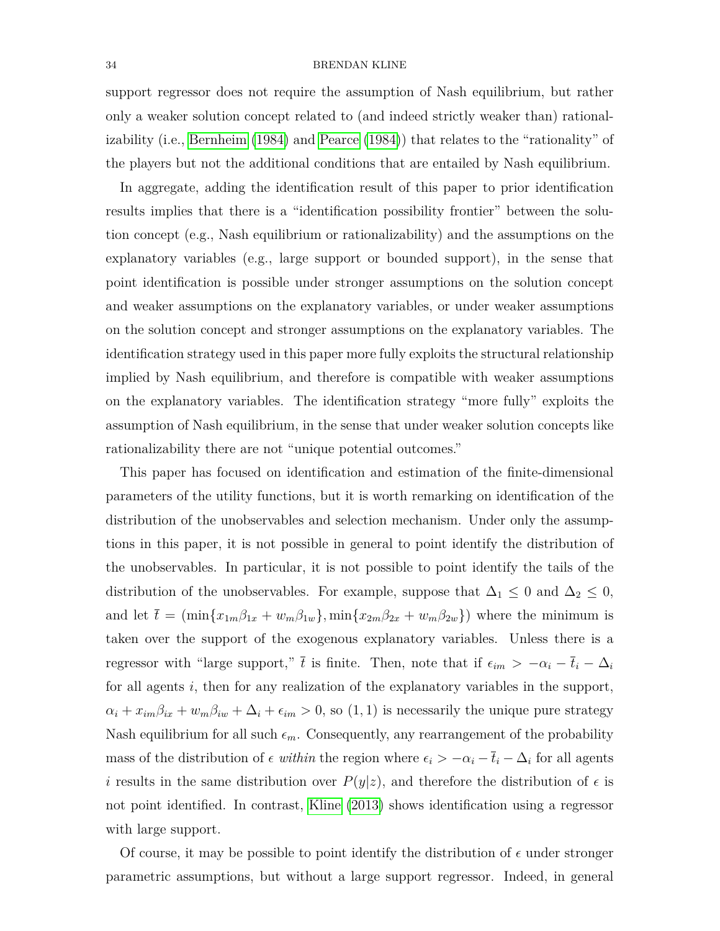support regressor does not require the assumption of Nash equilibrium, but rather only a weaker solution concept related to (and indeed strictly weaker than) rationalizability (i.e., [Bernheim](#page-43-8) [\(1984\)](#page-43-8) and [Pearce](#page-44-18) [\(1984\)](#page-44-18)) that relates to the "rationality" of the players but not the additional conditions that are entailed by Nash equilibrium.

In aggregate, adding the identification result of this paper to prior identification results implies that there is a "identification possibility frontier" between the solution concept (e.g., Nash equilibrium or rationalizability) and the assumptions on the explanatory variables (e.g., large support or bounded support), in the sense that point identification is possible under stronger assumptions on the solution concept and weaker assumptions on the explanatory variables, or under weaker assumptions on the solution concept and stronger assumptions on the explanatory variables. The identification strategy used in this paper more fully exploits the structural relationship implied by Nash equilibrium, and therefore is compatible with weaker assumptions on the explanatory variables. The identification strategy "more fully" exploits the assumption of Nash equilibrium, in the sense that under weaker solution concepts like rationalizability there are not "unique potential outcomes."

This paper has focused on identification and estimation of the finite-dimensional parameters of the utility functions, but it is worth remarking on identification of the distribution of the unobservables and selection mechanism. Under only the assumptions in this paper, it is not possible in general to point identify the distribution of the unobservables. In particular, it is not possible to point identify the tails of the distribution of the unobservables. For example, suppose that  $\Delta_1 \leq 0$  and  $\Delta_2 \leq 0$ , and let  $\bar{t} = (\min\{x_{1m}\beta_{1x} + w_m\beta_{1w}\}, \min\{x_{2m}\beta_{2x} + w_m\beta_{2w}\})$  where the minimum is taken over the support of the exogenous explanatory variables. Unless there is a regressor with "large support,"  $\bar{t}$  is finite. Then, note that if  $\epsilon_{im} > -\alpha_i - \bar{t}_i - \Delta_i$ for all agents *i*, then for any realization of the explanatory variables in the support,  $\alpha_i + x_{im}\beta_{ix} + w_m\beta_{iw} + \Delta_i + \epsilon_{im} > 0$ , so (1, 1) is necessarily the unique pure strategy Nash equilibrium for all such  $\epsilon_m$ . Consequently, any rearrangement of the probability mass of the distribution of  $\epsilon$  within the region where  $\epsilon_i > -\alpha_i - \bar{t}_i - \Delta_i$  for all agents *i* results in the same distribution over  $P(y|z)$ , and therefore the distribution of  $\epsilon$  is not point identified. In contrast, [Kline](#page-44-3) [\(2013\)](#page-44-3) shows identification using a regressor with large support.

Of course, it may be possible to point identify the distribution of  $\epsilon$  under stronger parametric assumptions, but without a large support regressor. Indeed, in general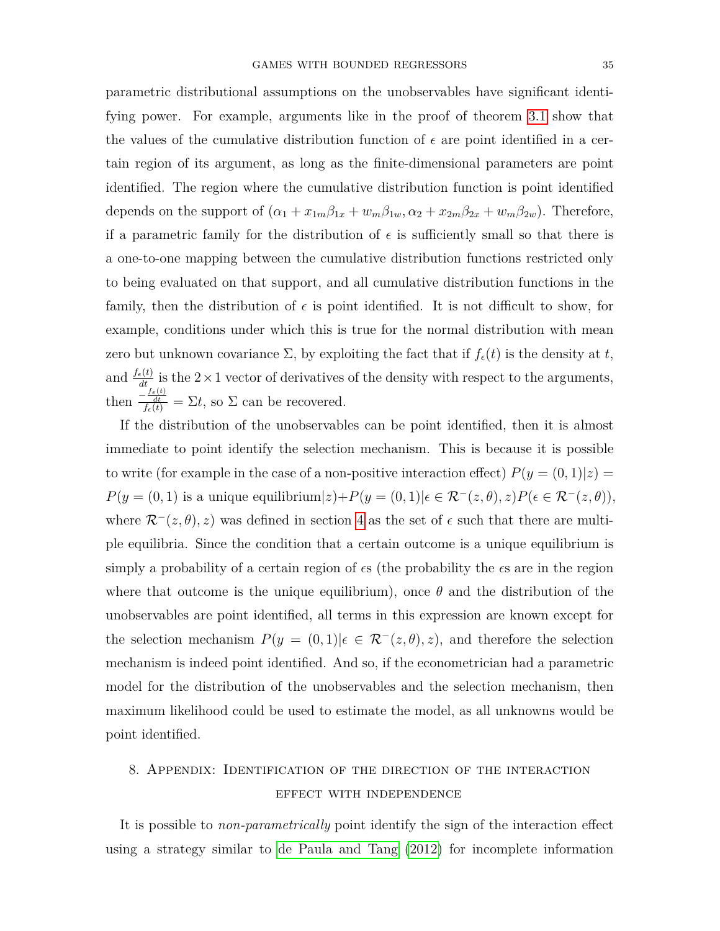parametric distributional assumptions on the unobservables have significant identifying power. For example, arguments like in the proof of theorem [3.1](#page-13-0) show that the values of the cumulative distribution function of  $\epsilon$  are point identified in a certain region of its argument, as long as the finite-dimensional parameters are point identified. The region where the cumulative distribution function is point identified depends on the support of  $(\alpha_1 + x_{1m}\beta_{1x} + w_m\beta_{1w}, \alpha_2 + x_{2m}\beta_{2x} + w_m\beta_{2w})$ . Therefore, if a parametric family for the distribution of  $\epsilon$  is sufficiently small so that there is a one-to-one mapping between the cumulative distribution functions restricted only to being evaluated on that support, and all cumulative distribution functions in the family, then the distribution of  $\epsilon$  is point identified. It is not difficult to show, for example, conditions under which this is true for the normal distribution with mean zero but unknown covariance  $\Sigma$ , by exploiting the fact that if  $f_{\epsilon}(t)$  is the density at *t*, and  $\frac{f_{\epsilon}(t)}{dt}$  is the 2×1 vector of derivatives of the density with respect to the arguments, then  $\frac{-\frac{f_e(t)}{dt}}{f_e(t)} = \Sigma t$ , so  $\Sigma$  can be recovered.

If the distribution of the unobservables can be point identified, then it is almost immediate to point identify the selection mechanism. This is because it is possible to write (for example in the case of a non-positive interaction effect)  $P(y = (0, 1)|z) =$  $P(y = (0, 1)$  is a unique equilibrium $|z\rangle + P(y = (0, 1)|\epsilon \in \mathcal{R}^-(z, \theta), z)P(\epsilon \in \mathcal{R}^-(z, \theta)),$ where  $\mathcal{R}^-(z,\theta), z)$  was defined in section [4](#page-16-0) as the set of  $\epsilon$  such that there are multiple equilibria. Since the condition that a certain outcome is a unique equilibrium is simply a probability of a certain region of  $\epsilon s$  (the probability the  $\epsilon s$  are in the region where that outcome is the unique equilibrium), once  $\theta$  and the distribution of the unobservables are point identified, all terms in this expression are known except for the selection mechanism  $P(y = (0, 1)|\epsilon \in \mathcal{R}^{-}(z, \theta), z)$ , and therefore the selection mechanism is indeed point identified. And so, if the econometrician had a parametric model for the distribution of the unobservables and the selection mechanism, then maximum likelihood could be used to estimate the model, as all unknowns would be point identified.

# <span id="page-34-0"></span>8. Appendix: Identification of the direction of the interaction effect with independence

It is possible to *non-parametrically* point identify the sign of the interaction effect using a strategy similar to [de Paula and Tang](#page-44-5) [\(2012\)](#page-44-5) for incomplete information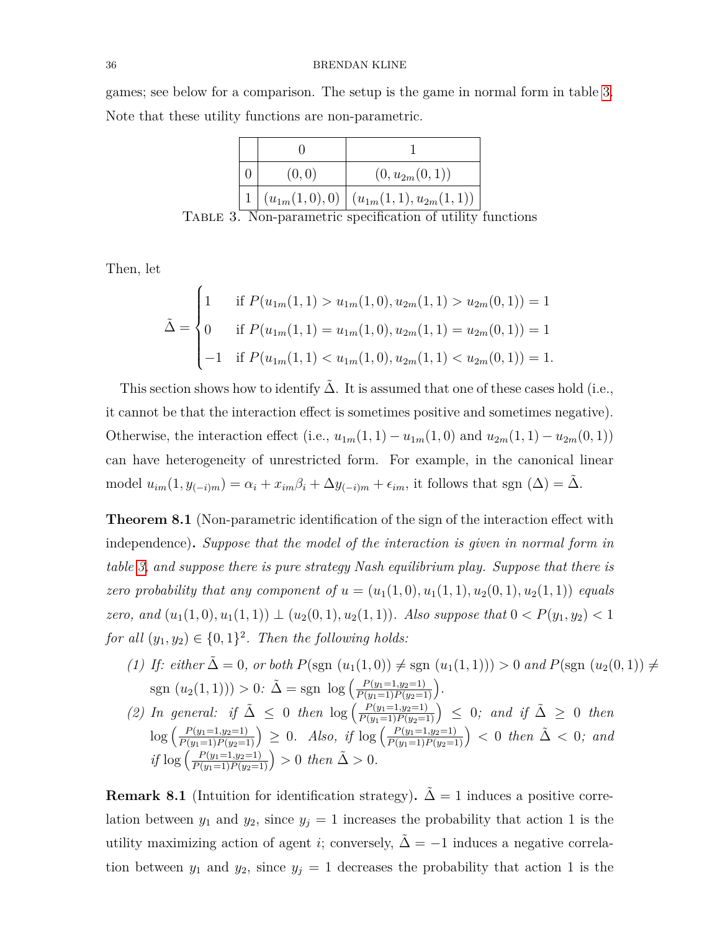games; see below for a comparison. The setup is the game in normal form in table [3.](#page-35-1) Note that these utility functions are non-parametric.

<span id="page-35-1"></span>

|  | (0, 0) | $(0, u_{2m}(0,1))$                            |
|--|--------|-----------------------------------------------|
|  |        | $ (u_{1m}(1,0),0)  (u_{1m}(1,1),u_{2m}(1,1))$ |

Table 3. Non-parametric specification of utility functions

Then, let

$$
\tilde{\Delta} = \begin{cases}\n1 & \text{if } P(u_{1m}(1,1) > u_{1m}(1,0), u_{2m}(1,1) > u_{2m}(0,1)) = 1 \\
0 & \text{if } P(u_{1m}(1,1) = u_{1m}(1,0), u_{2m}(1,1) = u_{2m}(0,1)) = 1 \\
-1 & \text{if } P(u_{1m}(1,1) < u_{1m}(1,0), u_{2m}(1,1) < u_{2m}(0,1)) = 1.\n\end{cases}
$$

This section shows how to identify  $\Delta$ . It is assumed that one of these cases hold (i.e., it cannot be that the interaction effect is sometimes positive and sometimes negative). Otherwise, the interaction effect (i.e.,  $u_{1m}(1,1) - u_{1m}(1,0)$  and  $u_{2m}(1,1) - u_{2m}(0,1)$ ) can have heterogeneity of unrestricted form. For example, in the canonical linear model  $u_{im}(1, y_{(-i)m}) = \alpha_i + x_{im}\beta_i + \Delta y_{(-i)m} + \epsilon_{im}$ , it follows that sgn  $(\Delta) = \Delta$ .

<span id="page-35-0"></span>**Theorem 8.1** (Non-parametric identification of the sign of the interaction effect with independence)**.** *Suppose that the model of the interaction is given in normal form in table [3,](#page-35-1) and suppose there is pure strategy Nash equilibrium play. Suppose that there is zero probability that any component of*  $u = (u_1(1,0), u_1(1,1), u_2(0,1), u_2(1,1))$  *equals zero, and*  $(u_1(1,0), u_1(1,1)) \perp (u_2(0,1), u_2(1,1))$ *. Also suppose that*  $0 < P(y_1, y_2) < 1$ *for all*  $(y_1, y_2) \in \{0, 1\}^2$ . *Then the following holds:* 

- <span id="page-35-2"></span>*(1) If: either*  $\tilde{\Delta} = 0$ *, or both*  $P(\text{sgn}(u_1(1,0)) \neq \text{sgn}(u_1(1,1))) > 0$  *and*  $P(\text{sgn}(u_2(0,1)) \neq \text{sgn}(u_1(1,1))$  $sgn (u_2(1,1))) > 0$ :  $\tilde{\Delta} = sgn \log \left( \frac{P(y_1=1,y_2=1)}{P(y_1=1)P(y_2=1)} \right)$ .
- *(2) In general: if*  $\tilde{\Delta}$  ≤ 0 *then*  $\log \left( \frac{P(y_1=1,y_2=1)}{P(y_1=1)P(y_2=1)} \right)$  ≤ 0; and *if*  $\tilde{\Delta}$  ≥ 0 *then*  $\log\left(\frac{P(y_1=1,y_2=1)}{P(y_1=1)P(y_2=1)}\right) \geq 0$ . Also, if  $\log\left(\frac{P(y_1=1,y_2=1)}{P(y_1=1)P(y_2=1)}\right) < 0$  then  $\tilde{\Delta} < 0$ ; and  $if \log \left( \frac{P(y_1=1,y_2=1)}{P(y_1=1)P(y_2=1)} \right) > 0$  *then*  $\tilde{\Delta} > 0$ *.*

**Remark 8.1** (Intuition for identification strategy).  $\tilde{\Delta} = 1$  induces a positive correlation between  $y_1$  and  $y_2$ , since  $y_j = 1$  increases the probability that action 1 is the utility maximizing action of agent *i*; conversely,  $\Delta = -1$  induces a negative correlation between  $y_1$  and  $y_2$ , since  $y_j = 1$  decreases the probability that action 1 is the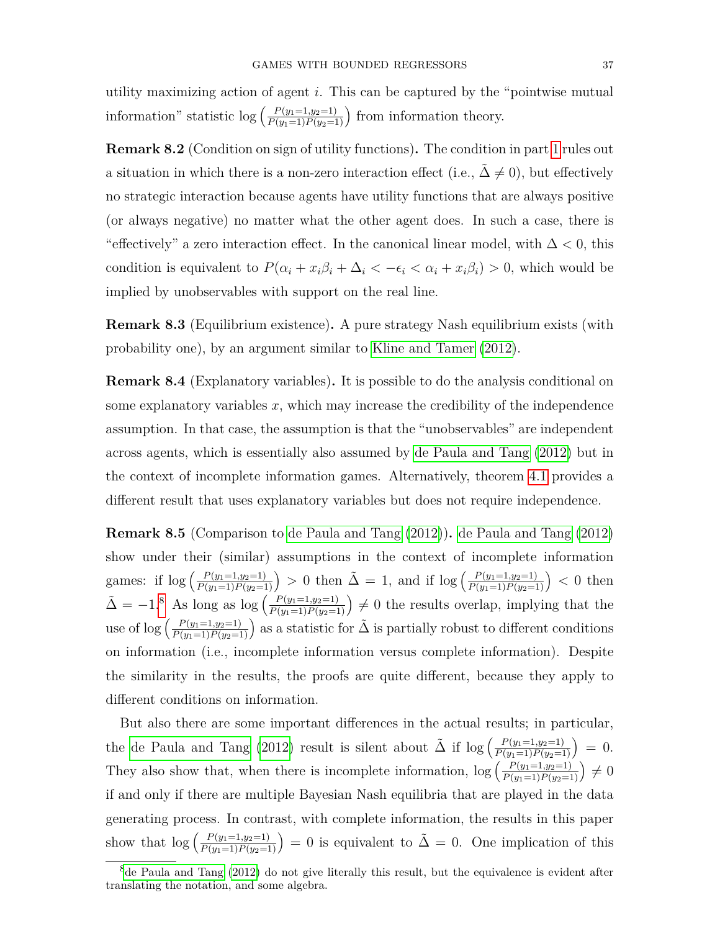utility maximizing action of agent *i*. This can be captured by the "pointwise mutual information" statistic  $\log \left( \frac{P(y_1=1,y_2=1)}{P(y_1=1)P(y_2=1)} \right)$  from information theory.

**Remark 8.2** (Condition on sign of utility functions)**.** The condition in part [1](#page-35-2) rules out a situation in which there is a non-zero interaction effect (i.e.,  $\Delta \neq 0$ ), but effectively no strategic interaction because agents have utility functions that are always positive (or always negative) no matter what the other agent does. In such a case, there is "effectively" a zero interaction effect. In the canonical linear model, with ∆ *<* 0, this condition is equivalent to  $P(\alpha_i + x_i\beta_i + \Delta_i < -\epsilon_i < \alpha_i + x_i\beta_i) > 0$ , which would be implied by unobservables with support on the real line.

<span id="page-36-0"></span>**Remark 8.3** (Equilibrium existence)**.** A pure strategy Nash equilibrium exists (with probability one), by an argument similar to [Kline and Tamer](#page-44-19) [\(2012\)](#page-44-19).

**Remark 8.4** (Explanatory variables)**.** It is possible to do the analysis conditional on some explanatory variables *x*, which may increase the credibility of the independence assumption. In that case, the assumption is that the "unobservables" are independent across agents, which is essentially also assumed by [de Paula and Tang](#page-44-5) [\(2012\)](#page-44-5) but in the context of incomplete information games. Alternatively, theorem [4.1](#page-19-1) provides a different result that uses explanatory variables but does not require independence.

**Remark 8.5** (Comparison to [de Paula and Tang](#page-44-5) [\(2012\)](#page-44-5))**.** [de Paula and Tang](#page-44-5) [\(2012\)](#page-44-5) show under their (similar) assumptions in the context of incomplete information games: if  $\log \left( \frac{P(y_1=1,y_2=1)}{P(y_1=1)P(y_2=1)} \right) > 0$  then  $\tilde{\Delta} = 1$ , and if  $\log \left( \frac{P(y_1=1,y_2=1)}{P(y_1=1)P(y_2=1)} \right) < 0$  then  $\tilde{\Delta} = -1.8$  $\tilde{\Delta} = -1.8$  As long as log  $\left(\frac{P(y_1=1,y_2=1)}{P(y_1=1)P(y_2=1)}\right) \neq 0$  the results overlap, implying that the use of  $\log \left( \frac{P(y_1=1,y_2=1)}{P(y_1=1)P(y_2=1)} \right)$  as a statistic for  $\tilde{\Delta}$  is partially robust to different conditions on information (i.e., incomplete information versus complete information). Despite the similarity in the results, the proofs are quite different, because they apply to different conditions on information.

But also there are some important differences in the actual results; in particular, the [de Paula and Tang](#page-44-5) [\(2012\)](#page-44-5) result is silent about  $\tilde{\Delta}$  if  $\log\left(\frac{P(y_1=1,y_2=1)}{P(y_1=1)P(y_2=1)}\right) = 0.$ They also show that, when there is incomplete information,  $\log \left( \frac{P(y_1=1,y_2=1)}{P(y_1=1)P(y_2=1)} \right) \neq 0$ if and only if there are multiple Bayesian Nash equilibria that are played in the data generating process. In contrast, with complete information, the results in this paper show that  $\log \left( \frac{P(y_1=1,y_2=1)}{P(y_1=1)P(y_2=1)} \right) = 0$  is equivalent to  $\tilde{\Delta} = 0$ . One implication of this

<span id="page-36-1"></span> ${}^{8}$ [de Paula and Tang](#page-44-5) [\(2012\)](#page-44-5) do not give literally this result, but the equivalence is evident after translating the notation, and some algebra.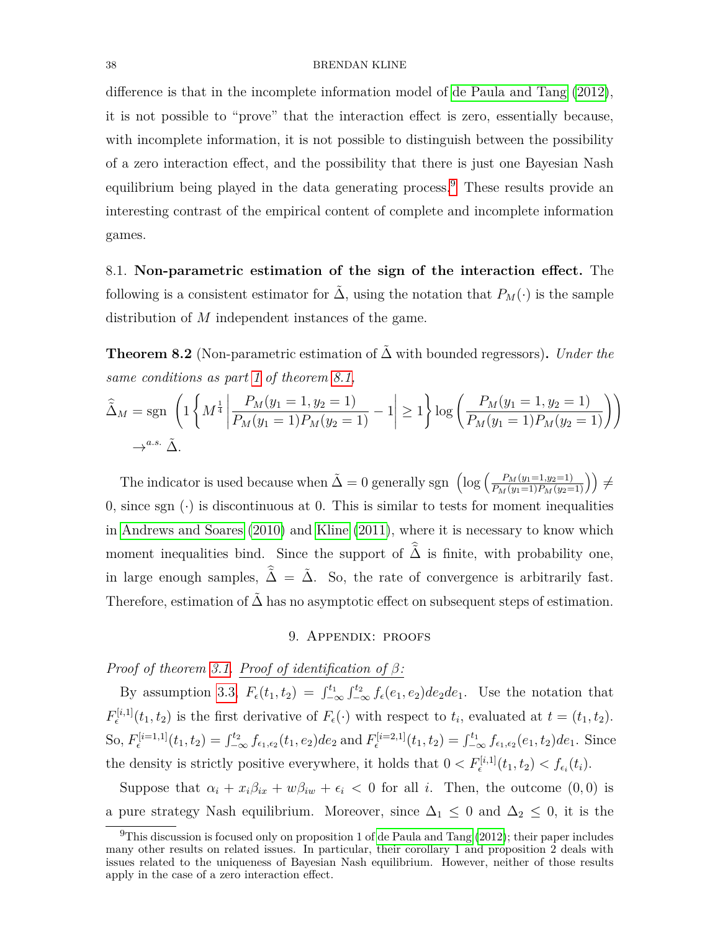difference is that in the incomplete information model of [de Paula and Tang](#page-44-5) [\(2012\)](#page-44-5), it is not possible to "prove" that the interaction effect is zero, essentially because, with incomplete information, it is not possible to distinguish between the possibility of a zero interaction effect, and the possibility that there is just one Bayesian Nash equilibrium being played in the data generating process.<sup>[9](#page-37-1)</sup> These results provide an interesting contrast of the empirical content of complete and incomplete information games.

8.1. **Non-parametric estimation of the sign of the interaction effect.** The following is a consistent estimator for  $\tilde{\Delta}$ , using the notation that  $P_M(\cdot)$  is the sample distribution of *M* independent instances of the game.

<span id="page-37-0"></span>**Theorem 8.2** (Non-parametric estimation of ∆˜ with bounded regressors)**.** *Under the same conditions as part [1](#page-35-2) of theorem [8.1,](#page-35-0)*

$$
\widehat{\Delta}_M = \text{sgn}\left(1\left\{M^{\frac{1}{4}} \left|\frac{P_M(y_1 = 1, y_2 = 1)}{P_M(y_1 = 1)P_M(y_2 = 1)} - 1\right| \ge 1\right\} \log\left(\frac{P_M(y_1 = 1, y_2 = 1)}{P_M(y_1 = 1)P_M(y_2 = 1)}\right)\right)
$$
  

$$
\rightarrow^{a.s.} \widetilde{\Delta}.
$$

The indicator is used because when  $\tilde{\Delta} = 0$  generally sgn  $\left(\log\left(\frac{P_M(y_1=1,y_2=1)}{P_M(y_1=1)P_M(y_2=1)}\right)\right) \neq$ 0, since sgn  $\left(\cdot\right)$  is discontinuous at 0. This is similar to tests for moment inequalities in [Andrews and Soares](#page-43-9) [\(2010\)](#page-43-9) and [Kline](#page-44-20) [\(2011\)](#page-44-20), where it is necessary to know which moment inequalities bind. Since the support of  $\hat{\tilde{\Delta}}$  is finite, with probability one, in large enough samples,  $\hat{\tilde{\Delta}} = \tilde{\Delta}$ . So, the rate of convergence is arbitrarily fast. Therefore, estimation of  $\tilde{\Delta}$  has no asymptotic effect on subsequent steps of estimation.

### 9. Appendix: proofs

# *Proof of theorem [3.1.](#page-13-0) Proof of identification of β:*

By assumption [3.3,](#page-10-0)  $F_{\epsilon}(t_1, t_2) = \int_{-\infty}^{t_1} \int_{-\infty}^{t_2} f_{\epsilon}(e_1, e_2) de_2de_1$ . Use the notation that  $F_{\epsilon}^{[i,1]}(t_1, t_2)$  is the first derivative of  $F_{\epsilon}(\cdot)$  with respect to  $t_i$ , evaluated at  $t = (t_1, t_2)$ . So,  $F_{\epsilon}^{[i=1,1]}(t_1, t_2) = \int_{-\infty}^{t_2} f_{\epsilon_1, \epsilon_2}(t_1, e_2) de_2$  and  $F_{\epsilon}^{[i=2,1]}(t_1, t_2) = \int_{-\infty}^{t_1} f_{\epsilon_1, \epsilon_2}(e_1, t_2) de_1$ . Since the density is strictly positive everywhere, it holds that  $0 < F_{\epsilon}^{[i,1]}(t_1, t_2) < f_{\epsilon_i}(t_i)$ .

Suppose that  $\alpha_i + x_i \beta_{ix} + w \beta_{iw} + \epsilon_i < 0$  for all *i*. Then, the outcome  $(0,0)$  is a pure strategy Nash equilibrium. Moreover, since  $\Delta_1 \leq 0$  and  $\Delta_2 \leq 0$ , it is the

<span id="page-37-1"></span><sup>&</sup>lt;sup>9</sup>This discussion is focused only on proposition 1 of [de Paula and Tang](#page-44-5)  $(2012)$ ; their paper includes many other results on related issues. In particular, their corollary 1 and proposition 2 deals with issues related to the uniqueness of Bayesian Nash equilibrium. However, neither of those results apply in the case of a zero interaction effect.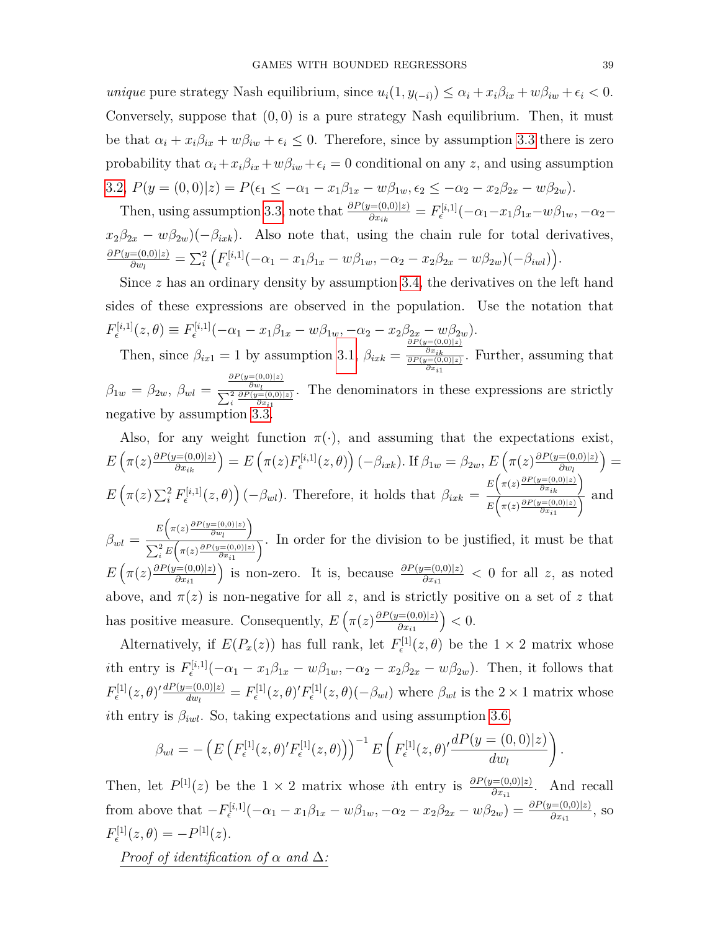*unique* pure strategy Nash equilibrium, since  $u_i(1, y_{(-i)}) \leq \alpha_i + x_i \beta_{ix} + w \beta_{iw} + \epsilon_i < 0$ . Conversely, suppose that (0*,* 0) is a pure strategy Nash equilibrium. Then, it must be that  $\alpha_i + x_i \beta_{ix} + w \beta_{iw} + \epsilon_i \leq 0$ . Therefore, since by assumption [3.3](#page-10-0) there is zero probability that  $\alpha_i + x_i \beta_{ix} + w \beta_{iw} + \epsilon_i = 0$  conditional on any *z*, and using assumption [3.2,](#page-9-1)  $P(y = (0,0)|z) = P(\epsilon_1 \leq -\alpha_1 - x_1\beta_{1x} - w\beta_{1w}, \epsilon_2 \leq -\alpha_2 - x_2\beta_{2x} - w\beta_{2w}).$ 

Then, using assumption [3.3,](#page-10-0) note that  $\frac{\partial P(y=(0,0)|z)}{\partial x_{ik}} = F_{\epsilon}^{[i,1]}(-\alpha_1 - x_1\beta_{1x} - w\beta_{1w}, -\alpha_2 - w\beta_{2x} - w\beta_{2x} - w\beta_{2x})$  $x_2\beta_{2x} - w\beta_{2w}$ )(− $\beta_{ixk}$ ). Also note that, using the chain rule for total derivatives, *∂P*(*y*=(0*,*0)|*z*)  $\frac{E(0,0)|z|}{\partial w_l} = \sum_i^2 \Big( F_{\epsilon}^{[i,1]}(-\alpha_1 - x_1\beta_{1x} - w\beta_{1w}, -\alpha_2 - x_2\beta_{2x} - w\beta_{2w})(-\beta_{iwl}) \Big).$ 

Since *z* has an ordinary density by assumption [3.4,](#page-11-0) the derivatives on the left hand sides of these expressions are observed in the population. Use the notation that  $F_{\epsilon}^{[i,1]}(z,\theta) \equiv F_{\epsilon}^{[i,1]}(-\alpha_1 - x_1\beta_{1x} - w\beta_{1w}, -\alpha_2 - x_2\beta_{2x} - w\beta_{2w}).$  $\epsilon$ Then, since  $\beta_{ix1} = 1$  by assumption [3.1,](#page-9-2)  $\beta_{ixk} =$ . Further, assuming that

*∂P* (*y*=(0*,*0)|*z*) *∂xik ∂P* (*y*=(0*,*0)|*z*) *∂xi*1  $\beta_{1w} = \beta_{2w}, \ \beta_{wl} =$  $\frac{\partial P(y=(0,0)|z)}{\partial w_l}$   $\sum_i^2 \frac{\partial P(y=(0,0)|z)}{\partial x_{i1}}$ . The denominators in these expressions are strictly negative by assumption [3.3.](#page-10-0)

Also, for any weight function 
$$
\pi(\cdot)
$$
, and assuming that the expectations exist,  
\n
$$
E\left(\pi(z)\frac{\partial P(y=(0,0)|z)}{\partial x_{ik}}\right) = E\left(\pi(z)F_{\epsilon}^{[i,1]}(z,\theta)\right)(-\beta_{ixk}). \text{ If } \beta_{1w} = \beta_{2w}, E\left(\pi(z)\frac{\partial P(y=(0,0)|z)}{\partial w_l}\right) =
$$
\n
$$
E\left(\pi(z)\sum_{i}^{2}F_{\epsilon}^{[i,1]}(z,\theta)\right)(-\beta_{wl}). \text{ Therefore, it holds that } \beta_{ixk} = \frac{E\left(\pi(z)\frac{\partial P(y=(0,0)|z)}{\partial x_{ik}}\right)}{E\left(\pi(z)\frac{\partial P(y=(0,0)|z)}{\partial x_{i1}}\right)} \text{ and}
$$

 $\beta_{wl} = \frac{E\left(\pi(z) \frac{\partial P(y=(0,0)|z)}{\partial w_l}\right)}{\sum_{l=1}^{3} \sum_{l=1}^{l} \left(\pi(z) \frac{\partial P(y=(0,0)|z)}{\partial w_l}\right)}$  $\frac{\sum_{i}^{n} E(\pi(z) \frac{\partial P(y=(0,0)|z)}{\partial x_{i1}})}{\sum_{i}^{n} E(\pi(z) \frac{\partial P(y=(0,0)|z)}{\partial x_{i1}})}$ . In order for the division to be justified, it must be that  $E\left(\pi(z)\frac{\partial P(y=(0,0)|z)}{\partial x} \right)$ *∂xi*<sup>1</sup> is non-zero. It is, because  $\frac{\partial P(y=(0,0)|z)}{\partial x_{i1}} < 0$  for all *z*, as noted above, and  $\pi(z)$  is non-negative for all *z*, and is strictly positive on a set of *z* that has positive measure. Consequently,  $E\left(\pi(z)\frac{\partial P(y=(0,0)|z)}{\partial x}\right)$ *∂xi*<sup>1</sup>  $($   $< 0.$ 

Alternatively, if  $E(P_x(z))$  has full rank, let  $F_{\epsilon}^{[1]}(z,\theta)$  be the  $1 \times 2$  matrix whose *i*th entry is  $F_{\epsilon}^{[i,1]}(-\alpha_1 - x_1\beta_{1x} - w\beta_{1w}, -\alpha_2 - x_2\beta_{2x} - w\beta_{2w})$ . Then, it follows that  $F_{\epsilon}^{[1]}(z,\theta)' \frac{dP(y=(0,0)|z)}{dw}$  $\frac{F(0,0)|z|}{dw_l} = F_{\epsilon}^{[1]}(z,\theta)'F_{\epsilon}^{[1]}(z,\theta)(-\beta_{wl})$  where  $\beta_{wl}$  is the  $2 \times 1$  matrix whose *i*th entry is  $\beta_{iwl}$ . So, taking expectations and using assumption [3.6,](#page-12-2)

$$
\beta_{wl} = -\left( E\left( F_{\epsilon}^{[1]}(z,\theta)' F_{\epsilon}^{[1]}(z,\theta) \right) \right)^{-1} E\left( F_{\epsilon}^{[1]}(z,\theta)' \frac{dP(y=(0,0)|z)}{dw_l} \right).
$$

Then, let  $P^{[1]}(z)$  be the 1 × 2 matrix whose *i*th entry is  $\frac{\partial P(y=(0,0)|z)}{\partial x_{i1}}$ . And recall from above that  $-F_{\epsilon}^{[i,1]}(-\alpha_1-x_1\beta_{1x}-w\beta_{1w},-\alpha_2-x_2\beta_{2x}-w\beta_{2w})=\frac{\partial P(y=(0,0)|z)}{\partial x_{i1}},$  so  $F_{\epsilon}^{[1]}(z,\theta) = -P^{[1]}(z).$ 

*Proof of identification of α and* ∆*:*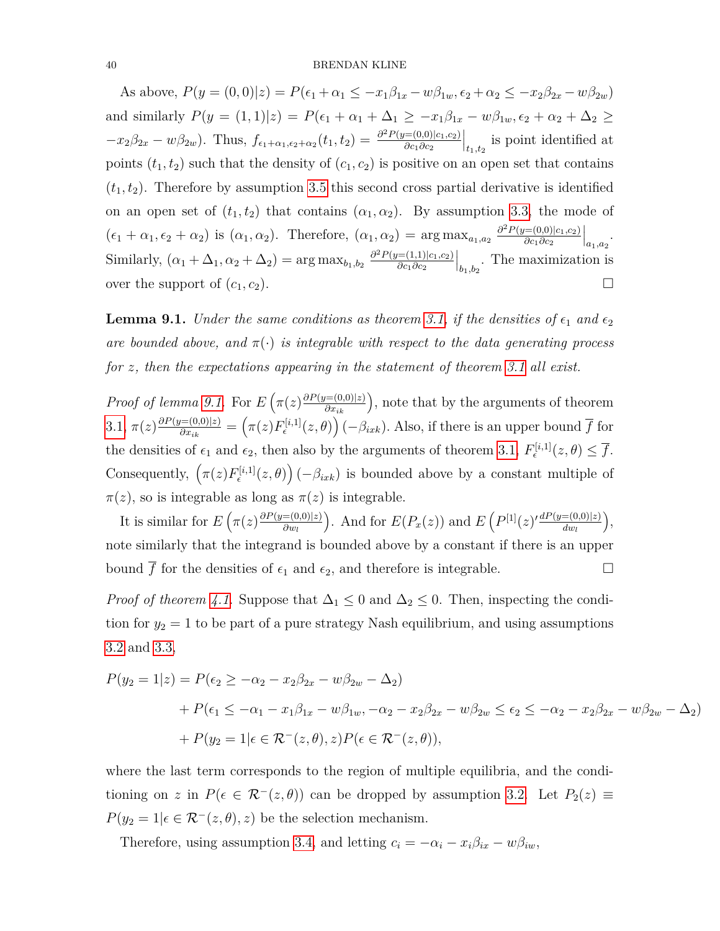As above,  $P(y = (0,0)|z) = P(\epsilon_1 + \alpha_1 \leq -x_1\beta_{1x} - w\beta_{1w}, \epsilon_2 + \alpha_2 \leq -x_2\beta_{2x} - w\beta_{2w})$ and similarly  $P(y = (1, 1)|z) = P(\epsilon_1 + \alpha_1 + \Delta_1 \geq -x_1\beta_{1x} - w\beta_{1w}, \epsilon_2 + \alpha_2 + \Delta_2 \geq$  $-x_2\beta_{2x} - w\beta_{2w}$ . Thus,  $f_{\epsilon_1+\alpha_1,\epsilon_2+\alpha_2}(t_1,t_2) = \frac{\partial^2 P(y=(0,0)|c_1,c_2)}{\partial c_1 \partial c_2}$ *∂c*1*∂c*<sup>2</sup>  $\left| \right|_{t_1,t_2}$  is point identified at points  $(t_1, t_2)$  such that the density of  $(c_1, c_2)$  is positive on an open set that contains  $(t_1, t_2)$ . Therefore by assumption [3.5](#page-12-1) this second cross partial derivative is identified on an open set of  $(t_1, t_2)$  that contains  $(\alpha_1, \alpha_2)$ . By assumption [3.3,](#page-10-0) the mode of  $(\epsilon_1 + \alpha_1, \epsilon_2 + \alpha_2)$  is  $(\alpha_1, \alpha_2)$ . Therefore,  $(\alpha_1, \alpha_2) = \arg \max_{a_1, a_2} \frac{\partial^2 P(y=(0,0)|c_1, c_2)}{\partial c_1 \partial c_2}$ *∂c*1*∂c*<sup>2</sup>  $\Big|_{a_1, a_2}$ . Similarly,  $(\alpha_1 + \Delta_1, \alpha_2 + \Delta_2) = \arg \max_{b_1, b_2} \frac{\partial^2 P(y=(1,1)|c_1, c_2)}{\partial c_1 \partial c_2}$ *∂c*1*∂c*<sup>2</sup>  $\Big|_{b_1,b_2}$ . The maximization is over the support of  $(c_1, c_2)$ .

<span id="page-39-0"></span>**Lemma 9.1.** *Under the same conditions as theorem [3.1,](#page-13-0) if the densities of*  $\epsilon_1$  *and*  $\epsilon_2$ *are bounded above, and*  $\pi(\cdot)$  *is integrable with respect to the data generating process for z, then the expectations appearing in the statement of theorem [3.1](#page-13-0) all exist.*

*Proof of lemma [9.1.](#page-39-0)* For  $E\left(\pi(z)\frac{\partial P(y=(0,0)|z)}{\partial x_{ik}}\right)$ , note that by the arguments of theorem  $3.1, \pi(z) \frac{\partial P(y=(0,0)|z)}{\partial x}$  $3.1, \pi(z) \frac{\partial P(y=(0,0)|z)}{\partial x}$  $\frac{f(x)=(0,0)|z)}{\partial x_{ik}} = \left(\pi(z)F_{\epsilon}^{[i,1]}(z,\theta)\right)(-\beta_{ixk})$ . Also, if there is an upper bound  $\overline{f}$  for the densities of  $\epsilon_1$  and  $\epsilon_2$ , then also by the arguments of theorem [3.1,](#page-13-0)  $F_{\epsilon}^{[i,1]}(z,\theta) \leq \overline{f}$ . Consequently,  $(\pi(z) F_{\epsilon}^{[i,1]}(z,\theta))$  ( $-\beta_{ixk}$ ) is bounded above by a constant multiple of  $\pi(z)$ , so is integrable as long as  $\pi(z)$  is integrable.

It is similar for  $E\left(\pi(z)\frac{\partial P(y=(0,0)|z)}{\partial w}\right)$ *∂w<sup>l</sup>* ). And for  $E(P_x(z))$  and  $E(P^{[1]}(z) \frac{dP(y=(0,0)|z)}{dw}$ *dw<sup>l</sup>* , note similarly that the integrand is bounded above by a constant if there is an upper bound  $\overline{f}$  for the densities of  $\epsilon_1$  and  $\epsilon_2$ , and therefore is integrable.

*Proof of theorem [4.1.](#page-19-1)* Suppose that  $\Delta_1 \leq 0$  and  $\Delta_2 \leq 0$ . Then, inspecting the condition for  $y_2 = 1$  to be part of a pure strategy Nash equilibrium, and using assumptions [3.2](#page-9-1) and [3.3,](#page-10-0)

$$
P(y_2 = 1|z) = P(\epsilon_2 \ge -\alpha_2 - x_2\beta_{2x} - w\beta_{2w} - \Delta_2)
$$
  
+ 
$$
P(\epsilon_1 \le -\alpha_1 - x_1\beta_{1x} - w\beta_{1w}, -\alpha_2 - x_2\beta_{2x} - w\beta_{2w} \le \epsilon_2 \le -\alpha_2 - x_2\beta_{2x} - w\beta_{2w} - \Delta_2)
$$
  
+ 
$$
P(y_2 = 1|\epsilon \in \mathcal{R}^-(z, \theta), z)P(\epsilon \in \mathcal{R}^-(z, \theta)),
$$

where the last term corresponds to the region of multiple equilibria, and the conditioning on *z* in  $P(\epsilon \in \mathcal{R}^{-}(z, \theta))$  can be dropped by assumption [3.2.](#page-9-1) Let  $P_2(z) \equiv$  $P(y_2 = 1 | \epsilon \in \mathcal{R}^-(z, \theta), z)$  be the selection mechanism.

Therefore, using assumption [3.4,](#page-11-0) and letting  $c_i = -\alpha_i - x_i \beta_{ix} - w \beta_{iw}$ ,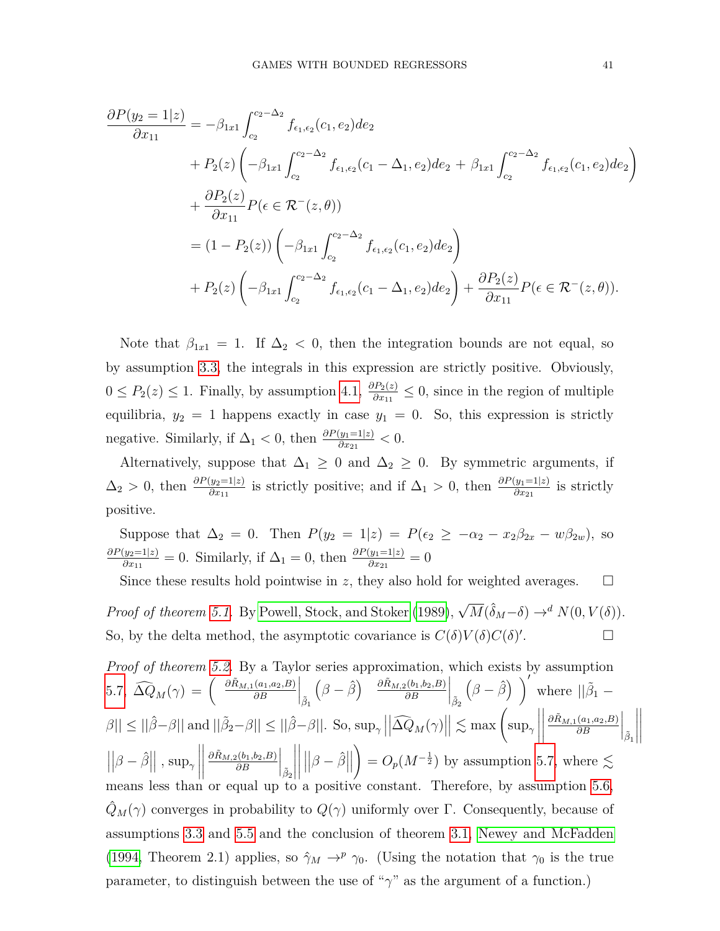$$
\frac{\partial P(y_2 = 1|z)}{\partial x_{11}} = -\beta_{1x1} \int_{c_2}^{c_2-\Delta_2} f_{\epsilon_1,\epsilon_2}(c_1, e_2) de_2 \n+ P_2(z) \left( -\beta_{1x1} \int_{c_2}^{c_2-\Delta_2} f_{\epsilon_1,\epsilon_2}(c_1 - \Delta_1, e_2) de_2 + \beta_{1x1} \int_{c_2}^{c_2-\Delta_2} f_{\epsilon_1,\epsilon_2}(c_1, e_2) de_2 \right) \n+ \frac{\partial P_2(z)}{\partial x_{11}} P(\epsilon \in \mathcal{R}^-(z, \theta)) \n= (1 - P_2(z)) \left( -\beta_{1x1} \int_{c_2}^{c_2-\Delta_2} f_{\epsilon_1,\epsilon_2}(c_1, e_2) de_2 \right) \n+ P_2(z) \left( -\beta_{1x1} \int_{c_2}^{c_2-\Delta_2} f_{\epsilon_1,\epsilon_2}(c_1 - \Delta_1, e_2) de_2 \right) + \frac{\partial P_2(z)}{\partial x_{11}} P(\epsilon \in \mathcal{R}^-(z, \theta)).
$$

Note that  $\beta_{1x1} = 1$ . If  $\Delta_2 < 0$ , then the integration bounds are not equal, so by assumption [3.3,](#page-10-0) the integrals in this expression are strictly positive. Obviously,  $0 \le P_2(z) \le 1$ . Finally, by assumption [4.1,](#page-17-1)  $\frac{\partial P_2(z)}{\partial x_{11}} \le 0$ , since in the region of multiple equilibria,  $y_2 = 1$  happens exactly in case  $y_1 = 0$ . So, this expression is strictly negative. Similarly, if  $\Delta_1 < 0$ , then  $\frac{\partial P(y_1=1|z)}{\partial x_{21}} < 0$ .

Alternatively, suppose that  $\Delta_1 \geq 0$  and  $\Delta_2 \geq 0$ . By symmetric arguments, if  $\Delta_2 > 0$ , then  $\frac{\partial P(y_2=1|z)}{\partial x_{11}}$  is strictly positive; and if  $\Delta_1 > 0$ , then  $\frac{\partial P(y_1=1|z)}{\partial x_{21}}$  is strictly positive.

Suppose that  $\Delta_2 = 0$ . Then  $P(y_2 = 1|z) = P(\epsilon_2 \ge -\alpha_2 - x_2\beta_{2x} - w\beta_{2w})$ , so *∂P*(*y*2=1|*z*)  $\frac{\partial y_2 = 1|z|}{\partial x_{11}} = 0$ . Similarly, if  $\Delta_1 = 0$ , then  $\frac{\partial P(y_1 = 1|z)}{\partial x_{21}} = 0$ 

Since these results hold pointwise in *z*, they also hold for weighted averages.  $\square$ *Proof of theorem [5.1.](#page-24-0)* By [Powell, Stock, and Stoker](#page-44-11) [\(1989\)](#page-44-11),  $\sqrt{M}(\hat{\delta}_M - \delta) \rightarrow^d N(0, V(\delta))$ . So, by the delta method, the asymptotic covariance is  $C(\delta)V(\delta)C(\delta)$ . — П

Proof of theorem 5.2. By a Taylor series approximation, which exists by assumption  
\n5.7, 
$$
\widehat{\Delta Q}_M(\gamma) = \begin{pmatrix} \frac{\partial \tilde{R}_{M,1}(a_1, a_2, B)}{\partial B} \Big|_{\tilde{\beta}_1} (\beta - \hat{\beta}) & \frac{\partial \tilde{R}_{M,2}(b_1, b_2, B)}{\partial B} \Big|_{\tilde{\beta}_2} (\beta - \hat{\beta}) & \end{pmatrix}'
$$
 where  $||\tilde{\beta}_1 - \beta|| \le ||\hat{\beta} - \beta||$  and  $||\tilde{\beta}_2 - \beta|| \le ||\hat{\beta} - \beta||$ . So,  $\sup_{\gamma} ||\widehat{\Delta Q}_M(\gamma)|| \lesssim \max \left( \sup_{\gamma} \left\| \frac{\partial \tilde{R}_{M,1}(a_1, a_2, B)}{\partial B} \Big|_{\tilde{\beta}_1} \right\|$   
\n $||\beta - \hat{\beta}||$ ,  $\sup_{\gamma} \left\| \frac{\partial \tilde{R}_{M,2}(b_1, b_2, B)}{\partial B} \Big|_{\tilde{\beta}_2} \right\|$   $||\beta - \hat{\beta}|| \right) = O_p(M^{-\frac{1}{2}})$  by assumption 5.7, where  $\lesssim$   
means less than or equal up to a positive constant. Therefore, by assumption 5.6,  
\n $\widehat{Q}_M(\gamma)$  converges in probability to  $Q(\gamma)$  uniformly over  $\Gamma$ . Consequently, because of  
assumptions 3.3 and 5.5 and the conclusion of theorem 3.1, Newey and McFadden  
\n(1994, Theorem 2.1) applies, so  $\widehat{\gamma}_M \to^p \gamma_0$ . (Using the notation that  $\gamma_0$  is the true  
\nparameter, to distinguish between the use of " $\gamma$ " as the argument of a function.)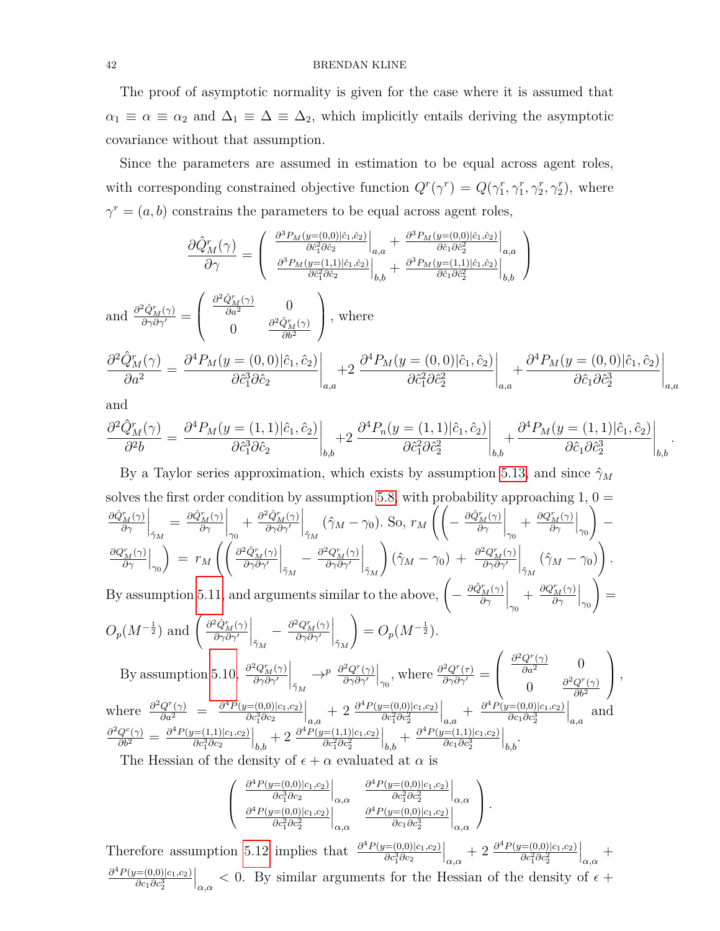The proof of asymptotic normality is given for the case where it is assumed that  $\alpha_1 \equiv \alpha \equiv \alpha_2$  and  $\Delta_1 \equiv \Delta \equiv \Delta_2$ , which implicitly entails deriving the asymptotic covariance without that assumption.

Since the parameters are assumed in estimation to be equal across agent roles, with corresponding constrained objective function  $Q^r(\gamma^r) = Q(\gamma_1^r, \gamma_1^r, \gamma_2^r, \gamma_2^r)$ , where  $\gamma^r = (a, b)$  constrains the parameters to be equal across agent roles,

$$
\frac{\partial \hat{Q}_{M}^{r}(\gamma)}{\partial \gamma} = \begin{pmatrix} \frac{\partial^{3}P_{M}(y=(0,0)|\hat{c}_{1},\hat{c}_{2})}{\partial \hat{c}_{1}^{2}\partial \hat{c}_{2}}\Big|_{a,a} + \frac{\partial^{3}P_{M}(y=(0,0)|\hat{c}_{1},\hat{c}_{2})}{\partial \hat{c}_{1}\partial \hat{c}_{2}^{2}}\Big|_{a,a} \\ \frac{\partial^{3}P_{M}(y=(1,1)|\hat{c}_{1},\hat{c}_{2})}{\partial \hat{c}_{1}^{2}\partial \hat{c}_{2}}\Big|_{b,b} + \frac{\partial^{3}P_{M}(y=(1,1)|\hat{c}_{1},\hat{c}_{2})}{\partial \hat{c}_{1}\partial \hat{c}_{2}^{2}}\Big|_{b,b} \end{pmatrix}
$$
\nand\n
$$
\frac{\partial^{2} \hat{Q}_{M}^{r}(\gamma)}{\partial \gamma^{\prime}} = \begin{pmatrix} \frac{\partial^{2} \hat{Q}_{M}^{r}(\gamma)}{\partial a^{2}} & 0 \\ 0 & \frac{\partial^{2} \hat{Q}_{M}^{r}(\gamma)}{\partial b^{2}} \end{pmatrix}, \text{ where}
$$
\n
$$
\frac{\partial^{2} \hat{Q}_{M}^{r}(\gamma)}{\partial a^{2}} = \frac{\partial^{4}P_{M}(y=(0,0)|\hat{c}_{1},\hat{c}_{2})}{\partial \hat{c}_{1}^{3}\partial \hat{c}_{2}}\Big|_{a,a} + 2 \frac{\partial^{4}P_{M}(y=(0,0)|\hat{c}_{1},\hat{c}_{2})}{\partial \hat{c}_{1}^{2}\partial \hat{c}_{2}^{2}}\Big|_{a,a} + \frac{\partial^{4}P_{M}(y=(0,0)|\hat{c}_{1},\hat{c}_{2})}{\partial \hat{c}_{1}\partial \hat{c}_{2}^{3}}\Big|_{a,a}
$$

and

$$
\frac{\partial^2 \hat{Q}_M^r(\gamma)}{\partial^2 b} = \frac{\partial^4 P_M(y=(1,1)|\hat{c}_1,\hat{c}_2)}{\partial \hat{c}_1^3 \partial \hat{c}_2}\bigg|_{b,b} + 2 \left. \frac{\partial^4 P_n(y=(1,1)|\hat{c}_1,\hat{c}_2)}{\partial \hat{c}_1^2 \partial \hat{c}_2^2}\right|_{b,b} + \frac{\partial^4 P_M(y=(1,1)|\hat{c}_1,\hat{c}_2)}{\partial \hat{c}_1 \partial \hat{c}_2^3}\bigg|_{b,b}.
$$

By a Taylor series approximation, which exists by assumption [5.13,](#page-27-6) and since  $\hat{\gamma}_M$ solves the first order condition by assumption [5.8,](#page-27-1) with probability approaching  $1, 0 =$ *∂Q*ˆ*<sup>r</sup> <sup>M</sup>*(*γ*) *∂γ*  $\Big|_{\hat{\gamma}_M}$  $=\frac{\partial \hat{Q}_M^r(\gamma)}{\partial \gamma}$ *∂γ*  $\Big|_{\gamma_0}$  $+\frac{\partial^2 \hat{Q}_M^r(\gamma)}{\partial \gamma \partial \gamma'}$ *∂γ∂γ*<sup>0</sup>  $\Big|_{\tilde{\gamma}_M}$  $(\hat{\gamma}_M - \gamma_0)$ . So,  $r_M \left( \left( - \frac{\partial \hat{Q}_M^r(\gamma)}{\partial \gamma} \right) \right)$ *∂γ*  $\Big|_{\gamma_0}$  $+\frac{\partial Q_M^r(\gamma)}{\partial \gamma}$ *∂γ*  $\Big|_{\gamma_0}$  $\setminus$ −  $\partial Q_M^r(\gamma)$ *∂γ*  $\Big|_{\gamma_0}$  $= r_M$  $\int$   $\int$   $\frac{\partial^2 \hat{Q}_M^r(\gamma)}{Q}$ *∂γ∂γ*<sup>0</sup>  $\Big|_{\tilde{\gamma}_M}$  $-\frac{\partial^2 Q_M^r(\gamma)}{\partial \alpha \partial \alpha'}$ *∂γ∂γ*<sup>0</sup>  $\Big|_{\tilde{\gamma}_M}$  $\left(\hat{\gamma}_M - \gamma_0\right) + \frac{\partial^2 Q_M^r(\gamma)}{\partial \gamma \partial \gamma'}$ *∂γ∂γ*<sup>0</sup>  $\Big|_{\tilde{\gamma}_M}$  $(\hat{\gamma}_M - \gamma_0)$  $\setminus$ *.* By assumption [5.11,](#page-27-4) and arguments similar to the above,  $\left(-\frac{\partial \hat{Q}_{M}^{r}(\gamma)}{\partial \gamma}\right)$ *∂γ*  $\Big|_{\gamma_0}$  $+\frac{\partial Q_M^r(\gamma)}{\partial \gamma}$ *∂γ*  $\Big|_{\gamma_0}$  $\setminus$ =  $O_p(M^{-\frac{1}{2}})$  and  $\left(\frac{\partial^2 \hat{Q}_M^r(\gamma)}{\partial \gamma \partial \gamma'}\right)$ *∂γ∂γ*<sup>0</sup>  $\Big|_{\tilde{\gamma}_M}$  $-\frac{\partial^2 Q_M^r(\gamma)}{\partial \gamma \partial \gamma'}$ *∂γ∂γ*<sup>0</sup>  $\Big|_{\tilde{\gamma}_M}$  $= O_p(M^{-\frac{1}{2}}).$ 

By assumption 5.10, 
$$
\frac{\partial^2 Q_M^r(\gamma)}{\partial \gamma \partial \gamma'}\Big|_{\tilde{\gamma}_M} \to^p \frac{\partial^2 Q^r(\gamma)}{\partial \gamma \partial \gamma'}\Big|_{\gamma_0}
$$
, where  $\frac{\partial^2 Q^r(\tau)}{\partial \gamma \partial \gamma'} = \begin{pmatrix} \frac{\partial^2 Q^r(\gamma)}{\partial a^2} & 0 \\ 0 & \frac{\partial^2 Q^r(\gamma)}{\partial b^2} \end{pmatrix}$ ,  
where  $\frac{\partial^2 Q^r(\gamma)}{\partial a^2} = \frac{\partial^4 P(y=(0,0)|c_1,c_2)}{\partial c_1^3 \partial c_2}\Big|_{a,a} + 2 \frac{\partial^4 P(y=(0,0)|c_1,c_2)}{\partial c_1^2 \partial c_2^2}\Big|_{a,a} + \frac{\partial^4 P(y=(0,0)|c_1,c_2)}{\partial c_1 \partial c_2^3}\Big|_{a,a}$  and  $\frac{\partial^2 Q^c(\gamma)}{\partial b^2} = \frac{\partial^4 P(y=(1,1)|c_1,c_2)}{\partial c_1^3 \partial c_2}\Big|_{b,b} + 2 \frac{\partial^4 P(y=(1,1)|c_1,c_2)}{\partial c_1^2 \partial c_2^2}\Big|_{b,b} + \frac{\partial^4 P(y=(1,1)|c_1,c_2)}{\partial c_1 \partial c_2^3}\Big|_{b,b}.$   
The Hessian of the density of  $\epsilon + \alpha$  evaluated at  $\alpha$  is

The Hessian of the density of  $\epsilon + \alpha$  evaluated at  $\alpha$  is

$$
\begin{pmatrix}\n\frac{\partial^4 P(y=(0,0)|c_1,c_2)}{\partial c_1^3 \partial c_2}\Big|_{\alpha,\alpha} & \frac{\partial^4 P(y=(0,0)|c_1,c_2)}{\partial c_1^2 \partial c_2^2}\Big|_{\alpha,\alpha} \\
\frac{\partial^4 P(y=(0,0)|c_1,c_2)}{\partial c_1^2 \partial c_2^2}\Big|_{\alpha,\alpha} & \frac{\partial^4 P(y=(0,0)|c_1,c_2)}{\partial c_1 \partial c_2^3}\Big|_{\alpha,\alpha}\n\end{pmatrix}.
$$

Therefore assumption [5.12](#page-27-5) implies that  $\frac{\partial^4 P(y=(0,0)|c_1,c_2)}{\partial c_1^3 \partial c_2}$ *∂c*<sup>3</sup>∂c<sub>2</sub>  $\Big|_{\alpha,\alpha}$  + 2  $\frac{\partial^4 P(y=(0,0)|c_1,c_2)}{\partial c_1^2 \partial c_2^2}$  $\partial c_1^2 \partial c_2^2$  $\Big|_{\alpha,\alpha}$  + *∂* <sup>4</sup>*P*(*y*=(0*,*0)|*c*1*,c*2) *∂c*1*∂c*<sup>3</sup> 2  $\Big|_{\alpha,\alpha}$  < 0. By similar arguments for the Hessian of the density of  $\epsilon$  +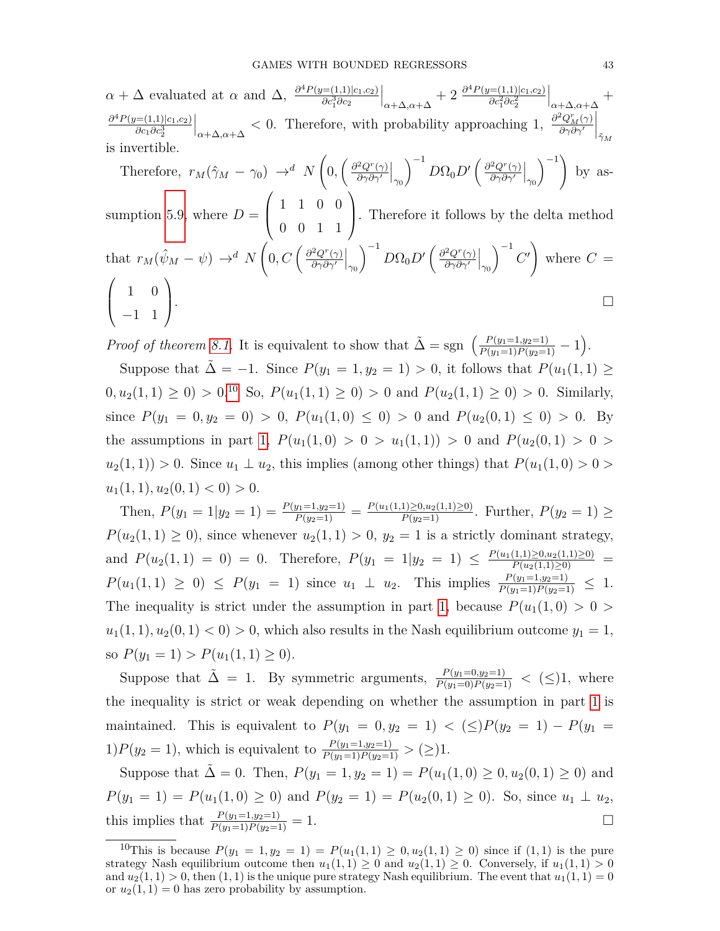$\alpha + \Delta$  evaluated at  $\alpha$  and  $\Delta$ ,  $\frac{\partial^4 P(y=(1,1)|c_1,c_2)}{\partial c_1^3 \partial c_2}$ *∂c*<sup>3</sup> 1 *∂c*<sup>2</sup>  $\Big|_{\alpha+\Delta,\alpha+\Delta}+2 \frac{\partial^4 P(y=(1,1)|c_1,c_2)}{\partial c_1^2 \partial c_2^2}$  $\partial c_1^2 \partial c_2^2$  *α*+∆*,α*+∆  $^{+}$ *∂* <sup>4</sup>*P*(*y*=(1*,*1)|*c*1*,c*2) *∂c*1*∂c*<sup>3</sup> 2  $\left| \alpha + \Delta, \alpha + \Delta \right|$  < 0. Therefore, with probability approaching 1,  $\frac{\partial^2 Q_M^r(\gamma)}{\partial \gamma \partial \gamma'}$ *∂γ∂γ*<sup>0</sup>  $\mid$  $\tilde{\gamma}_M$ is invertible.

Therefore, 
$$
r_M(\hat{\gamma}_M - \gamma_0) \rightarrow^d N\left(0, \left(\frac{\partial^2 Q^r(\gamma)}{\partial \gamma \partial \gamma'}\Big|_{\gamma_0}\right)^{-1} D\Omega_0 D' \left(\frac{\partial^2 Q^r(\gamma)}{\partial \gamma \partial \gamma'}\Big|_{\gamma_0}\right)^{-1}\right)
$$
 by as-  
quantian 5.0 when  $D = \begin{pmatrix} 1 & 1 & 0 & 0 \end{pmatrix}$ . The means it follows that this with a

sumption 5.9, where 
$$
D = \begin{pmatrix} 1 & 0 & 0 & 0 & 0 \\ 0 & 0 & 1 & 1 & 0 \\ 0 & 0 & 0 & 1 & 1 \end{pmatrix}
$$
. Therefore it follows by the delta method  
that  $r_M(\hat{\psi}_M - \psi) \to^d N \left( 0, C \left( \frac{\partial^2 Q^r(\gamma)}{\partial \gamma \partial \gamma'} \Big|_{\gamma_0} \right)^{-1} D\Omega_0 D' \left( \frac{\partial^2 Q^r(\gamma)}{\partial \gamma \partial \gamma'} \Big|_{\gamma_0} \right)^{-1} C' \right)$  where  $C = \begin{pmatrix} 1 & 0 \\ -1 & 1 \end{pmatrix}$ .

*Proof of theorem [8.1.](#page-35-0)* It is equivalent to show that  $\tilde{\Delta} = \text{sgn} \left( \frac{P(y_1=1,y_2=1)}{P(y_1=1)P(y_2=1)} - 1 \right)$ .

Suppose that  $\tilde{\Delta} = -1$ . Since  $P(y_1 = 1, y_2 = 1) > 0$ , it follows that  $P(u_1(1, 1)) \ge$  $0, u_2(1, 1) \geq 0$   $> 0.10$  $> 0.10$  So,  $P(u_1(1, 1) \geq 0) > 0$  and  $P(u_2(1, 1) \geq 0) > 0$ . Similarly, since  $P(y_1 = 0, y_2 = 0) > 0$ ,  $P(u_1(1,0) \le 0) > 0$  and  $P(u_2(0,1) \le 0) > 0$ . By the assumptions in part [1,](#page-35-2)  $P(u_1(1,0) > 0 > u_1(1,1)) > 0$  and  $P(u_2(0,1) > 0 >$  $u_2(1,1)$ ) > 0. Since  $u_1 \perp u_2$ , this implies (among other things) that  $P(u_1(1,0) > 0 > 0$  $u_1(1, 1), u_2(0, 1) < 0$  > 0.

Then,  $P(y_1 = 1 | y_2 = 1) = \frac{P(y_1 = 1, y_2 = 1)}{P(y_2 = 1)} = \frac{P(u_1(1, 1) \ge 0, u_2(1, 1) \ge 0)}{P(y_2 = 1)}$ . Further,  $P(y_2 = 1) \ge$  $P(u_2(1,1) \geq 0)$ , since whenever  $u_2(1,1) > 0$ ,  $y_2 = 1$  is a strictly dominant strategy, and  $P(u_2(1,1) = 0) = 0$ . Therefore,  $P(y_1 = 1|y_2 = 1) \le \frac{P(u_1(1,1) \ge 0, u_2(1,1) \ge 0)}{P(u_2(1,1) \ge 0)}$  $P(u_1(1,1) \geq 0) \leq P(y_1 = 1)$  since  $u_1 \perp u_2$ . This implies  $\frac{P(y_1=1,y_2=1)}{P(y_1=1)P(y_2=1)} \leq 1$ . The inequality is strict under the assumption in part [1,](#page-35-2) because  $P(u_1(1,0) > 0 > 0$  $u_1(1,1), u_2(0,1) < 0$   $> 0$ , which also results in the Nash equilibrium outcome  $y_1 = 1$ , so  $P(y_1 = 1) > P(u_1(1, 1) \ge 0)$ .

Suppose that  $\tilde{\Delta} = 1$ . By symmetric arguments,  $\frac{P(y_1=0,y_2=1)}{P(y_1=0)P(y_2=1)} < (\leq)1$ , where the inequality is strict or weak depending on whether the assumption in part [1](#page-35-2) is maintained. This is equivalent to  $P(y_1 = 0, y_2 = 1) < (\le)P(y_2 = 1) - P(y_1 = 1)$ 1)*P*( $y_2 = 1$ ), which is equivalent to  $\frac{P(y_1=1,y_2=1)}{P(y_1=1)P(y_2=1)} > (\geq)1$ .

Suppose that  $\tilde{\Delta} = 0$ . Then,  $P(y_1 = 1, y_2 = 1) = P(u_1(1, 0) \ge 0, u_2(0, 1) \ge 0)$  and  $P(y_1 = 1) = P(u_1(1,0) \ge 0)$  and  $P(y_2 = 1) = P(u_2(0,1) \ge 0)$ . So, since  $u_1 \perp u_2$ , this implies that  $\frac{P(y_1=1,y_2=1)}{P(y_1=1)P(y_2=1)}=1.$ 

<span id="page-42-0"></span><sup>&</sup>lt;sup>10</sup>This is because  $P(y_1 = 1, y_2 = 1) = P(u_1(1, 1) \ge 0, u_2(1, 1) \ge 0)$  since if  $(1, 1)$  is the pure strategy Nash equilibrium outcome then  $u_1(1,1) \geq 0$  and  $u_2(1,1) \geq 0$ . Conversely, if  $u_1(1,1) > 0$ and  $u_2(1,1) > 0$ , then  $(1,1)$  is the unique pure strategy Nash equilibrium. The event that  $u_1(1,1) = 0$ or  $u_2(1, 1) = 0$  has zero probability by assumption.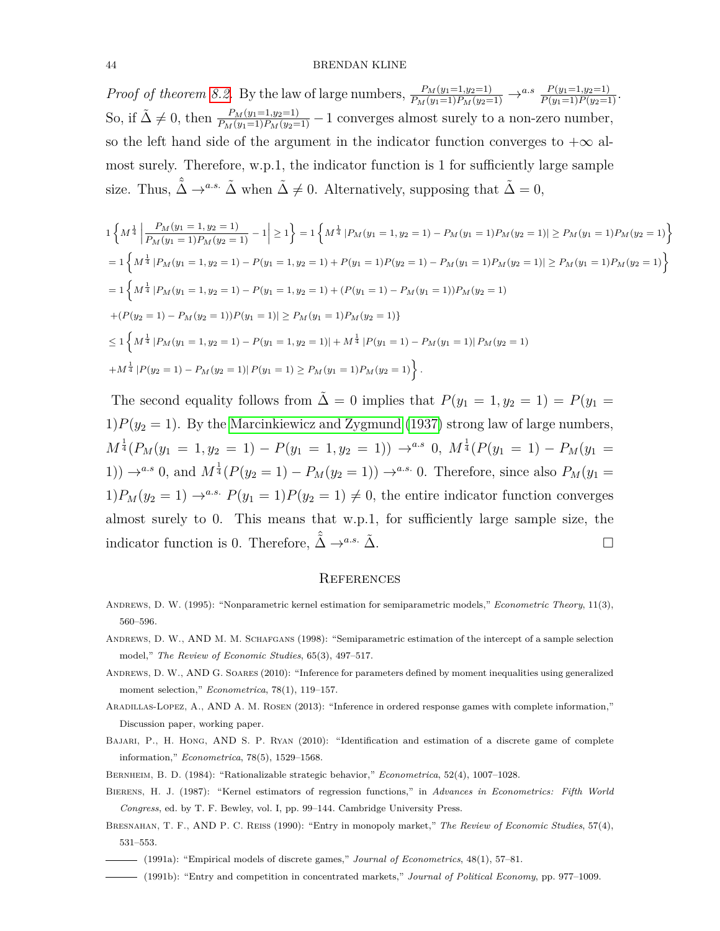*Proof of theorem [8.2.](#page-37-0)* By the law of large numbers,  $\frac{P_M(y_1=1,y_2=1)}{P_M(y_1=1)P_M(y_2=1)} \rightarrow^{a.s} \frac{P(y_1=1,y_2=1)}{P(y_1=1)P(y_2=1)}$ . So, if  $\tilde{\Delta} \neq 0$ , then  $\frac{P_M(y_1=1,y_2=1)}{P_M(y_1=1)P_M(y_2=1)} - 1$  converges almost surely to a non-zero number, so the left hand side of the argument in the indicator function converges to  $+\infty$  almost surely. Therefore, w.p.1, the indicator function is 1 for sufficiently large sample size. Thus,  $\hat{\tilde{\Delta}} \to^{a.s.} \tilde{\Delta}$  when  $\tilde{\Delta} \neq 0$ . Alternatively, supposing that  $\tilde{\Delta} = 0$ ,

$$
1\left\{M^{\frac{1}{4}}\left|\frac{P_M(y_1=1,y_2=1)}{P_M(y_1=1)P_M(y_2=1)}-1\right|\geq 1\right\}=1\left\{M^{\frac{1}{4}}\left|P_M(y_1=1,y_2=1)-P_M(y_1=1)P_M(y_2=1)\right|\geq P_M(y_1=1)P_M(y_2=1)\right\}
$$
  
\n
$$
=1\left\{M^{\frac{1}{4}}\left|P_M(y_1=1,y_2=1)-P(y_1=1,y_2=1)+P(y_1=1)P(y_2=1)-P_M(y_1=1)P_M(y_2=1)\right|\geq P_M(y_1=1)P_M(y_2=1)\right\}
$$
  
\n
$$
=1\left\{M^{\frac{1}{4}}\left|P_M(y_1=1,y_2=1)-P(y_1=1,y_2=1)+(P(y_1=1)-P_M(y_1=1))P_M(y_2=1)\right.\right.
$$
  
\n
$$
+ (P(y_2=1)-P_M(y_2=1))P(y_1=1)|\geq P_M(y_1=1)P_M(y_2=1)\right\}
$$
  
\n
$$
\leq 1\left\{M^{\frac{1}{4}}\left|P_M(y_1=1,y_2=1)-P(y_1=1,y_2=1)|+M^{\frac{1}{4}}\left|P(y_1=1)-P_M(y_1=1)\right|P_M(y_2=1)\right.\right.
$$

The second equality follows from  $\tilde{\Delta} = 0$  implies that  $P(y_1 = 1, y_2 = 1) = P(y_1 = 1)$ 1) $P(y_2 = 1)$ . By the [Marcinkiewicz and Zygmund](#page-44-22) [\(1937\)](#page-44-22) strong law of large numbers,  $M^{\frac{1}{4}}(P_M(y_1 = 1, y_2 = 1) - P(y_1 = 1, y_2 = 1)) \rightarrow^{a.s} 0, M^{\frac{1}{4}}(P(y_1 = 1) - P_M(y_1 = 1))$ 1))  $\rightarrow^{a.s} 0$ , and  $M^{\frac{1}{4}}(P(y_2 = 1) - P_M(y_2 = 1)) \rightarrow^{a.s.} 0$ . Therefore, since also  $P_M(y_1 =$ 1) $P_M(y_2 = 1) \rightarrow^{a.s.} P(y_1 = 1)P(y_2 = 1) \neq 0$ , the entire indicator function converges almost surely to 0. This means that w.p.1, for sufficiently large sample size, the indicator function is 0. Therefore,  $\hat{\tilde{\Delta}} \rightarrow^{a.s.} \tilde{\Delta}$ .

#### **REFERENCES**

- <span id="page-43-7"></span>Andrews, D. W. (1995): "Nonparametric kernel estimation for semiparametric models," *Econometric Theory*, 11(3), 560–596.
- <span id="page-43-5"></span>Andrews, D. W., and M. M. Schafgans (1998): "Semiparametric estimation of the intercept of a sample selection model," *The Review of Economic Studies*, 65(3), 497–517.
- <span id="page-43-9"></span>Andrews, D. W., and G. Soares (2010): "Inference for parameters defined by moment inequalities using generalized moment selection," *Econometrica*, 78(1), 119–157.
- <span id="page-43-4"></span>Aradillas-Lopez, A., and A. M. Rosen (2013): "Inference in ordered response games with complete information," Discussion paper, working paper.
- <span id="page-43-0"></span>BAJARI, P., H. HONG, AND S. P. RYAN (2010): "Identification and estimation of a discrete game of complete information," *Econometrica*, 78(5), 1529–1568.
- <span id="page-43-8"></span><span id="page-43-6"></span>Bernheim, B. D. (1984): "Rationalizable strategic behavior," *Econometrica*, 52(4), 1007–1028.
- Bierens, H. J. (1987): "Kernel estimators of regression functions," in *Advances in Econometrics: Fifth World Congress*, ed. by T. F. Bewley, vol. I, pp. 99–144. Cambridge University Press.
- <span id="page-43-1"></span>Bresnahan, T. F., and P. C. Reiss (1990): "Entry in monopoly market," *The Review of Economic Studies*, 57(4), 531–553.
- <span id="page-43-2"></span>(1991a): "Empirical models of discrete games," *Journal of Econometrics*, 48(1), 57–81.
- <span id="page-43-3"></span>(1991b): "Entry and competition in concentrated markets," *Journal of Political Economy*, pp. 977–1009.